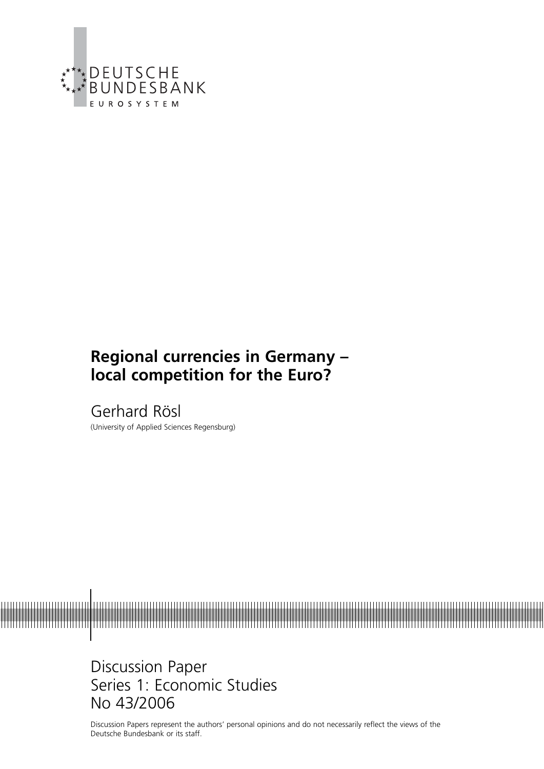

# **Regional currencies in Germany – local competition for the Euro?**

Gerhard Rösl (University of Applied Sciences Regensburg)



Discussion Paper Series 1: Economic Studies No 43/2006

Discussion Papers represent the authors' personal opinions and do not necessarily reflect the views of the Deutsche Bundesbank or its staff.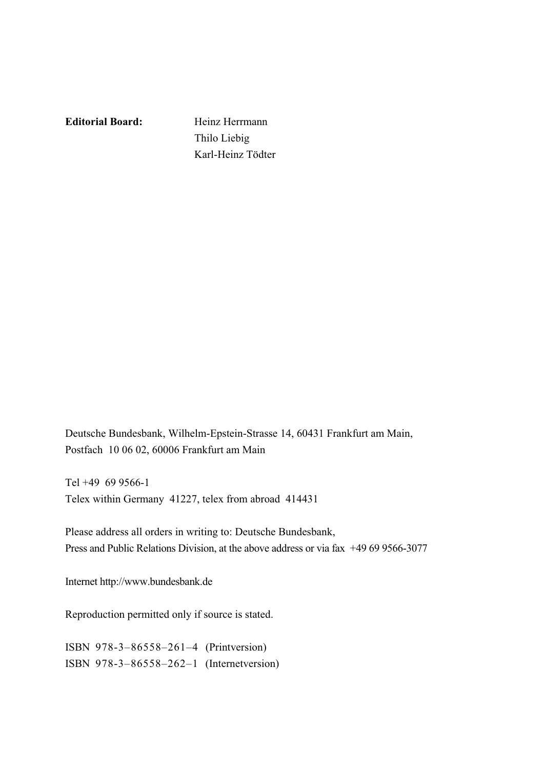**Editorial Board:** Heinz Herrmann

 Thilo Liebig Karl-Heinz Tödter

Deutsche Bundesbank, Wilhelm-Epstein-Strasse 14, 60431 Frankfurt am Main, Postfach 10 06 02, 60006 Frankfurt am Main

Tel +49 69 9566-1 Telex within Germany 41227, telex from abroad 414431

Please address all orders in writing to: Deutsche Bundesbank, Press and Public Relations Division, at the above address or via fax +49 69 9566-3077

Internet http://www.bundesbank.de

Reproduction permitted only if source is stated.

ISBN 978-3–86558–261–4 (Printversion) ISBN 978-3–86558–262–1 (Internetversion)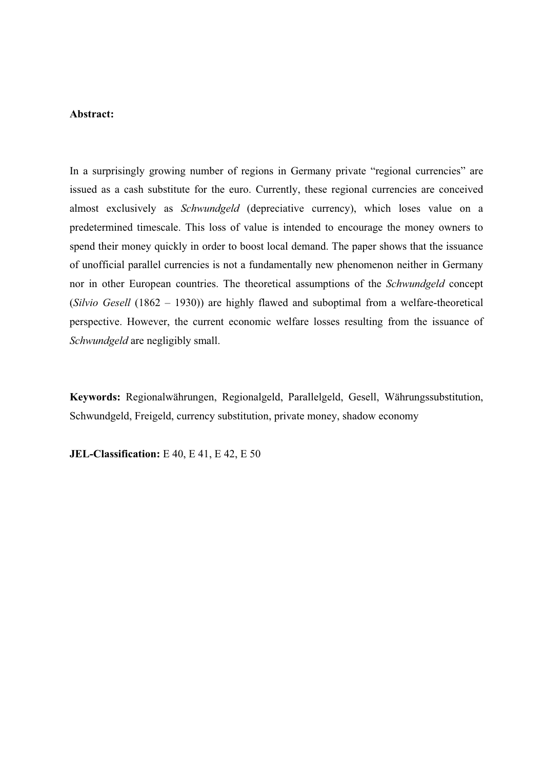#### **Abstract:**

In a surprisingly growing number of regions in Germany private "regional currencies" are issued as a cash substitute for the euro. Currently, these regional currencies are conceived almost exclusively as *Schwundgeld* (depreciative currency), which loses value on a predetermined timescale. This loss of value is intended to encourage the money owners to spend their money quickly in order to boost local demand. The paper shows that the issuance of unofficial parallel currencies is not a fundamentally new phenomenon neither in Germany nor in other European countries. The theoretical assumptions of the *Schwundgeld* concept (*Silvio Gesell* (1862 – 1930)) are highly flawed and suboptimal from a welfare-theoretical perspective. However, the current economic welfare losses resulting from the issuance of *Schwundgeld* are negligibly small.

**Keywords:** Regionalwährungen, Regionalgeld, Parallelgeld, Gesell, Währungssubstitution, Schwundgeld, Freigeld, currency substitution, private money, shadow economy

**JEL-Classification:** E 40, E 41, E 42, E 50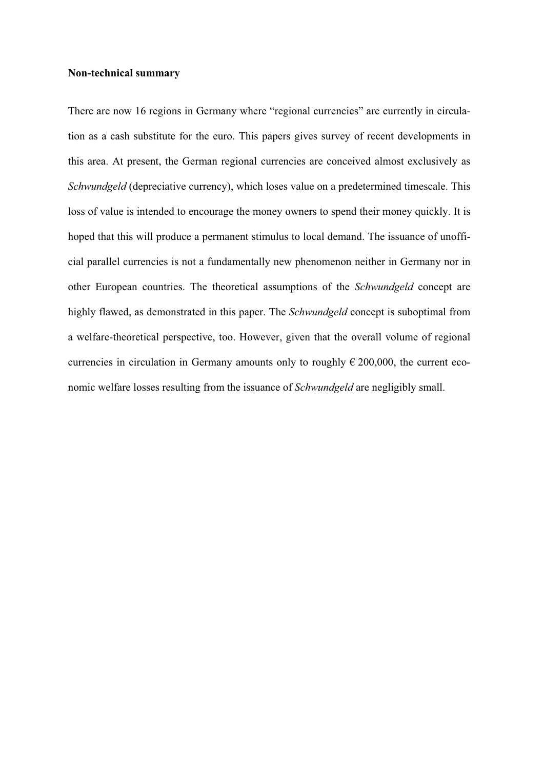#### **Non-technical summary**

There are now 16 regions in Germany where "regional currencies" are currently in circulation as a cash substitute for the euro. This papers gives survey of recent developments in this area. At present, the German regional currencies are conceived almost exclusively as *Schwundgeld* (depreciative currency), which loses value on a predetermined timescale. This loss of value is intended to encourage the money owners to spend their money quickly. It is hoped that this will produce a permanent stimulus to local demand. The issuance of unofficial parallel currencies is not a fundamentally new phenomenon neither in Germany nor in other European countries. The theoretical assumptions of the *Schwundgeld* concept are highly flawed, as demonstrated in this paper. The *Schwundgeld* concept is suboptimal from a welfare-theoretical perspective, too. However, given that the overall volume of regional currencies in circulation in Germany amounts only to roughly  $\epsilon$  200,000, the current economic welfare losses resulting from the issuance of *Schwundgeld* are negligibly small.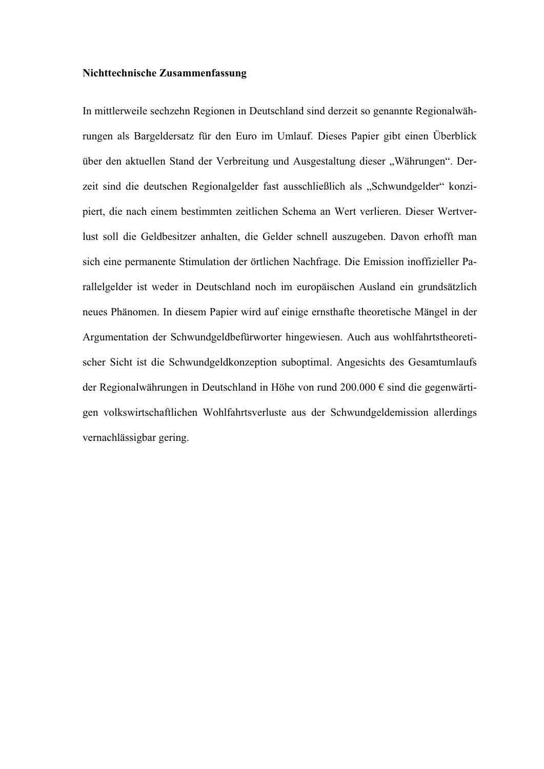#### **Nichttechnische Zusammenfassung**

In mittlerweile sechzehn Regionen in Deutschland sind derzeit so genannte Regionalwährungen als Bargeldersatz für den Euro im Umlauf. Dieses Papier gibt einen Überblick über den aktuellen Stand der Verbreitung und Ausgestaltung dieser "Währungen". Derzeit sind die deutschen Regionalgelder fast ausschließlich als "Schwundgelder" konzipiert, die nach einem bestimmten zeitlichen Schema an Wert verlieren. Dieser Wertverlust soll die Geldbesitzer anhalten, die Gelder schnell auszugeben. Davon erhofft man sich eine permanente Stimulation der örtlichen Nachfrage. Die Emission inoffizieller Parallelgelder ist weder in Deutschland noch im europäischen Ausland ein grundsätzlich neues Phänomen. In diesem Papier wird auf einige ernsthafte theoretische Mängel in der Argumentation der Schwundgeldbefürworter hingewiesen. Auch aus wohlfahrtstheoretischer Sicht ist die Schwundgeldkonzeption suboptimal. Angesichts des Gesamtumlaufs der Regionalwährungen in Deutschland in Höhe von rund 200.000 € sind die gegenwärtigen volkswirtschaftlichen Wohlfahrtsverluste aus der Schwundgeldemission allerdings vernachlässigbar gering.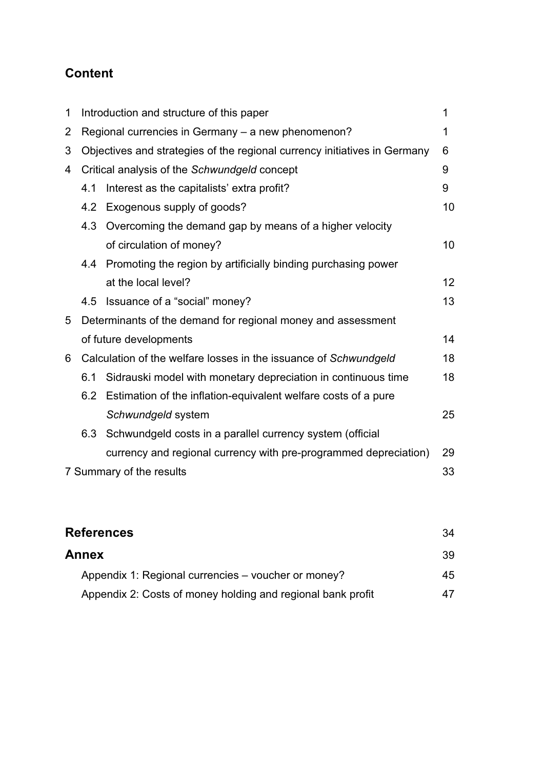# **Content**

| 1 |     | Introduction and structure of this paper                                  | 1               |
|---|-----|---------------------------------------------------------------------------|-----------------|
| 2 |     | Regional currencies in Germany - a new phenomenon?                        | 1               |
| 3 |     | Objectives and strategies of the regional currency initiatives in Germany | 6               |
| 4 |     | Critical analysis of the Schwundgeld concept                              | 9               |
|   | 4.1 | Interest as the capitalists' extra profit?                                | 9               |
|   |     | 4.2 Exogenous supply of goods?                                            | 10              |
|   | 4.3 | Overcoming the demand gap by means of a higher velocity                   |                 |
|   |     | of circulation of money?                                                  | 10 <sup>°</sup> |
|   | 4.4 | Promoting the region by artificially binding purchasing power             |                 |
|   |     | at the local level?                                                       | 12 <sup>2</sup> |
|   | 4.5 | Issuance of a "social" money?                                             | 13              |
| 5 |     | Determinants of the demand for regional money and assessment              |                 |
|   |     | of future developments                                                    | 14              |
| 6 |     | Calculation of the welfare losses in the issuance of Schwundgeld          | 18              |
|   | 6.1 | Sidrauski model with monetary depreciation in continuous time             | 18              |
|   | 6.2 | Estimation of the inflation-equivalent welfare costs of a pure            |                 |
|   |     | Schwundgeld system                                                        | 25              |
|   | 6.3 | Schwundgeld costs in a parallel currency system (official                 |                 |
|   |     | currency and regional currency with pre-programmed depreciation)          | 29              |
|   |     | 7 Summary of the results                                                  | 33              |

| <b>References</b>                                           | 34 |
|-------------------------------------------------------------|----|
| <b>Annex</b>                                                | 39 |
| Appendix 1: Regional currencies – voucher or money?         | 45 |
| Appendix 2: Costs of money holding and regional bank profit | 47 |
|                                                             |    |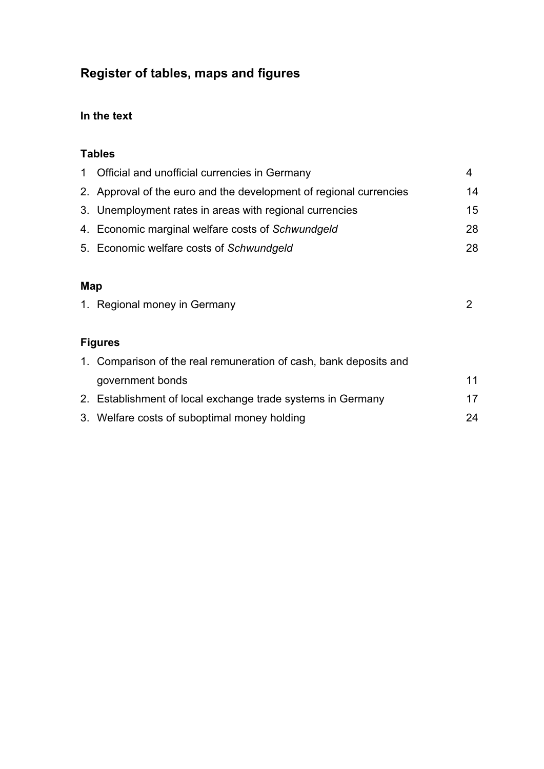# **Register of tables, maps and figures**

# **In the text**

# **Tables**

| $\mathbf 1$ | Official and unofficial currencies in Germany                      | 4  |
|-------------|--------------------------------------------------------------------|----|
|             | 2. Approval of the euro and the development of regional currencies | 14 |
|             | 3. Unemployment rates in areas with regional currencies            | 15 |
|             | 4. Economic marginal welfare costs of Schwundgeld                  | 28 |
|             | 5. Economic welfare costs of Schwundgeld                           | 28 |
|             |                                                                    |    |
| Map         |                                                                    |    |
|             | 1. Regional money in Germany                                       | 2  |
|             |                                                                    |    |
|             | <b>Figures</b>                                                     |    |
|             | 1. Comparison of the real remuneration of cash, bank deposits and  |    |
|             | government bonds                                                   | 11 |
|             | 2. Establishment of local exchange trade systems in Germany        | 17 |
|             | 3. Welfare costs of suboptimal money holding                       | 24 |
|             |                                                                    |    |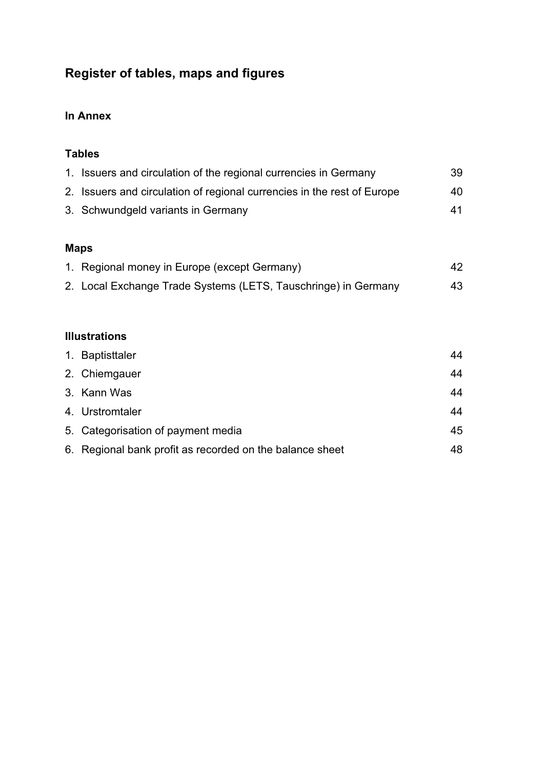# **Register of tables, maps and figures**

# **In Annex**

## **Tables**

| 1. Issuers and circulation of the regional currencies in Germany        | 39 |
|-------------------------------------------------------------------------|----|
| 2. Issuers and circulation of regional currencies in the rest of Europe | 40 |
| 3. Schwundgeld variants in Germany                                      | 41 |
|                                                                         |    |

# **Maps**

| 1. Regional money in Europe (except Germany)                   | 42 |
|----------------------------------------------------------------|----|
| 2. Local Exchange Trade Systems (LETS, Tauschringe) in Germany | 43 |

### **Illustrations**

| 1. Baptisttaler                                          | 44 |
|----------------------------------------------------------|----|
| 2. Chiemgauer                                            | 44 |
| 3. Kann Was                                              | 44 |
| 4. Urstromtaler                                          | 44 |
| 5. Categorisation of payment media                       | 45 |
| 6. Regional bank profit as recorded on the balance sheet | 48 |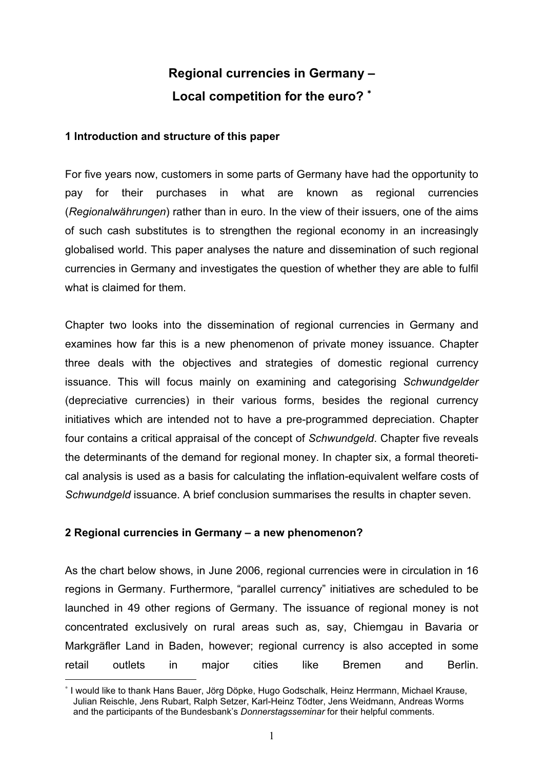# **Regional currencies in Germany – Local competition for the euro?** <sup>∗</sup>

#### **1 Introduction and structure of this paper**

For five years now, customers in some parts of Germany have had the opportunity to pay for their purchases in what are known as regional currencies (*Regionalwährungen*) rather than in euro. In the view of their issuers, one of the aims of such cash substitutes is to strengthen the regional economy in an increasingly globalised world. This paper analyses the nature and dissemination of such regional currencies in Germany and investigates the question of whether they are able to fulfil what is claimed for them.

Chapter two looks into the dissemination of regional currencies in Germany and examines how far this is a new phenomenon of private money issuance. Chapter three deals with the objectives and strategies of domestic regional currency issuance. This will focus mainly on examining and categorising *Schwundgelder* (depreciative currencies) in their various forms, besides the regional currency initiatives which are intended not to have a pre-programmed depreciation. Chapter four contains a critical appraisal of the concept of *Schwundgeld*. Chapter five reveals the determinants of the demand for regional money. In chapter six, a formal theoretical analysis is used as a basis for calculating the inflation-equivalent welfare costs of *Schwundgeld* issuance. A brief conclusion summarises the results in chapter seven.

### **2 Regional currencies in Germany – a new phenomenon?**

As the chart below shows, in June 2006, regional currencies were in circulation in 16 regions in Germany. Furthermore, "parallel currency" initiatives are scheduled to be launched in 49 other regions of Germany. The issuance of regional money is not concentrated exclusively on rural areas such as, say, Chiemgau in Bavaria or Markgräfler Land in Baden, however; regional currency is also accepted in some retail outlets in major cities like Bremen and Berlin.

<sup>∗</sup> I would like to thank Hans Bauer, Jörg Döpke, Hugo Godschalk, Heinz Herrmann, Michael Krause, Julian Reischle, Jens Rubart, Ralph Setzer, Karl-Heinz Tödter, Jens Weidmann, Andreas Worms and the participants of the Bundesbank's *Donnerstagsseminar* for their helpful comments.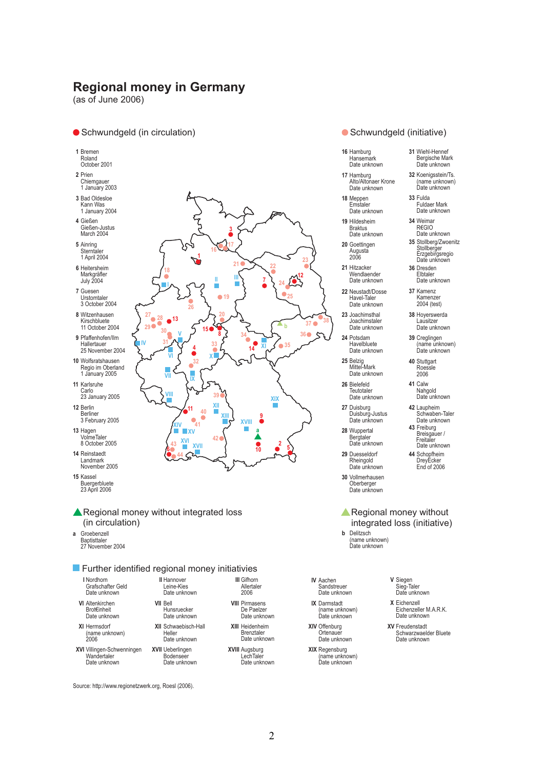**1**

**16**

**II**

**20**

**19**

**3**

**17**

**21**

**III**

**7**

**XI**

**14**

**9 a**

**XVIII**

**10**

**22**

**25 24**

**b**

**35**

**23**

**12**

**37 36**

**38**

**4 32**

**<sup>15</sup> <sup>V</sup>**

**26**

**IX**

**XIV 41**

**<sup>11</sup> XII**

**40**

**XVII XV XVI**

**33**

**8 34**

 $\frac{43}{6}$  **6**  $\frac{10}{2}$  **6**  $\frac{43}{2}$  **6**  $\frac{10}{2}$  **6**  $\frac{6}{2}$  **5** 

**XIII**

**42**

**39**

**X**

**Regional money in Germany** (as of June 2006)

#### ● Schwundgeld (in circulation) and the settlement of Schwundgeld (initiative)

- **01** Bremen Roland
- October 2001
- **02** Prien Chiemgauer
- 1 January 2003 **03** Bad Oldesloe
- Kann Was 1 January 2004
- **04** Gießen Gießen-Justus March 2004
- **05** Ainring
- Sterntaler 1 April 2004
- **06** Heitersheim Markgräfler July 2004
- **07** Guesen Urstomtaler 3 October 2004
- **08** Witzenhausen Kirschbluete
- **09** Pfaffenhofen/Ilm Hallertauer 11 October 2004
- **10** Wolfsratshausen 25 November 2004
- Regio im Oberland 1 January 2005
- **11** Karlsruhe Carlo 23 January 2005
- **12** Berlin Berliner
- 3 February 2005
- **13** Hagen VolmeTaler 8 October 2005
- **14** Reinstaedt Landmark November 2005
- **15** Kassel Buergerbluete 23 April 2006
- Regional money without integrated loss (in circulation)

**43**

**44**

**VIII**

**VII**

**VI**

**18 I**

**<sup>28</sup> <sup>13</sup> <sup>27</sup>**  $29$   $\bullet$   $30$ **31**

**IV**

**a** Groebenzell **Baptisttaler** 27 November 2004

#### **Further identified regional money initiativies**

- **I** Nordhorn Grafschafter Geld Date unknown
- **VI** Altenkirchen Brot€inheit
- **XI** Hermsdorf Date unknown
- (name unknown) 2006
- **XVI** Villingen-Schwenningen Wandertaler Date unknown
- **II** Hannover Leine-Kies Date unknown **VII** Bell Hunsruecker Date unknown
- **XII** Schwaebisch-Hall **Heller** Date unknown
- **XVII** Ueberlingen Bodenseer Date unknown
- **III** Gifhorn Allertaler 2006
	- **XIII** Heidenheim **Brenztaler**
	- **XVIII** Augsburg LechTaler Date unknown



- **16** Hamburg Hansemark Date unknown
- **17** Hamburg Alto/Altonaer Krone Date unknown
- **18** Meppen Emstaler Date unknown
- **19** Hildesheim Braktus Date unknown
- **20** Goettingen Augusta 2006
- **21** Hitzacker Wendlaender Date unknown
- **22** Neustadt/Dosse Havel-Taler Date unknown
- **23** Joachimsthal Joachimstaler Date unknown
- **24** Potsdam Havelbluete Date unknown
- **25** Belzig Mittel-Mark Date unknown
- **26** Bielefeld **Teutotaler** Date unknown
- **27** Duisburg Duisburg-Justus Date unknown
- **28** Wuppertal Bergtaler Date unknown
- **29** Duesseldorf Rheingold Date unknown
- **30** Vollmerhausen Oberberger Date unknown
- **A** Regional money without integrated loss (initiative)
- (name unknown) Date unknown
- 
- **IX** Darmstadt
- **XIV** Offenburg Ortenaue
- **XIX** Regensburg (name unknown)
- 
- **X** Eichenzell Eichenzeller M.A.R.K. Date unknown
- **XV** Freudenstadt Schwarzwaelder Bluete Date unknown

Source: http://www.regionetzwerk.org, Roesl (2006).

- **VIII** Pirmasens De Paelzer Date unknown
	- Date unknown
		-

**2**

**XIX**

- Date unknown
- 
- R€GIO Date unknown **36** Dresden **35** Stollberg/Zwoenitz Stollberger Erzgebirgsregio Date unknown
- Elbtaler Date unknown **37** Kamenz

**34** Weimar

**33** Fulda Fuldaer Mark Date unknown

**32** Koenigsstein/Ts. (name unknown) Date unknown

**31** Wiehl-Hennef Bergische Mark Date unknown

- Kamenzer 2004 (test)
- **38** Hoyerswerda Lausitzer Date unknown
- **39** Creglingen (name unknown) Date unknown
- **40** Stuttgart Roessle 2006
- **41** Calw Nahgold Date unknown
- **42** Laupheim Schwaben-Taler Date unknown
- **43** Freiburg Breisgauer / Freitaler Date unknown
	- **44** Schopfheim DreyEcker End of 2006
- 
- **b** Delitzsch
- 
- **IV** Aachen Sandstreuer
- Date unknown
- (name unknown) Date unknown
- 
- Date unknown
- 
- 
- - **V** Siegen
		- Sieg-Taler Date unknown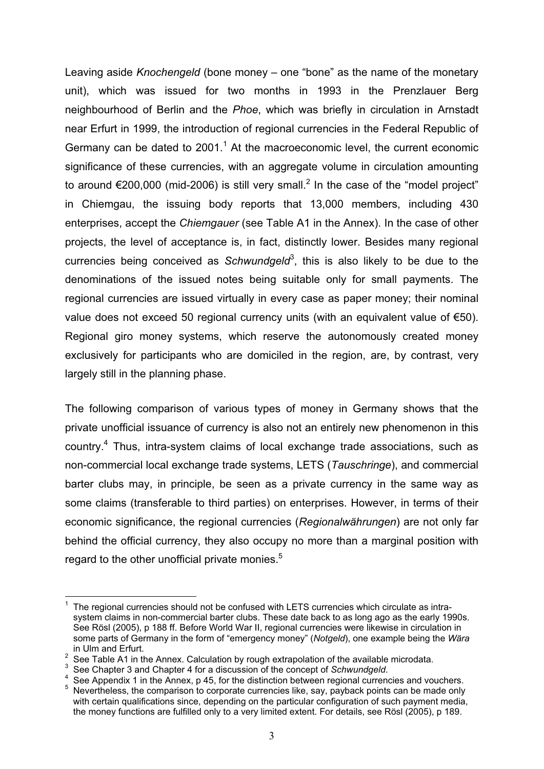Leaving aside *Knochengeld* (bone money – one "bone" as the name of the monetary unit), which was issued for two months in 1993 in the Prenzlauer Berg neighbourhood of Berlin and the *Phoe*, which was briefly in circulation in Arnstadt near Erfurt in 1999, the introduction of regional currencies in the Federal Republic of Germany can be dated to  $2001.<sup>1</sup>$  At the macroeconomic level, the current economic significance of these currencies, with an aggregate volume in circulation amounting to around €200,000 (mid-2006) is still very small.<sup>2</sup> In the case of the "model project" in Chiemgau, the issuing body reports that 13,000 members, including 430 enterprises, accept the *Chiemgauer* (see Table A1 in the Annex). In the case of other projects, the level of acceptance is, in fact, distinctly lower. Besides many regional currencies being conceived as *Schwundgeld*<sup>3</sup>, this is also likely to be due to the denominations of the issued notes being suitable only for small payments. The regional currencies are issued virtually in every case as paper money; their nominal value does not exceed 50 regional currency units (with an equivalent value of €50). Regional giro money systems, which reserve the autonomously created money exclusively for participants who are domiciled in the region, are, by contrast, very largely still in the planning phase.

The following comparison of various types of money in Germany shows that the private unofficial issuance of currency is also not an entirely new phenomenon in this country.<sup>4</sup> Thus, intra-system claims of local exchange trade associations, such as non-commercial local exchange trade systems, LETS (*Tauschringe*), and commercial barter clubs may, in principle, be seen as a private currency in the same way as some claims (transferable to third parties) on enterprises. However, in terms of their economic significance, the regional currencies (*Regionalwährungen*) are not only far behind the official currency, they also occupy no more than a marginal position with regard to the other unofficial private monies.<sup>5</sup>

<sup>1</sup> The regional currencies should not be confused with LETS currencies which circulate as intrasystem claims in non-commercial barter clubs. These date back to as long ago as the early 1990s. See Rösl (2005), p 188 ff. Before World War II, regional currencies were likewise in circulation in some parts of Germany in the form of "emergency money" (*Notgeld*), one example being the *Wära* in Ulm and Erfurt.

<sup>&</sup>lt;sup>2</sup> See Table A1 in the Annex. Calculation by rough extrapolation of the available microdata.

<sup>&</sup>lt;sup>3</sup> See Chapter 3 and Chapter 4 for a discussion of the concept of *Schwundgeld*.<br><sup>4</sup> See Annonglix 1 in the Annoy in 45 for the distinction between regional ourse

<sup>&</sup>lt;sup>4</sup> See Appendix 1 in the Annex, p 45, for the distinction between regional currencies and vouchers. 5

Nevertheless, the comparison to corporate currencies like, say, payback points can be made only with certain qualifications since, depending on the particular configuration of such payment media, the money functions are fulfilled only to a very limited extent. For details, see Rösl (2005), p 189.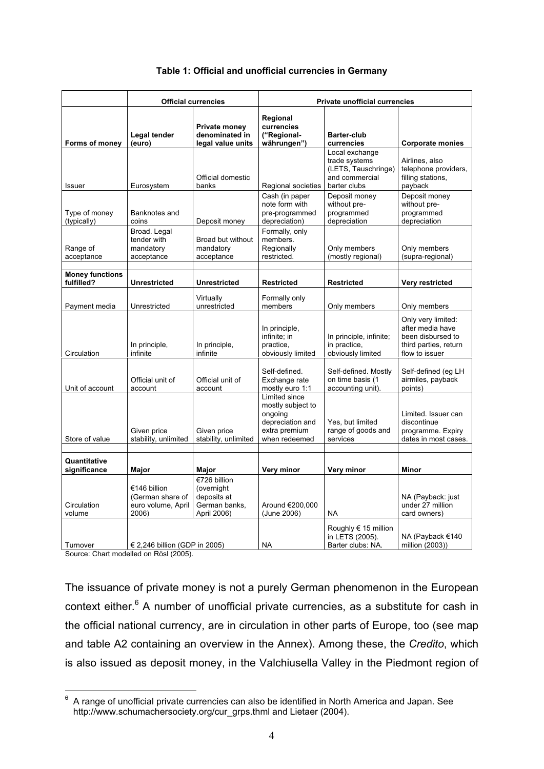|                                      | <b>Official currencies</b>                                      |                                                                           | <b>Private unofficial currencies</b>                                                                |                                                                                          |                                                                                                        |
|--------------------------------------|-----------------------------------------------------------------|---------------------------------------------------------------------------|-----------------------------------------------------------------------------------------------------|------------------------------------------------------------------------------------------|--------------------------------------------------------------------------------------------------------|
| Forms of money                       | Legal tender<br>(euro)                                          | Private money<br>denominated in<br>legal value units                      | Regional<br>currencies<br>("Regional-<br>währungen")                                                | <b>Barter-club</b><br>currencies                                                         | <b>Corporate monies</b>                                                                                |
| Issuer                               | Eurosystem                                                      | Official domestic<br>banks                                                | Regional societies                                                                                  | Local exchange<br>trade systems<br>(LETS, Tauschringe)<br>and commercial<br>barter clubs | Airlines, also<br>telephone providers,<br>filling stations,<br>payback                                 |
| Type of money<br>(typically)         | Banknotes and<br>coins                                          | Deposit money                                                             | Cash (in paper<br>note form with<br>pre-programmed<br>depreciation)                                 | Deposit money<br>without pre-<br>programmed<br>depreciation                              | Deposit money<br>without pre-<br>programmed<br>depreciation                                            |
| Range of<br>acceptance               | Broad. Legal<br>tender with<br>mandatory<br>acceptance          | Broad but without<br>mandatory<br>acceptance                              | Formally, only<br>members.<br>Regionally<br>restricted.                                             | Only members<br>(mostly regional)                                                        | Only members<br>(supra-regional)                                                                       |
| <b>Money functions</b><br>fulfilled? | <b>Unrestricted</b>                                             | <b>Unrestricted</b>                                                       | <b>Restricted</b>                                                                                   | Restricted                                                                               | Very restricted                                                                                        |
| Payment media                        | Unrestricted                                                    | Virtually<br>unrestricted                                                 | Formally only<br>members                                                                            | Only members                                                                             | Only members                                                                                           |
| Circulation                          | In principle,<br>infinite                                       | In principle,<br>infinite                                                 | In principle,<br>infinite; in<br>practice,<br>obviously limited                                     | In principle, infinite;<br>in practice,<br>obviously limited                             | Only very limited:<br>after media have<br>been disbursed to<br>third parties, return<br>flow to issuer |
| Unit of account                      | Official unit of<br>account                                     | Official unit of<br>account                                               | Self-defined.<br>Exchange rate<br>mostly euro 1:1                                                   | Self-defined. Mostly<br>on time basis (1<br>accounting unit).                            | Self-defined (eg LH<br>airmiles, payback<br>points)                                                    |
| Store of value                       | Given price<br>stability, unlimited                             | Given price<br>stability, unlimited                                       | Limited since<br>mostly subject to<br>ongoing<br>depreciation and<br>extra premium<br>when redeemed | Yes, but limited<br>range of goods and<br>services                                       | Limited. Issuer can<br>discontinue<br>programme. Expiry<br>dates in most cases.                        |
| Quantitative<br>significance         | Major                                                           | Major                                                                     | Very minor                                                                                          | Very minor                                                                               | Minor                                                                                                  |
| Circulation<br>volume                | €146 billion<br>(German share of<br>euro volume, April<br>2006) | €726 billion<br>(overnight<br>deposits at<br>German banks,<br>April 2006) | Around €200,000<br>(June 2006)                                                                      | <b>NA</b>                                                                                | NA (Payback: just<br>under 27 million<br>card owners)                                                  |
| Turnover                             | € 2,246 billion (GDP in 2005)                                   |                                                                           | <b>NA</b>                                                                                           | Roughly € 15 million<br>in LETS (2005).<br>Barter clubs: NA.                             | NA (Payback €140<br>million (2003))                                                                    |

#### **Table 1: Official and unofficial currencies in Germany**

Source: Chart modelled on Rösl (2005).

The issuance of private money is not a purely German phenomenon in the European context either.<sup>6</sup> A number of unofficial private currencies, as a substitute for cash in the official national currency, are in circulation in other parts of Europe, too (see map and table A2 containing an overview in the Annex). Among these, the *Credito*, which is also issued as deposit money, in the Valchiusella Valley in the Piedmont region of

<sup>6</sup> A range of unofficial private currencies can also be identified in North America and Japan. See http://www.schumachersociety.org/cur\_grps.thml and Lietaer (2004).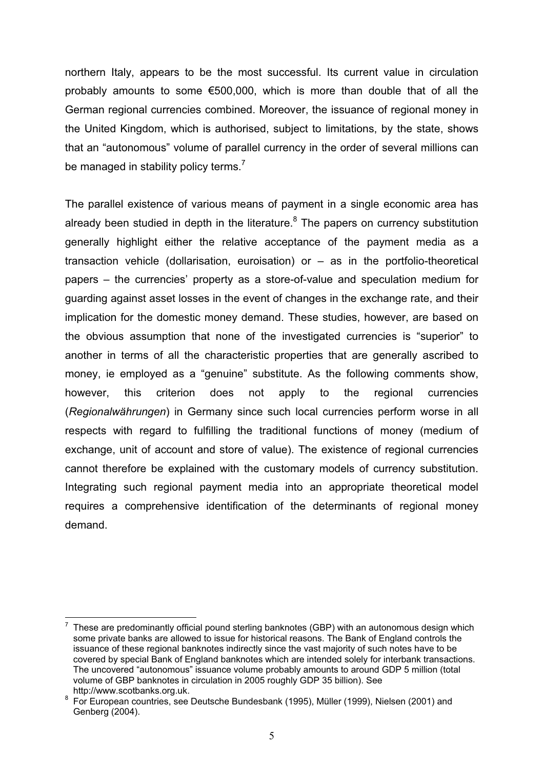northern Italy, appears to be the most successful. Its current value in circulation probably amounts to some €500,000, which is more than double that of all the German regional currencies combined. Moreover, the issuance of regional money in the United Kingdom, which is authorised, subject to limitations, by the state, shows that an "autonomous" volume of parallel currency in the order of several millions can be managed in stability policy terms.<sup>7</sup>

The parallel existence of various means of payment in a single economic area has already been studied in depth in the literature.<sup>8</sup> The papers on currency substitution generally highlight either the relative acceptance of the payment media as a transaction vehicle (dollarisation, euroisation) or – as in the portfolio-theoretical papers – the currencies' property as a store-of-value and speculation medium for guarding against asset losses in the event of changes in the exchange rate, and their implication for the domestic money demand. These studies, however, are based on the obvious assumption that none of the investigated currencies is "superior" to another in terms of all the characteristic properties that are generally ascribed to money, ie employed as a "genuine" substitute. As the following comments show, however, this criterion does not apply to the regional currencies (*Regionalwährungen*) in Germany since such local currencies perform worse in all respects with regard to fulfilling the traditional functions of money (medium of exchange, unit of account and store of value). The existence of regional currencies cannot therefore be explained with the customary models of currency substitution. Integrating such regional payment media into an appropriate theoretical model requires a comprehensive identification of the determinants of regional money demand.

<sup>7</sup> These are predominantly official pound sterling banknotes (GBP) with an autonomous design which some private banks are allowed to issue for historical reasons. The Bank of England controls the issuance of these regional banknotes indirectly since the vast majority of such notes have to be covered by special Bank of England banknotes which are intended solely for interbank transactions. The uncovered "autonomous" issuance volume probably amounts to around GDP 5 million (total volume of GBP banknotes in circulation in 2005 roughly GDP 35 billion). See http://www.scotbanks.org.uk.

http://www.scotbanks.org.uk.<br><sup>8</sup> For European countries, see Deutsche Bundesbank (1995), Müller (1999), Nielsen (2001) and Genberg (2004).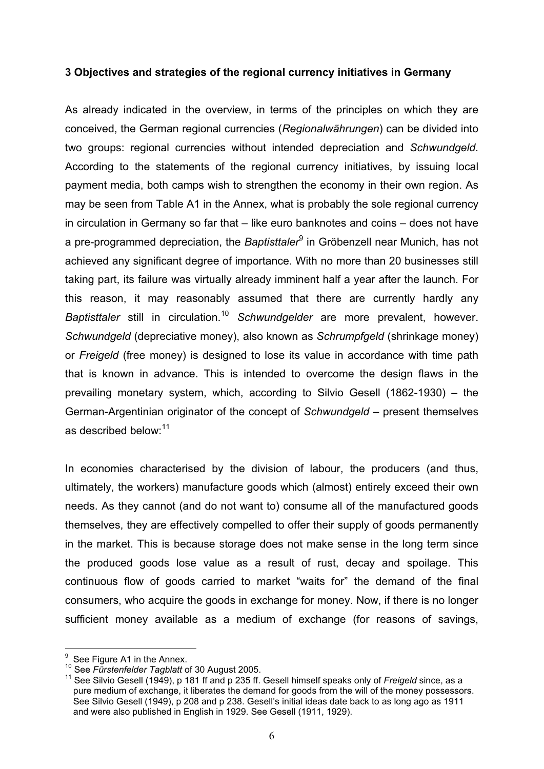#### **3 Objectives and strategies of the regional currency initiatives in Germany**

As already indicated in the overview, in terms of the principles on which they are conceived, the German regional currencies (*Regionalwährungen*) can be divided into two groups: regional currencies without intended depreciation and *Schwundgeld*. According to the statements of the regional currency initiatives, by issuing local payment media, both camps wish to strengthen the economy in their own region. As may be seen from Table A1 in the Annex, what is probably the sole regional currency in circulation in Germany so far that – like euro banknotes and coins – does not have a pre-programmed depreciation, the *Baptisttaler<sup>9</sup>* in Gröbenzell near Munich, has not achieved any significant degree of importance. With no more than 20 businesses still taking part, its failure was virtually already imminent half a year after the launch. For this reason, it may reasonably assumed that there are currently hardly any *Baptisttaler* still in circulation.<sup>10</sup> *Schwundgelder* are more prevalent, however. *Schwundgeld* (depreciative money), also known as *Schrumpfgeld* (shrinkage money) or *Freigeld* (free money) is designed to lose its value in accordance with time path that is known in advance. This is intended to overcome the design flaws in the prevailing monetary system, which, according to Silvio Gesell (1862-1930) – the German-Argentinian originator of the concept of *Schwundgeld* – present themselves as described below:<sup>11</sup>

In economies characterised by the division of labour, the producers (and thus, ultimately, the workers) manufacture goods which (almost) entirely exceed their own needs. As they cannot (and do not want to) consume all of the manufactured goods themselves, they are effectively compelled to offer their supply of goods permanently in the market. This is because storage does not make sense in the long term since the produced goods lose value as a result of rust, decay and spoilage. This continuous flow of goods carried to market "waits for" the demand of the final consumers, who acquire the goods in exchange for money. Now, if there is no longer sufficient money available as a medium of exchange (for reasons of savings,

 $\frac{9}{1}$  See Figure A1 in the Annex.

<sup>&</sup>lt;sup>11</sup> See Silvio Gesell (1949), p 181 ff and p 235 ff. Gesell himself speaks only of *Freigeld* since, as a pure medium of exchange, it liberates the demand for goods from the will of the money possessors. See Silvio Gesell (1949), p 208 and p 238. Gesell's initial ideas date back to as long ago as 1911 and were also published in English in 1929. See Gesell (1911, 1929).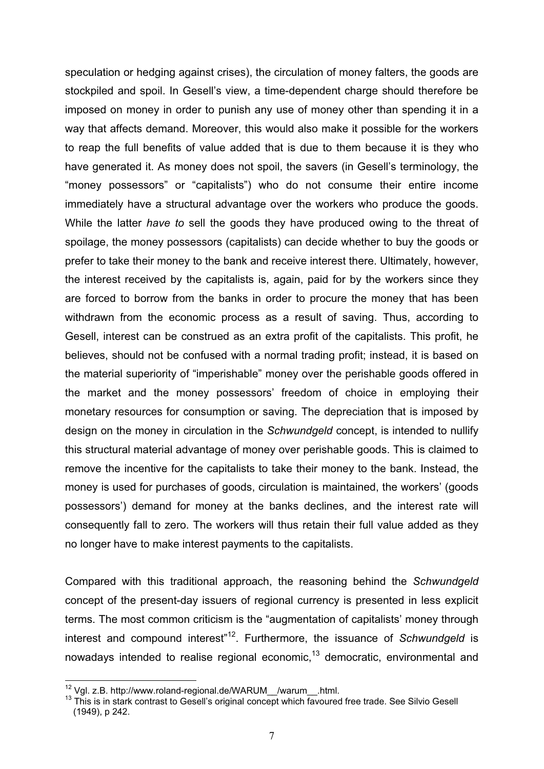speculation or hedging against crises), the circulation of money falters, the goods are stockpiled and spoil. In Gesell's view, a time-dependent charge should therefore be imposed on money in order to punish any use of money other than spending it in a way that affects demand. Moreover, this would also make it possible for the workers to reap the full benefits of value added that is due to them because it is they who have generated it. As money does not spoil, the savers (in Gesell's terminology, the "money possessors" or "capitalists") who do not consume their entire income immediately have a structural advantage over the workers who produce the goods. While the latter *have to* sell the goods they have produced owing to the threat of spoilage, the money possessors (capitalists) can decide whether to buy the goods or prefer to take their money to the bank and receive interest there. Ultimately, however, the interest received by the capitalists is, again, paid for by the workers since they are forced to borrow from the banks in order to procure the money that has been withdrawn from the economic process as a result of saving. Thus, according to Gesell, interest can be construed as an extra profit of the capitalists. This profit, he believes, should not be confused with a normal trading profit; instead, it is based on the material superiority of "imperishable" money over the perishable goods offered in the market and the money possessors' freedom of choice in employing their monetary resources for consumption or saving. The depreciation that is imposed by design on the money in circulation in the *Schwundgeld* concept, is intended to nullify this structural material advantage of money over perishable goods. This is claimed to remove the incentive for the capitalists to take their money to the bank. Instead, the money is used for purchases of goods, circulation is maintained, the workers' (goods possessors') demand for money at the banks declines, and the interest rate will consequently fall to zero. The workers will thus retain their full value added as they no longer have to make interest payments to the capitalists.

Compared with this traditional approach, the reasoning behind the *Schwundgeld* concept of the present-day issuers of regional currency is presented in less explicit terms. The most common criticism is the "augmentation of capitalists' money through interest and compound interest<sup>"12</sup>. Furthermore, the issuance of *Schwundgeld* is nowadays intended to realise regional economic, $13$  democratic, environmental and

<sup>&</sup>lt;sup>12</sup> Vgl. z.B. http://www.roland-regional.de/WARUM\_\_/warum\_\_.html.<br><sup>13</sup> This is in stark contrast to Gesell's original concept which favoured free trade. See Silvio Gesell (1949), p 242.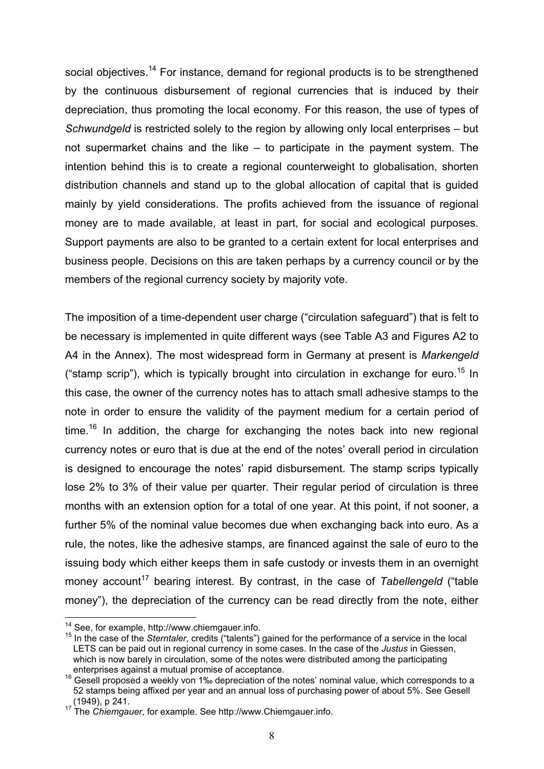social objectives.<sup>14</sup> For instance, demand for regional products is to be strengthened by the continuous disbursement of regional currencies that is induced by their depreciation, thus promoting the local economy. For this reason, the use of types of *Schwundgeld* is restricted solely to the region by allowing only local enterprises – but not supermarket chains and the like – to participate in the payment system. The intention behind this is to create a regional counterweight to globalisation, shorten distribution channels and stand up to the global allocation of capital that is guided mainly by yield considerations. The profits achieved from the issuance of regional money are to made available, at least in part, for social and ecological purposes. Support payments are also to be granted to a certain extent for local enterprises and business people. Decisions on this are taken perhaps by a currency council or by the members of the regional currency society by majority vote.

The imposition of a time-dependent user charge ("circulation safeguard") that is felt to be necessary is implemented in quite different ways (see Table A3 and Figures A2 to A4 in the Annex). The most widespread form in Germany at present is *Markengeld* ("stamp scrip"), which is typically brought into circulation in exchange for euro.<sup>15</sup> In this case, the owner of the currency notes has to attach small adhesive stamps to the note in order to ensure the validity of the payment medium for a certain period of time.<sup>16</sup> In addition, the charge for exchanging the notes back into new regional currency notes or euro that is due at the end of the notes' overall period in circulation is designed to encourage the notes' rapid disbursement. The stamp scrips typically lose 2% to 3% of their value per quarter. Their regular period of circulation is three months with an extension option for a total of one year. At this point, if not sooner, a further 5% of the nominal value becomes due when exchanging back into euro. As a rule, the notes, like the adhesive stamps, are financed against the sale of euro to the issuing body which either keeps them in safe custody or invests them in an overnight money account<sup>17</sup> bearing interest. By contrast, in the case of *Tabellengeld* ("table money"), the depreciation of the currency can be read directly from the note, either

<sup>&</sup>lt;sup>14</sup> See, for example, http://www.chiemgauer.info.<br><sup>15</sup> In the case of the *Sterntaler*, credits ("talents") gained for the performance of a service in the local LETS can be paid out in regional currency in some cases. In the case of the *Justus* in Giessen, which is now barely in circulation, some of the notes were distributed among the participating enterprises against a mutual promise of acceptance.<br><sup>16</sup> Gesell proposed a weekly von 1‰ depreciation of the notes' nominal value, which corresponds to a

<sup>52</sup> stamps being affixed per year and an annual loss of purchasing power of about 5%. See Gesell (1949), p 241. 17 The *Chiemgauer*, for example. See http://www.Chiemgauer.info.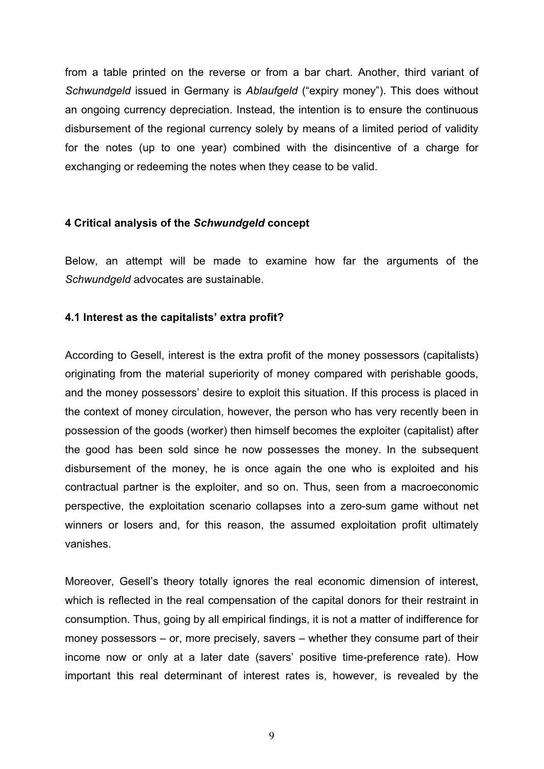from a table printed on the reverse or from a bar chart. Another, third variant of *Schwundgeld* issued in Germany is *Ablaufgeld* ("expiry money"). This does without an ongoing currency depreciation. Instead, the intention is to ensure the continuous disbursement of the regional currency solely by means of a limited period of validity for the notes (up to one year) combined with the disincentive of a charge for exchanging or redeeming the notes when they cease to be valid.

#### **4 Critical analysis of the** *Schwundgeld* **concept**

Below, an attempt will be made to examine how far the arguments of the *Schwundgeld* advocates are sustainable.

#### **4.1 Interest as the capitalists' extra profit?**

According to Gesell, interest is the extra profit of the money possessors (capitalists) originating from the material superiority of money compared with perishable goods, and the money possessors' desire to exploit this situation. If this process is placed in the context of money circulation, however, the person who has very recently been in possession of the goods (worker) then himself becomes the exploiter (capitalist) after the good has been sold since he now possesses the money. In the subsequent disbursement of the money, he is once again the one who is exploited and his contractual partner is the exploiter, and so on. Thus, seen from a macroeconomic perspective, the exploitation scenario collapses into a zero-sum game without net winners or losers and, for this reason, the assumed exploitation profit ultimately vanishes.

Moreover, Gesell's theory totally ignores the real economic dimension of interest, which is reflected in the real compensation of the capital donors for their restraint in consumption. Thus, going by all empirical findings, it is not a matter of indifference for money possessors – or, more precisely, savers – whether they consume part of their income now or only at a later date (savers' positive time-preference rate). How important this real determinant of interest rates is, however, is revealed by the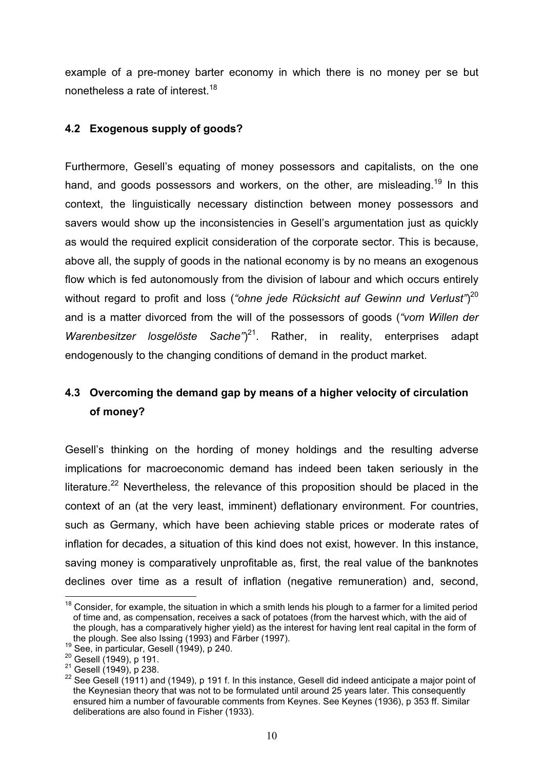example of a pre-money barter economy in which there is no money per se but nonetheless a rate of interest.<sup>18</sup>

### **4.2 Exogenous supply of goods?**

Furthermore, Gesell's equating of money possessors and capitalists, on the one hand, and goods possessors and workers, on the other, are misleading.<sup>19</sup> In this context, the linguistically necessary distinction between money possessors and savers would show up the inconsistencies in Gesell's argumentation just as quickly as would the required explicit consideration of the corporate sector. This is because, above all, the supply of goods in the national economy is by no means an exogenous flow which is fed autonomously from the division of labour and which occurs entirely without regard to profit and loss (*"ohne jede Rücksicht auf Gewinn und Verlust"*) 20 and is a matter divorced from the will of the possessors of goods (*"vom Willen der*  Warenbesitzer losgelöste Sache<sup>"</sup>)<sup>21</sup>. Rather, in reality, enterprises adapt endogenously to the changing conditions of demand in the product market.

# **4.3 Overcoming the demand gap by means of a higher velocity of circulation of money?**

Gesell's thinking on the hording of money holdings and the resulting adverse implications for macroeconomic demand has indeed been taken seriously in the literature.<sup>22</sup> Nevertheless, the relevance of this proposition should be placed in the context of an (at the very least, imminent) deflationary environment. For countries, such as Germany, which have been achieving stable prices or moderate rates of inflation for decades, a situation of this kind does not exist, however. In this instance, saving money is comparatively unprofitable as, first, the real value of the banknotes declines over time as a result of inflation (negative remuneration) and, second,

 $18$  Consider, for example, the situation in which a smith lends his plough to a farmer for a limited period of time and, as compensation, receives a sack of potatoes (from the harvest which, with the aid of the plough, has a comparatively higher yield) as the interest for having lent real capital in the form of

the plough. See also Issing (1993) and Färber (1997).<br><sup>19</sup> See, in particular, Gesell (1949), p 240.<br><sup>20</sup> Gesell (1949), p 191.<br><sup>21</sup> Gesell (1949), p 238.<br><sup>22</sup> See Gesell (1911) and (1949), p 191 f. In this instance, Gese the Keynesian theory that was not to be formulated until around 25 years later. This consequently ensured him a number of favourable comments from Keynes. See Keynes (1936), p 353 ff. Similar deliberations are also found in Fisher (1933).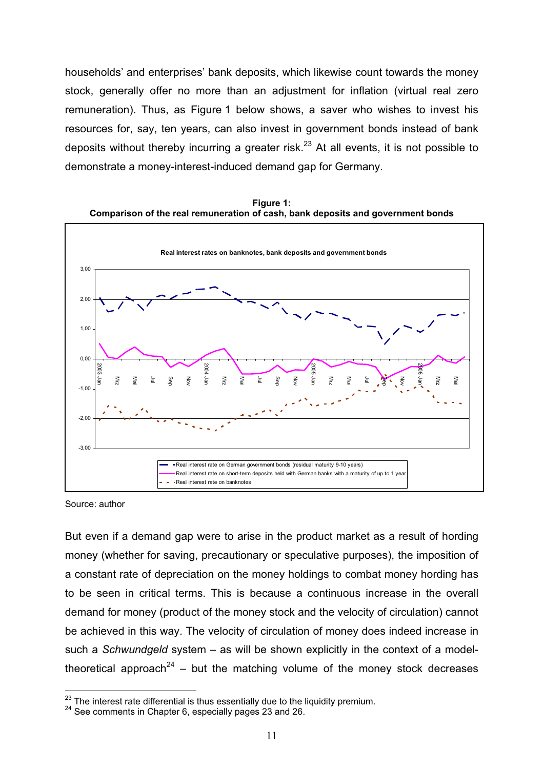households' and enterprises' bank deposits, which likewise count towards the money stock, generally offer no more than an adjustment for inflation (virtual real zero remuneration). Thus, as Figure 1 below shows, a saver who wishes to invest his resources for, say, ten years, can also invest in government bonds instead of bank deposits without thereby incurring a greater risk.<sup>23</sup> At all events, it is not possible to demonstrate a money-interest-induced demand gap for Germany.



**Figure 1: Comparison of the real remuneration of cash, bank deposits and government bonds** 

Source: author

But even if a demand gap were to arise in the product market as a result of hording money (whether for saving, precautionary or speculative purposes), the imposition of a constant rate of depreciation on the money holdings to combat money hording has to be seen in critical terms. This is because a continuous increase in the overall demand for money (product of the money stock and the velocity of circulation) cannot be achieved in this way. The velocity of circulation of money does indeed increase in such a *Schwundgeld* system – as will be shown explicitly in the context of a modeltheoretical approach<sup>24</sup> – but the matching volume of the money stock decreases

<sup>&</sup>lt;sup>23</sup> The interest rate differential is thus essentially due to the liquidity premium.<br><sup>24</sup> See comments in Chapter 6, especially pages 23 and 26.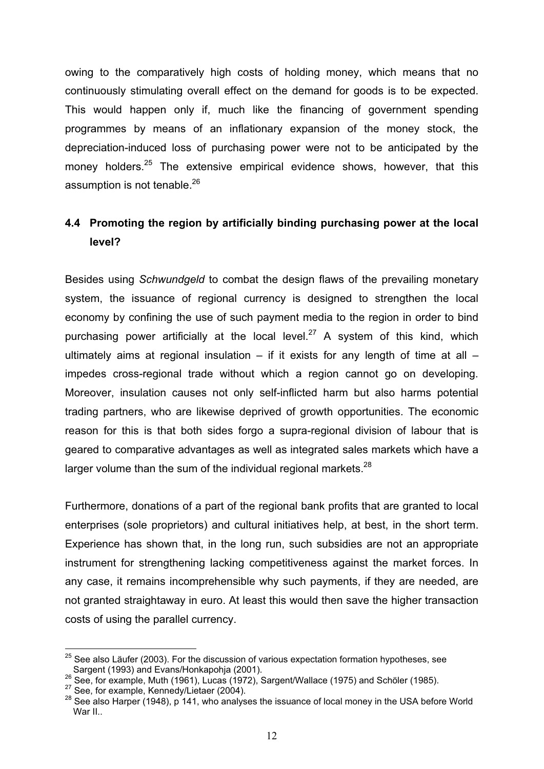owing to the comparatively high costs of holding money, which means that no continuously stimulating overall effect on the demand for goods is to be expected. This would happen only if, much like the financing of government spending programmes by means of an inflationary expansion of the money stock, the depreciation-induced loss of purchasing power were not to be anticipated by the money holders. $25$  The extensive empirical evidence shows, however, that this assumption is not tenable.<sup>26</sup>

# **4.4 Promoting the region by artificially binding purchasing power at the local level?**

Besides using *Schwundgeld* to combat the design flaws of the prevailing monetary system, the issuance of regional currency is designed to strengthen the local economy by confining the use of such payment media to the region in order to bind purchasing power artificially at the local level.<sup>27</sup> A system of this kind, which ultimately aims at regional insulation – if it exists for any length of time at all – impedes cross-regional trade without which a region cannot go on developing. Moreover, insulation causes not only self-inflicted harm but also harms potential trading partners, who are likewise deprived of growth opportunities. The economic reason for this is that both sides forgo a supra-regional division of labour that is geared to comparative advantages as well as integrated sales markets which have a larger volume than the sum of the individual regional markets.<sup>28</sup>

Furthermore, donations of a part of the regional bank profits that are granted to local enterprises (sole proprietors) and cultural initiatives help, at best, in the short term. Experience has shown that, in the long run, such subsidies are not an appropriate instrument for strengthening lacking competitiveness against the market forces. In any case, it remains incomprehensible why such payments, if they are needed, are not granted straightaway in euro. At least this would then save the higher transaction costs of using the parallel currency.

 $25$  See also Läufer (2003). For the discussion of various expectation formation hypotheses, see Sargent (1993) and Evans/Honkapohja (2001).<br><sup>26</sup> See, for example, Muth (1961), Lucas (1972), Sargent/Wallace (1975) and Schöler (1985).<br><sup>27</sup> See, for example, Kennedy/Lietaer (2004).<br><sup>28</sup> See also Harper (1948), p 141, wh

War II..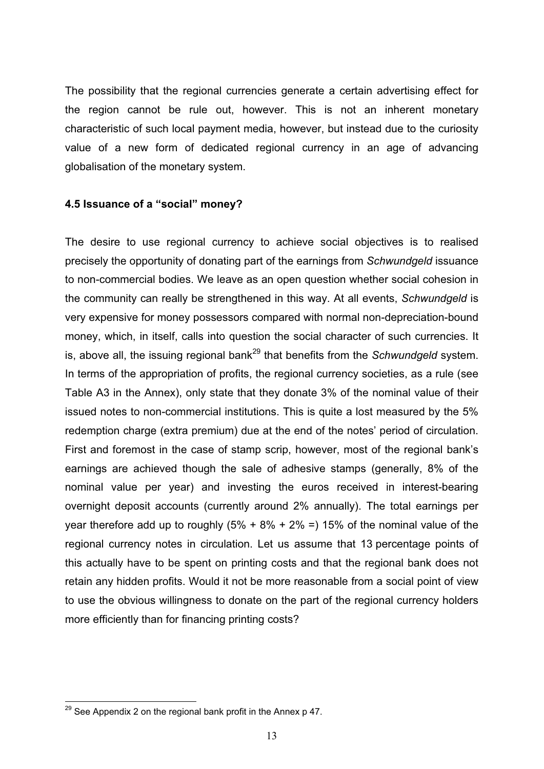The possibility that the regional currencies generate a certain advertising effect for the region cannot be rule out, however. This is not an inherent monetary characteristic of such local payment media, however, but instead due to the curiosity value of a new form of dedicated regional currency in an age of advancing globalisation of the monetary system.

#### **4.5 Issuance of a "social" money?**

The desire to use regional currency to achieve social objectives is to realised precisely the opportunity of donating part of the earnings from *Schwundgeld* issuance to non-commercial bodies. We leave as an open question whether social cohesion in the community can really be strengthened in this way. At all events, *Schwundgeld* is very expensive for money possessors compared with normal non-depreciation-bound money, which, in itself, calls into question the social character of such currencies. It is, above all, the issuing regional bank<sup>29</sup> that benefits from the *Schwundgeld* system. In terms of the appropriation of profits, the regional currency societies, as a rule (see Table A3 in the Annex), only state that they donate 3% of the nominal value of their issued notes to non-commercial institutions. This is quite a lost measured by the 5% redemption charge (extra premium) due at the end of the notes' period of circulation. First and foremost in the case of stamp scrip, however, most of the regional bank's earnings are achieved though the sale of adhesive stamps (generally, 8% of the nominal value per year) and investing the euros received in interest-bearing overnight deposit accounts (currently around 2% annually). The total earnings per year therefore add up to roughly  $(5\% + 8\% + 2\% = 15\%$  of the nominal value of the regional currency notes in circulation. Let us assume that 13 percentage points of this actually have to be spent on printing costs and that the regional bank does not retain any hidden profits. Would it not be more reasonable from a social point of view to use the obvious willingness to donate on the part of the regional currency holders more efficiently than for financing printing costs?

 $29$  See Appendix 2 on the regional bank profit in the Annex p 47.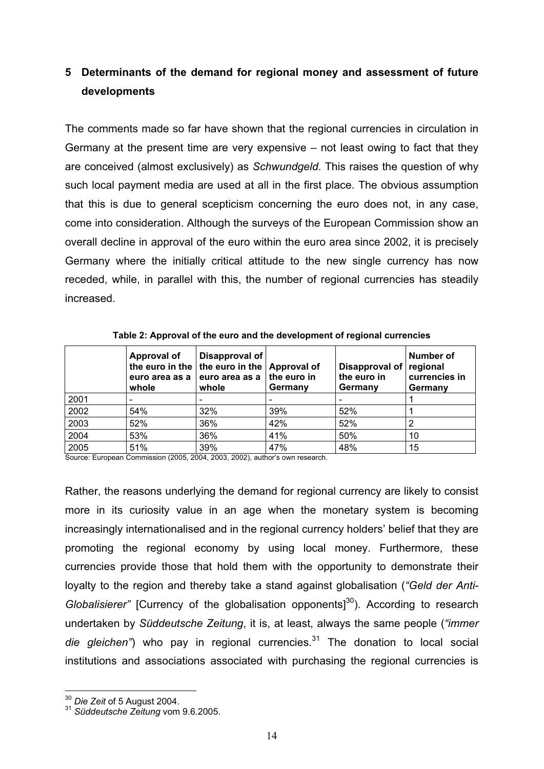# **5 Determinants of the demand for regional money and assessment of future developments**

The comments made so far have shown that the regional currencies in circulation in Germany at the present time are very expensive – not least owing to fact that they are conceived (almost exclusively) as *Schwundgeld*. This raises the question of why such local payment media are used at all in the first place. The obvious assumption that this is due to general scepticism concerning the euro does not, in any case, come into consideration. Although the surveys of the European Commission show an overall decline in approval of the euro within the euro area since 2002, it is precisely Germany where the initially critical attitude to the new single currency has now receded, while, in parallel with this, the number of regional currencies has steadily increased.

|      | <b>Approval of</b><br>euro area as a<br>whole | Disapproval of<br>the euro in the $ $ the euro in the $ $ Approval of<br>euro area as a<br>whole | the euro in<br>Germany | Disapproval of<br>the euro in<br>Germany | Number of<br>regional<br>currencies in<br>Germany |
|------|-----------------------------------------------|--------------------------------------------------------------------------------------------------|------------------------|------------------------------------------|---------------------------------------------------|
| 2001 |                                               | -                                                                                                |                        |                                          |                                                   |
| 2002 | 54%                                           | 32%                                                                                              | 39%                    | 52%                                      |                                                   |
| 2003 | 52%                                           | 36%                                                                                              | 42%                    | 52%                                      |                                                   |
| 2004 | 53%                                           | 36%                                                                                              | 41%                    | 50%                                      | 10                                                |
| 2005 | 51%                                           | 39%                                                                                              | 47%                    | 48%                                      | 15                                                |

**Table 2: Approval of the euro and the development of regional currencies** 

Source: European Commission (2005, 2004, 2003, 2002), author's own research.

Rather, the reasons underlying the demand for regional currency are likely to consist more in its curiosity value in an age when the monetary system is becoming increasingly internationalised and in the regional currency holders' belief that they are promoting the regional economy by using local money. Furthermore, these currencies provide those that hold them with the opportunity to demonstrate their loyalty to the region and thereby take a stand against globalisation (*"Geld der Anti-Globalisierer*" **[Currency of the globalisation opponents]**<sup>30</sup>). According to research undertaken by *Süddeutsche Zeitung*, it is, at least, always the same people (*"immer die gleichen*") who pay in regional currencies.<sup>31</sup> The donation to local social institutions and associations associated with purchasing the regional currencies is

<sup>30</sup> *Die Zeit* of 5 August 2004. 31 *Süddeutsche Zeitung* vom 9.6.2005.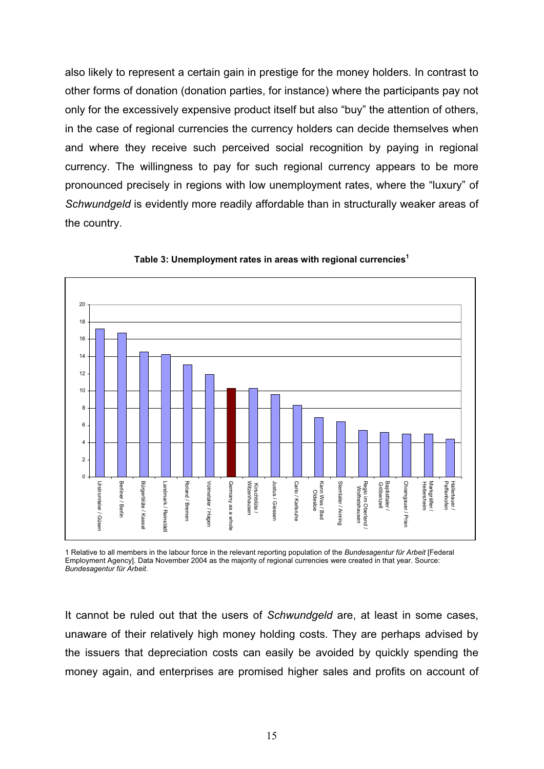also likely to represent a certain gain in prestige for the money holders. In contrast to other forms of donation (donation parties, for instance) where the participants pay not only for the excessively expensive product itself but also "buy" the attention of others, in the case of regional currencies the currency holders can decide themselves when and where they receive such perceived social recognition by paying in regional currency. The willingness to pay for such regional currency appears to be more pronounced precisely in regions with low unemployment rates, where the "luxury" of *Schwundgeld* is evidently more readily affordable than in structurally weaker areas of the country.



**Table 3: Unemployment rates in areas with regional currencies<sup>1</sup>**

1 Relative to all members in the labour force in the relevant reporting population of the *Bundesagentur für Arbeit* [Federal Employment Agency]. Data November 2004 as the majority of regional currencies were created in that year. Source: *Bundesagentur für Arbeit*.

It cannot be ruled out that the users of *Schwundgeld* are, at least in some cases, unaware of their relatively high money holding costs. They are perhaps advised by the issuers that depreciation costs can easily be avoided by quickly spending the money again, and enterprises are promised higher sales and profits on account of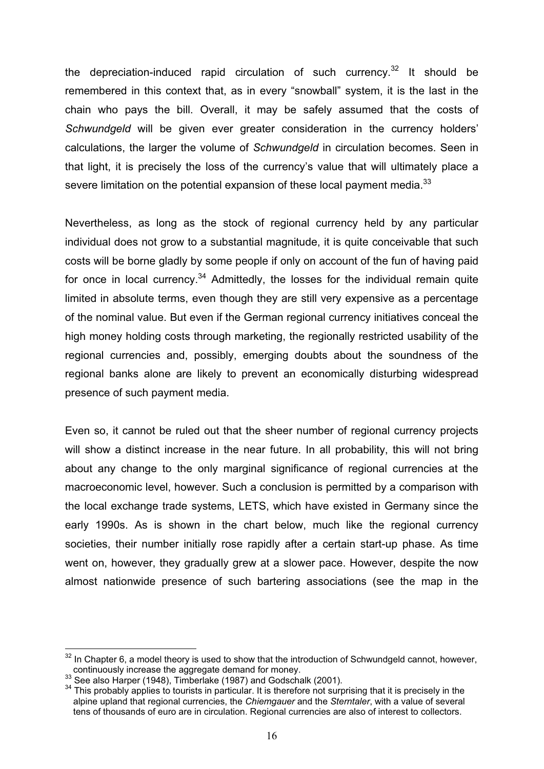the depreciation-induced rapid circulation of such currency.<sup>32</sup> It should be remembered in this context that, as in every "snowball" system, it is the last in the chain who pays the bill. Overall, it may be safely assumed that the costs of *Schwundgeld* will be given ever greater consideration in the currency holders' calculations, the larger the volume of *Schwundgeld* in circulation becomes. Seen in that light, it is precisely the loss of the currency's value that will ultimately place a severe limitation on the potential expansion of these local payment media. $^{33}$ 

Nevertheless, as long as the stock of regional currency held by any particular individual does not grow to a substantial magnitude, it is quite conceivable that such costs will be borne gladly by some people if only on account of the fun of having paid for once in local currency.<sup>34</sup> Admittedly, the losses for the individual remain quite limited in absolute terms, even though they are still very expensive as a percentage of the nominal value. But even if the German regional currency initiatives conceal the high money holding costs through marketing, the regionally restricted usability of the regional currencies and, possibly, emerging doubts about the soundness of the regional banks alone are likely to prevent an economically disturbing widespread presence of such payment media.

Even so, it cannot be ruled out that the sheer number of regional currency projects will show a distinct increase in the near future. In all probability, this will not bring about any change to the only marginal significance of regional currencies at the macroeconomic level, however. Such a conclusion is permitted by a comparison with the local exchange trade systems, LETS, which have existed in Germany since the early 1990s. As is shown in the chart below, much like the regional currency societies, their number initially rose rapidly after a certain start-up phase. As time went on, however, they gradually grew at a slower pace. However, despite the now almost nationwide presence of such bartering associations (see the map in the

 $32$  In Chapter 6, a model theory is used to show that the introduction of Schwundgeld cannot, however, continuously increase the aggregate demand for money.<br>
<sup>33</sup> See also Harper (1948), Timberlake (1987) and Godschalk (2001).<br>
<sup>34</sup> This probably applies to tourists in particular. It is therefore not surprising that it is p

alpine upland that regional currencies, the *Chiemgauer* and the *Sterntaler*, with a value of several tens of thousands of euro are in circulation. Regional currencies are also of interest to collectors.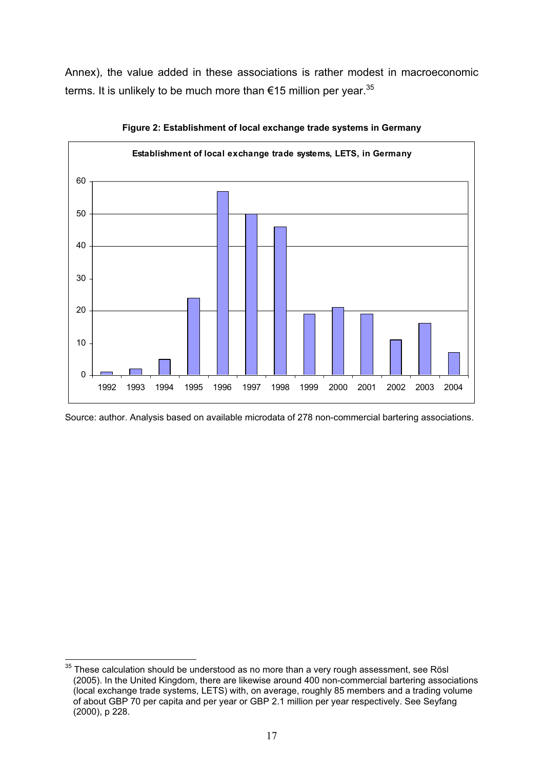Annex), the value added in these associations is rather modest in macroeconomic terms. It is unlikely to be much more than  $€15$  million per year.<sup>35</sup>



**Figure 2: Establishment of local exchange trade systems in Germany** 

Source: author. Analysis based on available microdata of 278 non-commercial bartering associations.

 $35$  These calculation should be understood as no more than a very rough assessment, see Rösl (2005). In the United Kingdom, there are likewise around 400 non-commercial bartering associations (local exchange trade systems, LETS) with, on average, roughly 85 members and a trading volume of about GBP 70 per capita and per year or GBP 2.1 million per year respectively. See Seyfang (2000), p 228.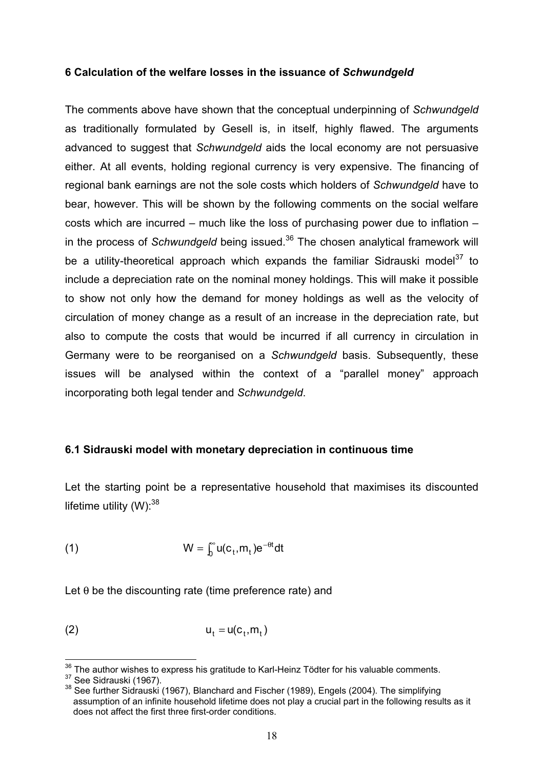#### **6 Calculation of the welfare losses in the issuance of** *Schwundgeld*

The comments above have shown that the conceptual underpinning of *Schwundgeld* as traditionally formulated by Gesell is, in itself, highly flawed. The arguments advanced to suggest that *Schwundgeld* aids the local economy are not persuasive either. At all events, holding regional currency is very expensive. The financing of regional bank earnings are not the sole costs which holders of *Schwundgeld* have to bear, however. This will be shown by the following comments on the social welfare costs which are incurred – much like the loss of purchasing power due to inflation – in the process of *Schwundgeld* being issued.<sup>36</sup> The chosen analytical framework will be a utility-theoretical approach which expands the familiar Sidrauski model<sup>37</sup> to include a depreciation rate on the nominal money holdings. This will make it possible to show not only how the demand for money holdings as well as the velocity of circulation of money change as a result of an increase in the depreciation rate, but also to compute the costs that would be incurred if all currency in circulation in Germany were to be reorganised on a *Schwundgeld* basis. Subsequently, these issues will be analysed within the context of a "parallel money" approach incorporating both legal tender and *Schwundgeld*.

#### **6.1 Sidrauski model with monetary depreciation in continuous time**

Let the starting point be a representative household that maximises its discounted lifetime utility  $(W)$ : 38

(1) 
$$
W = \int_0^\infty u(c_t, m_t) e^{-\theta t} dt
$$

Let  $\theta$  be the discounting rate (time preference rate) and

$$
u_t = u(c_t, m_t)
$$

<sup>&</sup>lt;sup>36</sup> The author wishes to express his gratitude to Karl-Heinz Tödter for his valuable comments.<br><sup>37</sup> See Sidrauski (1967).<br><sup>38</sup> See further Sidrauski (1967), Blanchard and Fischer (1989), Engels (2004). The simplifying

assumption of an infinite household lifetime does not play a crucial part in the following results as it does not affect the first three first-order conditions.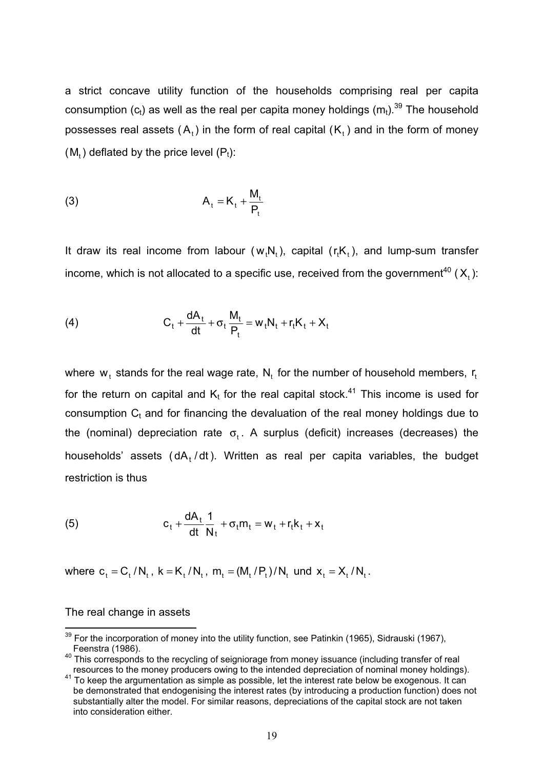a strict concave utility function of the households comprising real per capita consumption  $(c_t)$  as well as the real per capita money holdings  $(m_t)$ .<sup>39</sup> The household possesses real assets  $(A_t)$  in the form of real capital  $(K_t)$  and in the form of money  $(M<sub>t</sub>)$  deflated by the price level  $(P<sub>t</sub>)$ :

$$
A_t = K_t + \frac{M_t}{P_t}
$$

It draw its real income from labour  $(w_tN_t)$ , capital  $(r_tK_t)$ , and lump-sum transfer income, which is not allocated to a specific use, received from the government<sup>40</sup> ( $X<sub>t</sub>$ ):

(4) 
$$
C_t + \frac{dA_t}{dt} + \sigma_t \frac{M_t}{P_t} = w_t N_t + r_t K_t + X_t
$$

where  $w_t$  stands for the real wage rate,  $N_t$  for the number of household members,  $r_t$ for the return on capital and  $K_t$  for the real capital stock.<sup>41</sup> This income is used for consumption  $C<sub>t</sub>$  and for financing the devaluation of the real money holdings due to the (nominal) depreciation rate  $\sigma_t$ . A surplus (deficit) increases (decreases) the households' assets ( $dA_t/dt$ ). Written as real per capita variables, the budget restriction is thus

(5) 
$$
c_t + \frac{dA_t}{dt} \frac{1}{N_t} + \sigma_t m_t = w_t + r_t k_t + x_t
$$

where  $c_t = C_t / N_t$ ,  $k = K_t / N_t$ ,  $m_t = (M_t / P_t) / N_t$  und  $x_t = X_t / N_t$ .

#### The real change in assets

 $39$  For the incorporation of money into the utility function, see Patinkin (1965), Sidrauski (1967),

Feenstra (1986).<br><sup>40</sup> This corresponds to the recycling of seigniorage from money issuance (including transfer of real

resources to the money producers owing to the intended depreciation of nominal money holdings). 41 To keep the argumentation as simple as possible, let the interest rate below be exogenous. It can be demonstrated that endogenising the interest rates (by introducing a production function) does not substantially alter the model. For similar reasons, depreciations of the capital stock are not taken into consideration either.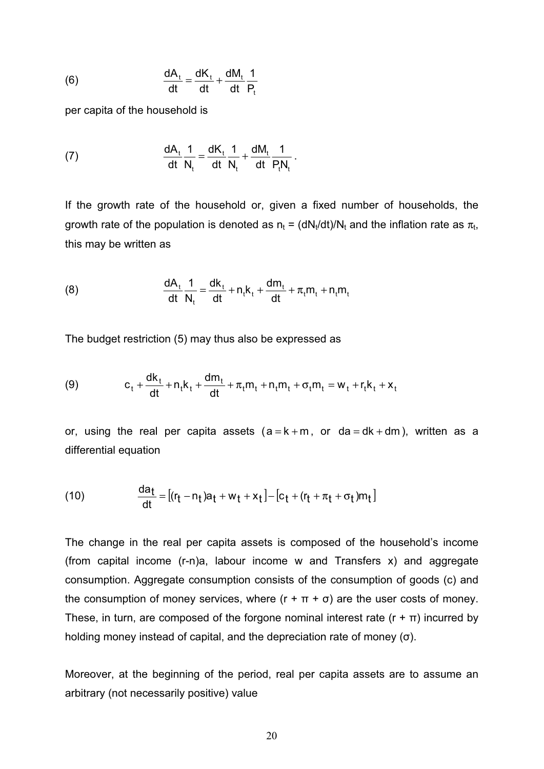(6) 
$$
\frac{dA_t}{dt} = \frac{dK_t}{dt} + \frac{dM_t}{dt} \frac{1}{P_t}
$$

per capita of the household is

(7) 
$$
\frac{dA_t}{dt}\frac{1}{N_t} = \frac{dK_t}{dt}\frac{1}{N_t} + \frac{dM_t}{dt}\frac{1}{P_tN_t}.
$$

If the growth rate of the household or, given a fixed number of households, the growth rate of the population is denoted as  $n_t = (dN_t/dt)/N_t$  and the inflation rate as  $\pi_t$ , this may be written as

(8) 
$$
\frac{dA_t}{dt} \frac{1}{N_t} = \frac{dk_t}{dt} + n_t k_t + \frac{dm_t}{dt} + \pi_t m_t + n_t m_t
$$

The budget restriction (5) may thus also be expressed as

(9) 
$$
c_{t} + \frac{dk_{t}}{dt} + n_{t}k_{t} + \frac{dm_{t}}{dt} + \pi_{t}m_{t} + n_{t}m_{t} + \sigma_{t}m_{t} = w_{t} + r_{t}k_{t} + x_{t}
$$

or, using the real per capita assets  $(a = k + m, or da = dk + dm)$ , written as a differential equation

(10) 
$$
\frac{da_t}{dt} = [(r_t - n_t)a_t + w_t + x_t] - [c_t + (r_t + \pi_t + \sigma_t)m_t]
$$

The change in the real per capita assets is composed of the household's income (from capital income (r-n)a, labour income w and Transfers x) and aggregate consumption. Aggregate consumption consists of the consumption of goods (c) and the consumption of money services, where  $(r + \pi + \sigma)$  are the user costs of money. These, in turn, are composed of the forgone nominal interest rate  $(r + \pi)$  incurred by holding money instead of capital, and the depreciation rate of money  $(\sigma)$ .

Moreover, at the beginning of the period, real per capita assets are to assume an arbitrary (not necessarily positive) value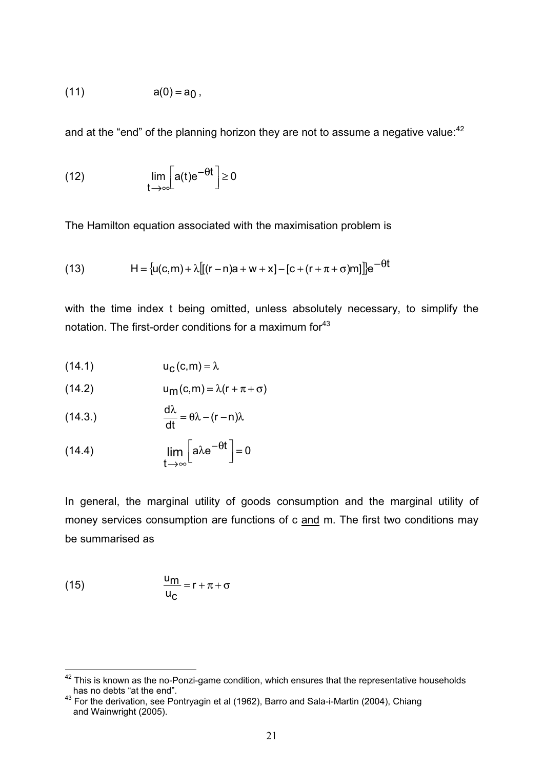(11) 
$$
a(0) = a_0
$$
,

and at the "end" of the planning horizon they are not to assume a negative value:<sup>42</sup>

(12) 
$$
\lim_{t \to \infty} \left[ a(t) e^{-\theta t} \right] \ge 0
$$

The Hamilton equation associated with the maximisation problem is

(13) 
$$
H = \{u(c,m) + \lambda [[(r-n)a + w + x] - [c + (r + \pi + \sigma)m]]\}e^{-\theta t}
$$

with the time index t being omitted, unless absolutely necessary, to simplify the notation. The first-order conditions for a maximum for<sup>43</sup>

$$
(14.1) \t\t\t uC(c,m) = \lambda
$$

$$
(14.2) \t\t\t um(c,m) = \lambda(r + \pi + \sigma)
$$

(14.3.) 
$$
\frac{d\lambda}{dt} = \theta \lambda - (r - n)\lambda
$$

(14.4) 
$$
\lim_{t \to \infty} \left[ a \lambda e^{-\theta t} \right] = 0
$$

In general, the marginal utility of goods consumption and the marginal utility of money services consumption are functions of c and m. The first two conditions may be summarised as

(15) 
$$
\frac{u_m}{u_c} = r + \pi + \sigma
$$

<sup>&</sup>lt;sup>42</sup> This is known as the no-Ponzi-game condition, which ensures that the representative households has no debts "at the end".

 $^{43}$  For the derivation, see Pontryagin et al (1962), Barro and Sala-i-Martin (2004), Chiang and Wainwright (2005).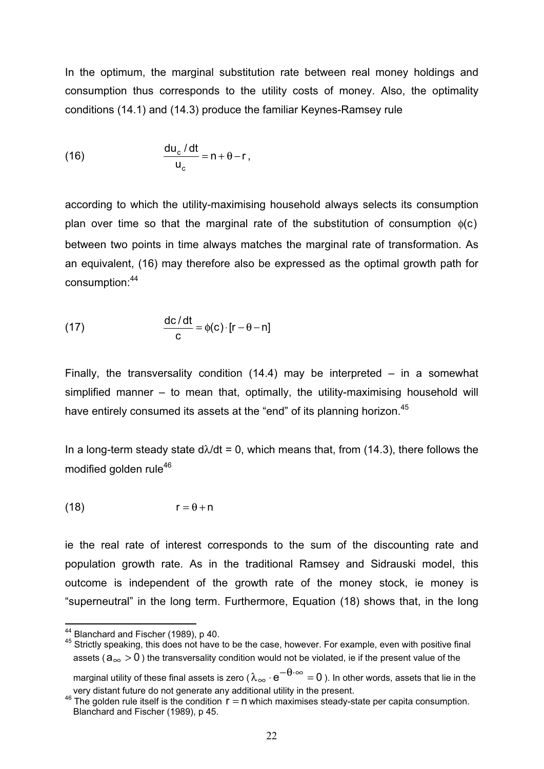In the optimum, the marginal substitution rate between real money holdings and consumption thus corresponds to the utility costs of money. Also, the optimality conditions (14.1) and (14.3) produce the familiar Keynes-Ramsey rule

(16) 
$$
\frac{du_c/dt}{u_c} = n + \theta - r,
$$

according to which the utility-maximising household always selects its consumption plan over time so that the marginal rate of the substitution of consumption  $\phi(c)$ between two points in time always matches the marginal rate of transformation. As an equivalent, (16) may therefore also be expressed as the optimal growth path for consumption:<sup>44</sup>

(17) 
$$
\frac{dc/dt}{c} = \phi(c) \cdot [r - \theta - n]
$$

Finally, the transversality condition  $(14.4)$  may be interpreted – in a somewhat simplified manner – to mean that, optimally, the utility-maximising household will have entirely consumed its assets at the "end" of its planning horizon.<sup>45</sup>

In a long-term steady state  $d\lambda/dt = 0$ , which means that, from (14.3), there follows the modified golden rule<sup>46</sup>

$$
(18) \t\t\t r = \theta + n
$$

ie the real rate of interest corresponds to the sum of the discounting rate and population growth rate. As in the traditional Ramsey and Sidrauski model, this outcome is independent of the growth rate of the money stock, ie money is "superneutral" in the long term. Furthermore, Equation (18) shows that, in the long

<sup>44</sup> Blanchard and Fischer (1989), p 40.<br><sup>45</sup> Strictly speaking, this does not have to be the case, however. For example, even with positive final assets ( $a_{\infty} > 0$ ) the transversality condition would not be violated, ie if the present value of the

marginal utility of these final assets is zero ( $\lambda_{\infty} \cdot e^{-\theta \cdot \infty} = 0$ ). In other words, assets that lie in the very distant future do not generate any additional utility in the present.

 $46$  The golden rule itself is the condition  $r = n$  which maximises steady-state per capita consumption. Blanchard and Fischer (1989), p 45.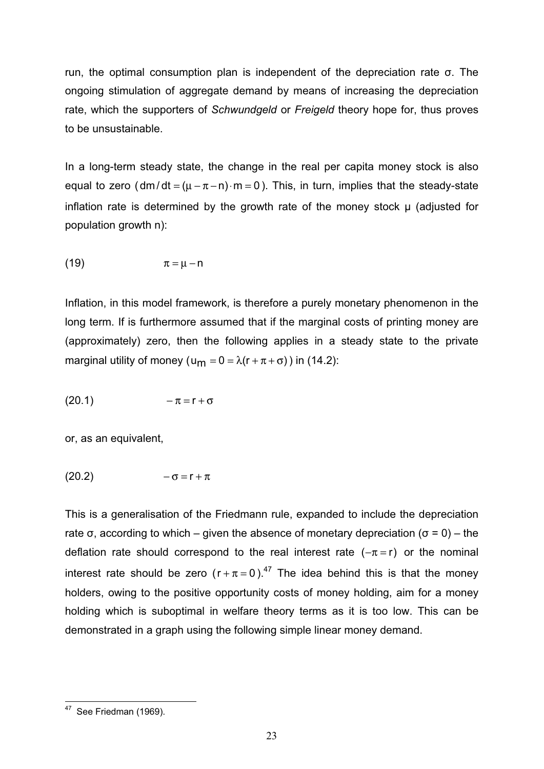run, the optimal consumption plan is independent of the depreciation rate  $\sigma$ . The ongoing stimulation of aggregate demand by means of increasing the depreciation rate, which the supporters of *Schwundgeld* or *Freigeld* theory hope for, thus proves to be unsustainable.

In a long-term steady state, the change in the real per capita money stock is also equal to zero ( $dm/dt = (\mu - \pi - n) \cdot m = 0$ ). This, in turn, implies that the steady-state inflation rate is determined by the growth rate of the money stock  $\mu$  (adjusted for population growth n):

$$
\pi = \mu - n
$$

Inflation, in this model framework, is therefore a purely monetary phenomenon in the long term. If is furthermore assumed that if the marginal costs of printing money are (approximately) zero, then the following applies in a steady state to the private marginal utility of money (u<sub>m</sub> =  $0 = \lambda(r + \pi + \sigma)$ ) in (14.2):

$$
(20.1) \qquad \qquad -\pi = r + \sigma
$$

or, as an equivalent,

$$
(20.2) \qquad \qquad -\sigma = r + \pi
$$

This is a generalisation of the Friedmann rule, expanded to include the depreciation rate  $\sigma$ , according to which – given the absence of monetary depreciation ( $\sigma$  = 0) – the deflation rate should correspond to the real interest rate  $(-\pi = r)$  or the nominal interest rate should be zero  $(r + \pi = 0)^{47}$  The idea behind this is that the money holders, owing to the positive opportunity costs of money holding, aim for a money holding which is suboptimal in welfare theory terms as it is too low. This can be demonstrated in a graph using the following simple linear money demand.

<sup>&</sup>lt;sup>47</sup> See Friedman (1969).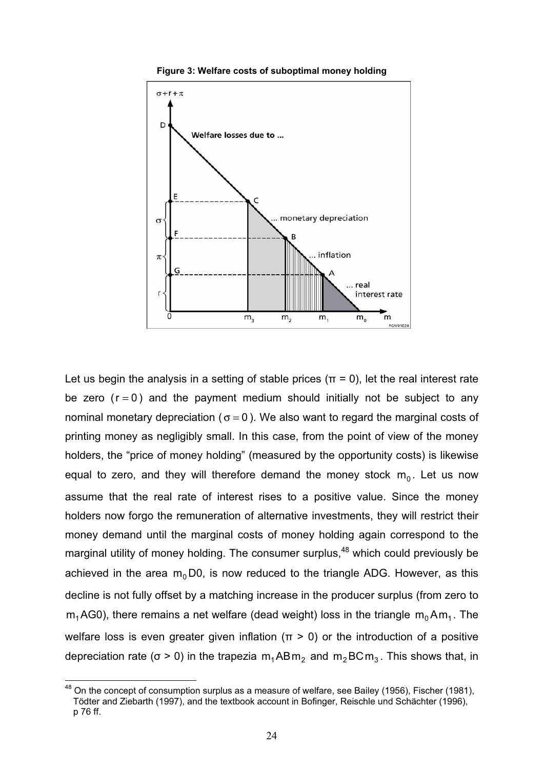

**Figure 3: Welfare costs of suboptimal money holding** 

Let us begin the analysis in a setting of stable prices ( $\pi = 0$ ), let the real interest rate be zero  $(r = 0)$  and the payment medium should initially not be subject to any nominal monetary depreciation ( $\sigma = 0$ ). We also want to regard the marginal costs of printing money as negligibly small. In this case, from the point of view of the money holders, the "price of money holding" (measured by the opportunity costs) is likewise equal to zero, and they will therefore demand the money stock  $m_0$ . Let us now assume that the real rate of interest rises to a positive value. Since the money holders now forgo the remuneration of alternative investments, they will restrict their money demand until the marginal costs of money holding again correspond to the marginal utility of money holding. The consumer surplus,<sup>48</sup> which could previously be achieved in the area  $m_0$ D0, is now reduced to the triangle ADG. However, as this decline is not fully offset by a matching increase in the producer surplus (from zero to  $m_1AG0$ ), there remains a net welfare (dead weight) loss in the triangle  $m_0Am_1$ . The welfare loss is even greater given inflation ( $\pi$  > 0) or the introduction of a positive depreciation rate ( $\sigma > 0$ ) in the trapezia m<sub>1</sub>ABm<sub>2</sub> and m<sub>2</sub>BCm<sub>3</sub>. This shows that, in

 $48$  On the concept of consumption surplus as a measure of welfare, see Bailey (1956), Fischer (1981), Tödter and Ziebarth (1997), and the textbook account in Bofinger, Reischle und Schächter (1996), p 76 ff.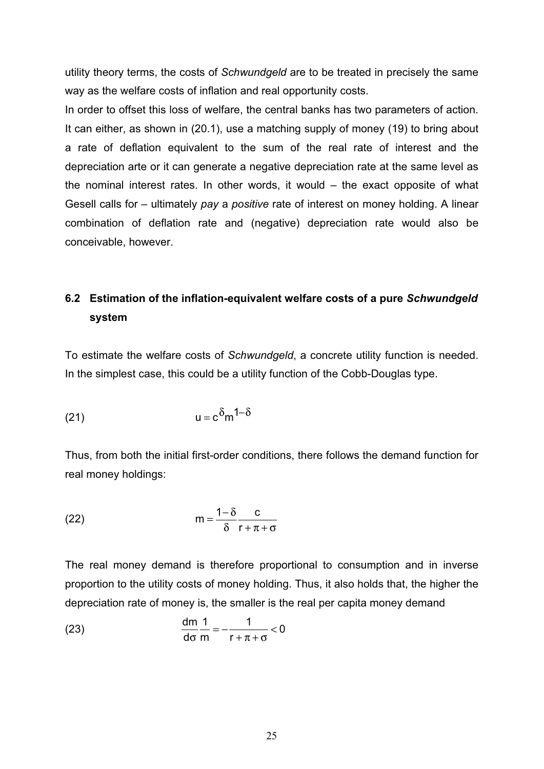utility theory terms, the costs of *Schwundgeld* are to be treated in precisely the same way as the welfare costs of inflation and real opportunity costs.

In order to offset this loss of welfare, the central banks has two parameters of action. It can either, as shown in (20.1), use a matching supply of money (19) to bring about a rate of deflation equivalent to the sum of the real rate of interest and the depreciation arte or it can generate a negative depreciation rate at the same level as the nominal interest rates. In other words, it would – the exact opposite of what Gesell calls for – ultimately *pay* a *positive* rate of interest on money holding. A linear combination of deflation rate and (negative) depreciation rate would also be conceivable, however.

# **6.2 Estimation of the inflation-equivalent welfare costs of a pure** *Schwundgeld* **system**

To estimate the welfare costs of *Schwundgeld*, a concrete utility function is needed. In the simplest case, this could be a utility function of the Cobb-Douglas type.

$$
(21) \t\t u = c \delta_m 1 - \delta
$$

Thus, from both the initial first-order conditions, there follows the demand function for real money holdings:

(22) 
$$
m = \frac{1 - \delta}{\delta} \frac{c}{r + \pi + \sigma}
$$

The real money demand is therefore proportional to consumption and in inverse proportion to the utility costs of money holding. Thus, it also holds that, the higher the depreciation rate of money is, the smaller is the real per capita money demand

(23) 
$$
\frac{dm}{d\sigma} \frac{1}{m} = -\frac{1}{r + \pi + \sigma} < 0
$$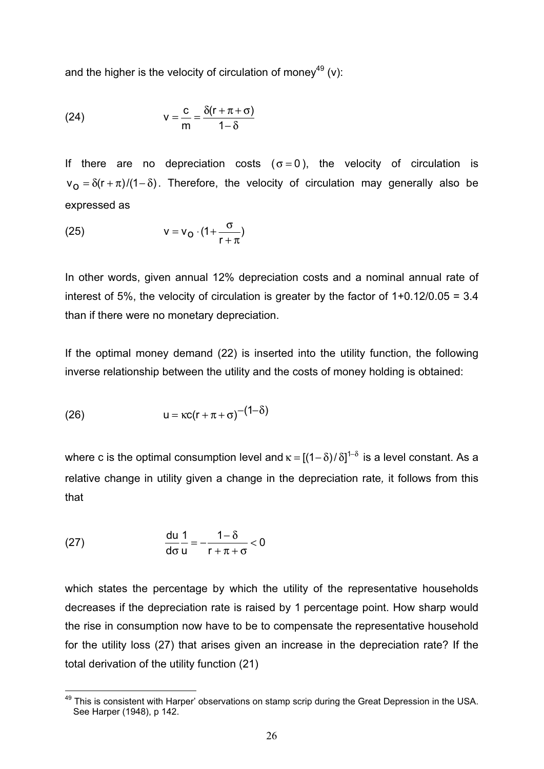and the higher is the velocity of circulation of money<sup>49</sup> (v):

(24) 
$$
v = \frac{c}{m} = \frac{\delta(r + \pi + \sigma)}{1 - \delta}
$$

If there are no depreciation costs ( $\sigma = 0$ ), the velocity of circulation is  $v_0 = \delta(r + \pi)/(1 - \delta)$ . Therefore, the velocity of circulation may generally also be expressed as

$$
(25) \t\t\t v = v_0 \cdot (1 + \frac{\sigma}{r + \pi})
$$

In other words, given annual 12% depreciation costs and a nominal annual rate of interest of 5%, the velocity of circulation is greater by the factor of  $1+0.12/0.05 = 3.4$ than if there were no monetary depreciation.

If the optimal money demand (22) is inserted into the utility function, the following inverse relationship between the utility and the costs of money holding is obtained:

$$
(26) \t\t u = \kappa c (r + \pi + \sigma)^{-(1-\delta)}
$$

where c is the optimal consumption level and  $\kappa = \left[ (1 - \delta)/\delta \right]^{1-\delta}$  is a level constant. As a relative change in utility given a change in the depreciation rate*,* it follows from this that

(27) 
$$
\frac{du}{d\sigma} \frac{1}{u} = -\frac{1-\delta}{r+\pi+\sigma} < 0
$$

which states the percentage by which the utility of the representative households decreases if the depreciation rate is raised by 1 percentage point. How sharp would the rise in consumption now have to be to compensate the representative household for the utility loss (27) that arises given an increase in the depreciation rate? If the total derivation of the utility function (21)

<sup>&</sup>lt;sup>49</sup> This is consistent with Harper' observations on stamp scrip during the Great Depression in the USA. See Harper (1948), p 142.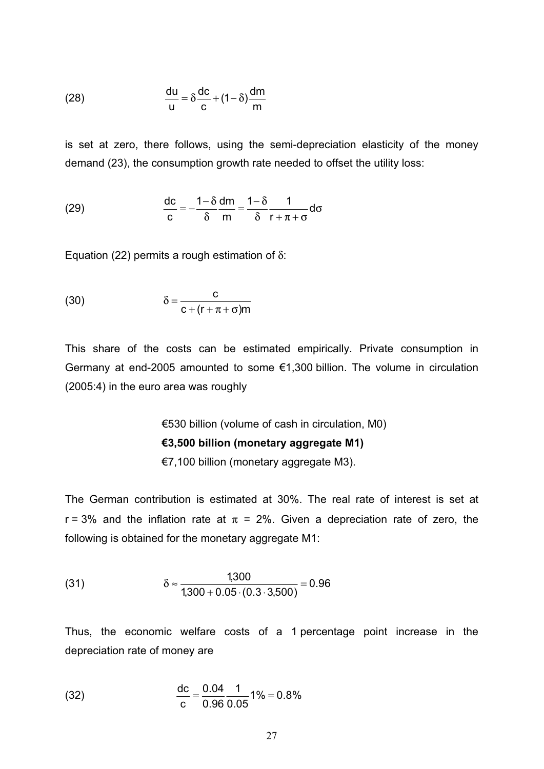(28) 
$$
\frac{du}{u} = \delta \frac{dc}{c} + (1 - \delta) \frac{dm}{m}
$$

is set at zero, there follows, using the semi-depreciation elasticity of the money demand (23), the consumption growth rate needed to offset the utility loss:

(29) 
$$
\frac{dc}{c} = -\frac{1-\delta}{\delta} \frac{dm}{m} = \frac{1-\delta}{\delta} \frac{1}{r+\pi+\sigma} d\sigma
$$

Equation (22) permits a rough estimation of δ:

(30) 
$$
\delta = \frac{c}{c + (r + \pi + \sigma)m}
$$

This share of the costs can be estimated empirically. Private consumption in Germany at end-2005 amounted to some €1,300 billion. The volume in circulation (2005:4) in the euro area was roughly

> €530 billion (volume of cash in circulation, M0) **€3,500 billion (monetary aggregate M1)**

€7,100 billion (monetary aggregate M3).

The German contribution is estimated at 30%. The real rate of interest is set at r = 3% and the inflation rate at  $\pi$  = 2%. Given a depreciation rate of zero, the following is obtained for the monetary aggregate M1:

(31) 
$$
\delta \approx \frac{1,300}{1,300 + 0.05 \cdot (0.3 \cdot 3,500)} = 0.96
$$

Thus, the economic welfare costs of a 1 percentage point increase in the depreciation rate of money are

(32) 
$$
\frac{dc}{c} = \frac{0.04}{0.96} \frac{1}{0.05} 1\% = 0.8\%
$$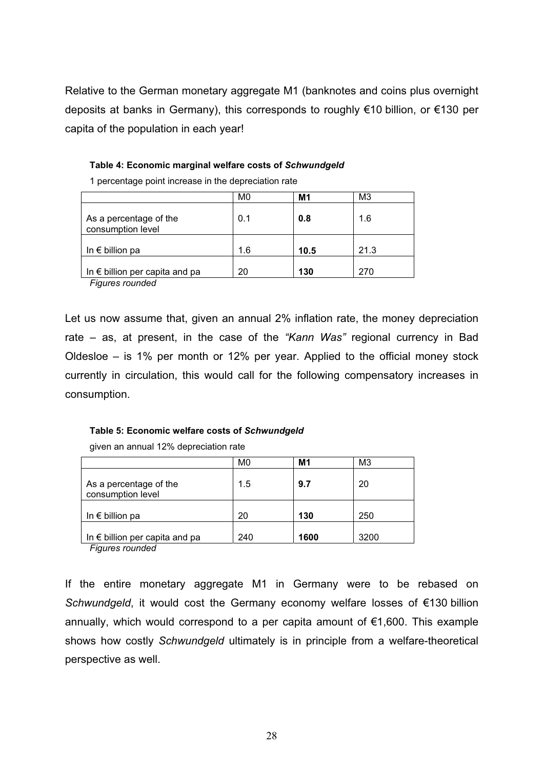Relative to the German monetary aggregate M1 (banknotes and coins plus overnight deposits at banks in Germany), this corresponds to roughly €10 billion, or €130 per capita of the population in each year!

#### **Table 4: Economic marginal welfare costs of** *Schwundgeld*

|                                             | M0  | M1   | M3   |
|---------------------------------------------|-----|------|------|
| As a percentage of the<br>consumption level | 0.1 | 0.8  | 1.6  |
| In $\epsilon$ billion pa                    | 1.6 | 10.5 | 21.3 |
| In $\epsilon$ billion per capita and pa     | 20  | 130  | 270  |

1 percentage point increase in the depreciation rate

*Figures rounded* 

Let us now assume that, given an annual 2% inflation rate, the money depreciation rate – as, at present, in the case of the *"Kann Was"* regional currency in Bad Oldesloe – is 1% per month or 12% per year. Applied to the official money stock currently in circulation, this would call for the following compensatory increases in consumption.

#### **Table 5: Economic welfare costs of** *Schwundgeld*

|                                             | M <sub>0</sub> | M1   | M <sub>3</sub> |
|---------------------------------------------|----------------|------|----------------|
| As a percentage of the<br>consumption level | 1.5            | 9.7  | 20             |
| In $\epsilon$ billion pa                    | 20             | 130  | 250            |
| In $\epsilon$ billion per capita and pa     | 240            | 1600 | 3200           |

given an annual 12% depreciation rate

*Figures rounded* 

If the entire monetary aggregate M1 in Germany were to be rebased on *Schwundgeld*, it would cost the Germany economy welfare losses of €130 billion annually, which would correspond to a per capita amount of  $\epsilon$ 1,600. This example shows how costly *Schwundgeld* ultimately is in principle from a welfare-theoretical perspective as well.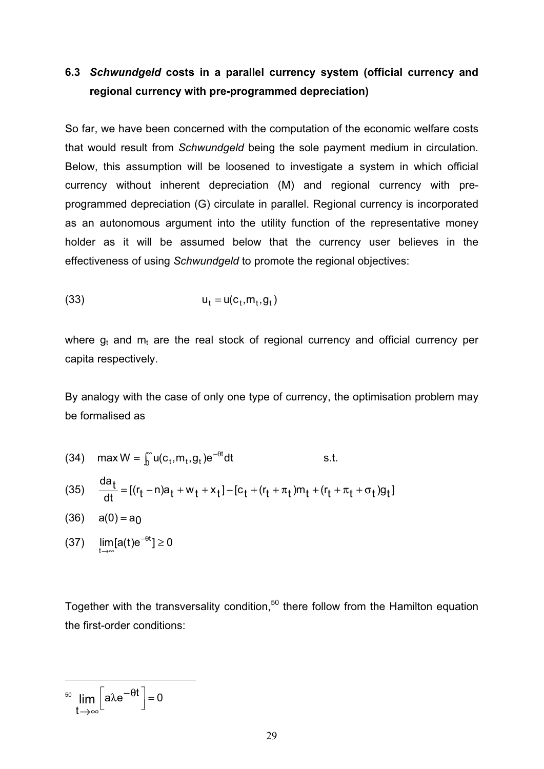# **6.3** *Schwundgeld* **costs in a parallel currency system (official currency and regional currency with pre-programmed depreciation)**

So far, we have been concerned with the computation of the economic welfare costs that would result from *Schwundgeld* being the sole payment medium in circulation. Below, this assumption will be loosened to investigate a system in which official currency without inherent depreciation (M) and regional currency with preprogrammed depreciation (G) circulate in parallel. Regional currency is incorporated as an autonomous argument into the utility function of the representative money holder as it will be assumed below that the currency user believes in the effectiveness of using *Schwundgeld* to promote the regional objectives:

$$
(33) \t\t\t u_t = u(c_t, m_t, g_t)
$$

where  $q_t$  and  $m_t$  are the real stock of regional currency and official currency per capita respectively.

By analogy with the case of only one type of currency, the optimisation problem may be formalised as

(34) max  $W = \int_0^\infty u(c_t, m_t, g_t) e^{-\theta t} dt$  s.t.

(35) 
$$
\frac{da_t}{dt} = [(r_t - n)a_t + w_t + x_t] - [c_t + (r_t + \pi_t)m_t + (r_t + \pi_t + \sigma_t)g_t]
$$

- $(36)$   $a(0) = a<sub>0</sub>$
- (37)  $\lim_{t\to\infty} [a(t)e^{-\theta t}] \ge 0$

Together with the transversality condition, $50$  there follow from the Hamilton equation the first-order conditions:

<sup>50</sup> lim  $|a\lambda e^{-\theta t}|=0$  $\lim_{t\to \infty}$  $\left[\right]$ aλe $^{-\theta t}\right]$ = →∞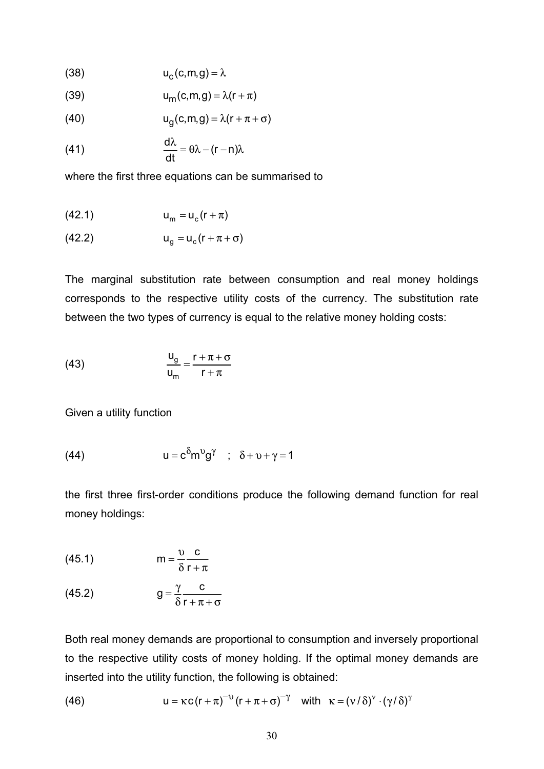$$
(38) \t uc(c,m,g) = \lambda
$$

$$
u_m(c,m,g) = \lambda(r+\pi)
$$

(40) 
$$
u_g(c,m,g) = \lambda(r + \pi + \sigma)
$$

(41) 
$$
\frac{d\lambda}{dt} = \theta \lambda - (r - n)\lambda
$$

where the first three equations can be summarised to

$$
(42.1) \t\t\t u_m = u_c(r + \pi)
$$

$$
(42.2) \t\t\t u_g = u_c(r + \pi + \sigma)
$$

The marginal substitution rate between consumption and real money holdings corresponds to the respective utility costs of the currency. The substitution rate between the two types of currency is equal to the relative money holding costs:

(43) 
$$
\frac{u_g}{u_m} = \frac{r + \pi + \sigma}{r + \pi}
$$

Given a utility function

(44) 
$$
u = c^{\delta} m^{\upsilon} g^{\gamma} \quad ; \quad \delta + \upsilon + \gamma = 1
$$

the first three first-order conditions produce the following demand function for real money holdings:

$$
(45.1) \t m = \frac{v}{\delta} \frac{c}{r + \pi}
$$

$$
(45.2) \t\t g = \frac{\gamma}{\delta} \frac{c}{r + \pi + \sigma}
$$

Both real money demands are proportional to consumption and inversely proportional to the respective utility costs of money holding. If the optimal money demands are inserted into the utility function, the following is obtained:

(46) 
$$
u = \kappa c (r + \pi)^{-\upsilon} (r + \pi + \sigma)^{-\gamma} \text{ with } \kappa = (v/\delta)^{\upsilon} \cdot (\gamma/\delta)^{\gamma}
$$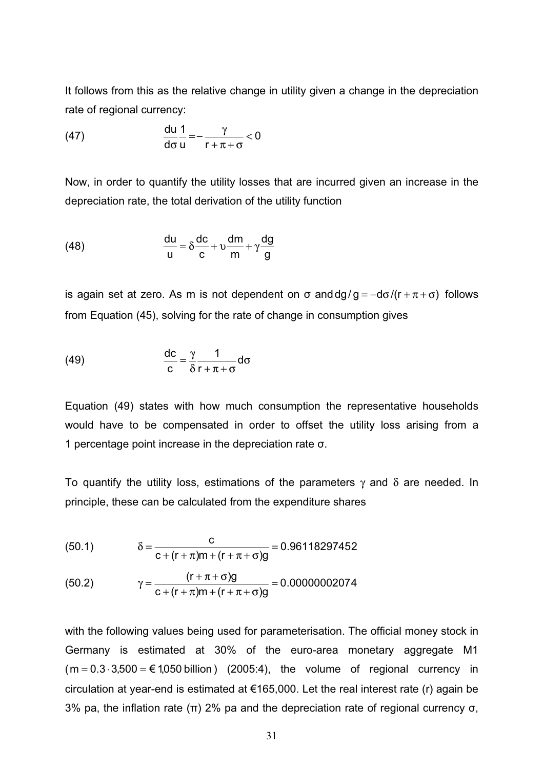It follows from this as the relative change in utility given a change in the depreciation rate of regional currency:

(47) 
$$
\frac{du}{d\sigma} \frac{1}{u} = -\frac{\gamma}{r + \pi + \sigma} < 0
$$

Now, in order to quantify the utility losses that are incurred given an increase in the depreciation rate, the total derivation of the utility function

(48) 
$$
\frac{du}{u} = \delta \frac{dc}{c} + v \frac{dm}{m} + \gamma \frac{dg}{g}
$$

is again set at zero. As m is not dependent on  $\sigma$  and  $dg/g = -d\sigma/(r + \pi + \sigma)$  follows from Equation (45), solving for the rate of change in consumption gives

(49) 
$$
\frac{dc}{c} = \frac{\gamma}{\delta} \frac{1}{r + \pi + \sigma} d\sigma
$$

Equation (49) states with how much consumption the representative households would have to be compensated in order to offset the utility loss arising from a 1 percentage point increase in the depreciation rate  $\sigma$ .

To quantify the utility loss, estimations of the parameters  $\gamma$  and  $\delta$  are needed. In principle, these can be calculated from the expenditure shares

(50.1) 
$$
\delta = \frac{c}{c + (r + \pi)m + (r + \pi + \sigma)g} = 0.96118297452
$$

(50.2) 
$$
\gamma = \frac{(r + \pi + \sigma)g}{c + (r + \pi)m + (r + \pi + \sigma)g} = 0.00000002074
$$

with the following values being used for parameterisation. The official money stock in Germany is estimated at 30% of the euro-area monetary aggregate M1  $(m = 0.3 \cdot 3,500 = \text{\textsterling} 1,050$  billion  $(2005:4)$ , the volume of regional currency in circulation at year-end is estimated at  $€165,000$ . Let the real interest rate (r) again be 3% pa, the inflation rate ( $\pi$ ) 2% pa and the depreciation rate of regional currency  $\sigma$ ,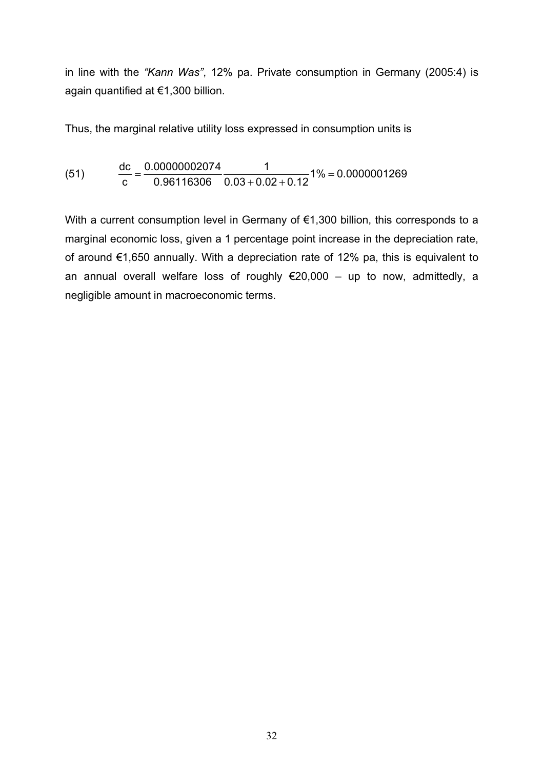in line with the *"Kann Was"*, 12% pa. Private consumption in Germany (2005:4) is again quantified at €1,300 billion.

Thus, the marginal relative utility loss expressed in consumption units is

(51) 
$$
\frac{dc}{c} = \frac{0.00000002074}{0.96116306} \frac{1}{0.03 + 0.02 + 0.12}1\% = 0.0000001269
$$

With a current consumption level in Germany of €1,300 billion, this corresponds to a marginal economic loss, given a 1 percentage point increase in the depreciation rate, of around €1,650 annually. With a depreciation rate of 12% pa, this is equivalent to an annual overall welfare loss of roughly €20,000 – up to now, admittedly, a negligible amount in macroeconomic terms.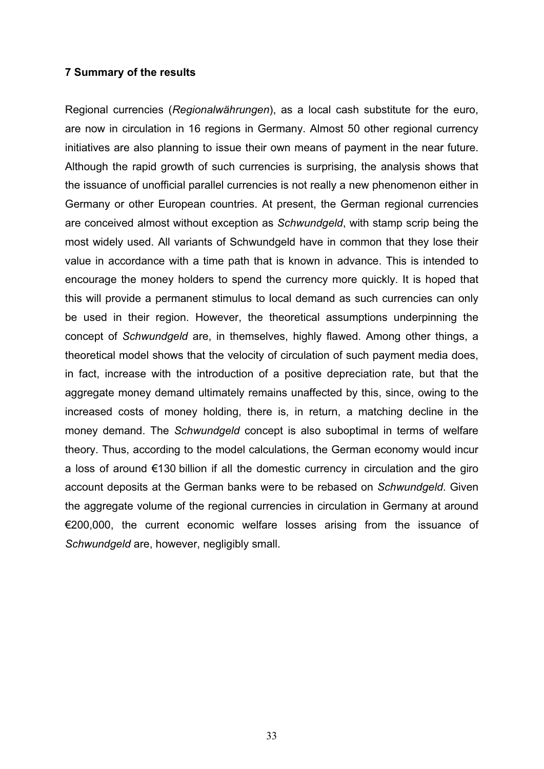#### **7 Summary of the results**

Regional currencies (*Regionalwährungen*), as a local cash substitute for the euro, are now in circulation in 16 regions in Germany. Almost 50 other regional currency initiatives are also planning to issue their own means of payment in the near future. Although the rapid growth of such currencies is surprising, the analysis shows that the issuance of unofficial parallel currencies is not really a new phenomenon either in Germany or other European countries. At present, the German regional currencies are conceived almost without exception as *Schwundgeld*, with stamp scrip being the most widely used. All variants of Schwundgeld have in common that they lose their value in accordance with a time path that is known in advance. This is intended to encourage the money holders to spend the currency more quickly. It is hoped that this will provide a permanent stimulus to local demand as such currencies can only be used in their region. However, the theoretical assumptions underpinning the concept of *Schwundgeld* are, in themselves, highly flawed. Among other things, a theoretical model shows that the velocity of circulation of such payment media does, in fact, increase with the introduction of a positive depreciation rate, but that the aggregate money demand ultimately remains unaffected by this, since, owing to the increased costs of money holding, there is, in return, a matching decline in the money demand. The *Schwundgeld* concept is also suboptimal in terms of welfare theory. Thus, according to the model calculations, the German economy would incur a loss of around €130 billion if all the domestic currency in circulation and the giro account deposits at the German banks were to be rebased on *Schwundgeld*. Given the aggregate volume of the regional currencies in circulation in Germany at around €200,000, the current economic welfare losses arising from the issuance of *Schwundgeld* are, however, negligibly small.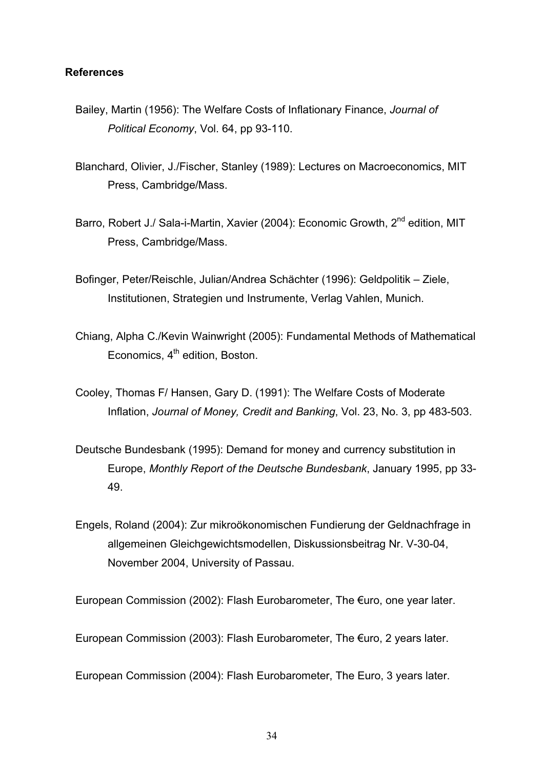#### **References**

- Bailey, Martin (1956): The Welfare Costs of Inflationary Finance, *Journal of Political Economy*, Vol. 64, pp 93-110.
- Blanchard, Olivier, J./Fischer, Stanley (1989): Lectures on Macroeconomics, MIT Press, Cambridge/Mass.
- Barro, Robert J./ Sala-i-Martin, Xavier (2004): Economic Growth. 2<sup>nd</sup> edition. MIT Press, Cambridge/Mass.
- Bofinger, Peter/Reischle, Julian/Andrea Schächter (1996): Geldpolitik Ziele, Institutionen, Strategien und Instrumente, Verlag Vahlen, Munich.
- Chiang, Alpha C./Kevin Wainwright (2005): Fundamental Methods of Mathematical Economics,  $4<sup>th</sup>$  edition, Boston.
- Cooley, Thomas F/ Hansen, Gary D. (1991): The Welfare Costs of Moderate Inflation, *Journal of Money, Credit and Banking*, Vol. 23, No. 3, pp 483-503.
- Deutsche Bundesbank (1995): Demand for money and currency substitution in Europe, *Monthly Report of the Deutsche Bundesbank*, January 1995, pp 33- 49.
- Engels, Roland (2004): Zur mikroökonomischen Fundierung der Geldnachfrage in allgemeinen Gleichgewichtsmodellen, Diskussionsbeitrag Nr. V-30-04, November 2004, University of Passau.

European Commission (2002): Flash Eurobarometer, The €uro, one year later.

European Commission (2003): Flash Eurobarometer, The €uro, 2 years later.

European Commission (2004): Flash Eurobarometer, The Euro, 3 years later.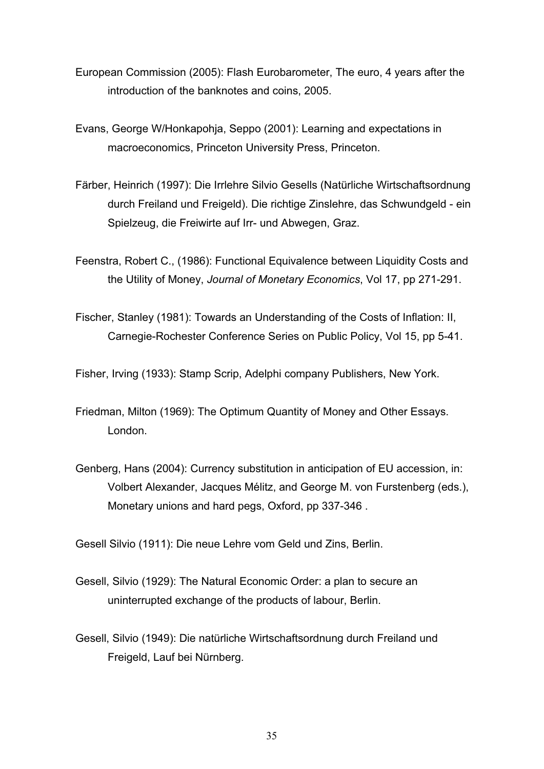- European Commission (2005): Flash Eurobarometer, The euro, 4 years after the introduction of the banknotes and coins, 2005.
- Evans, George W/Honkapohja, Seppo (2001): Learning and expectations in macroeconomics, Princeton University Press, Princeton.
- Färber, Heinrich (1997): Die Irrlehre Silvio Gesells (Natürliche Wirtschaftsordnung durch Freiland und Freigeld). Die richtige Zinslehre, das Schwundgeld - ein Spielzeug, die Freiwirte auf Irr- und Abwegen, Graz.
- Feenstra, Robert C., (1986): Functional Equivalence between Liquidity Costs and the Utility of Money, *Journal of Monetary Economics*, Vol 17, pp 271-291.
- Fischer, Stanley (1981): Towards an Understanding of the Costs of Inflation: II, Carnegie-Rochester Conference Series on Public Policy, Vol 15, pp 5-41.

Fisher, Irving (1933): Stamp Scrip, Adelphi company Publishers, New York.

- Friedman, Milton (1969): The Optimum Quantity of Money and Other Essays. London.
- Genberg, Hans (2004): Currency substitution in anticipation of EU accession, in: Volbert Alexander, Jacques Mélitz, and George M. von Furstenberg (eds.), Monetary unions and hard pegs, Oxford, pp 337-346 .

Gesell Silvio (1911): Die neue Lehre vom Geld und Zins, Berlin.

- Gesell, Silvio (1929): The Natural Economic Order: a plan to secure an uninterrupted exchange of the products of labour, Berlin.
- Gesell, Silvio (1949): Die natürliche Wirtschaftsordnung durch Freiland und Freigeld, Lauf bei Nürnberg.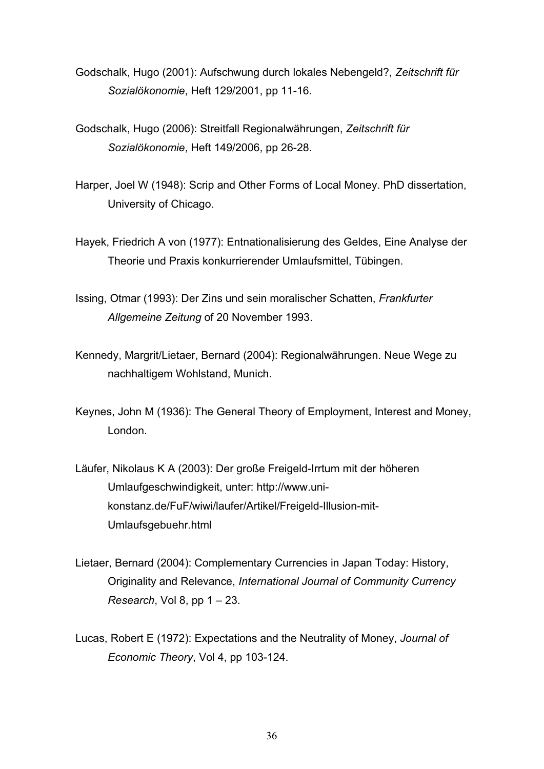- Godschalk, Hugo (2001): Aufschwung durch lokales Nebengeld?, *Zeitschrift für Sozialökonomie*, Heft 129/2001, pp 11-16.
- Godschalk, Hugo (2006): Streitfall Regionalwährungen, *Zeitschrift für Sozialökonomie*, Heft 149/2006, pp 26-28.
- Harper, Joel W (1948): Scrip and Other Forms of Local Money. PhD dissertation, University of Chicago.
- Hayek, Friedrich A von (1977): Entnationalisierung des Geldes, Eine Analyse der Theorie und Praxis konkurrierender Umlaufsmittel, Tübingen.
- Issing, Otmar (1993): Der Zins und sein moralischer Schatten, *Frankfurter Allgemeine Zeitung* of 20 November 1993.
- Kennedy, Margrit/Lietaer, Bernard (2004): Regionalwährungen. Neue Wege zu nachhaltigem Wohlstand, Munich.
- Keynes, John M (1936): The General Theory of Employment, Interest and Money, London.
- Läufer, Nikolaus K A (2003): Der große Freigeld-Irrtum mit der höheren Umlaufgeschwindigkeit, unter: http://www.unikonstanz.de/FuF/wiwi/laufer/Artikel/Freigeld-Illusion-mit-Umlaufsgebuehr.html
- Lietaer, Bernard (2004): Complementary Currencies in Japan Today: History, Originality and Relevance, *International Journal of Community Currency Research*, Vol 8, pp 1 – 23.
- Lucas, Robert E (1972): Expectations and the Neutrality of Money, *Journal of Economic Theory*, Vol 4, pp 103-124.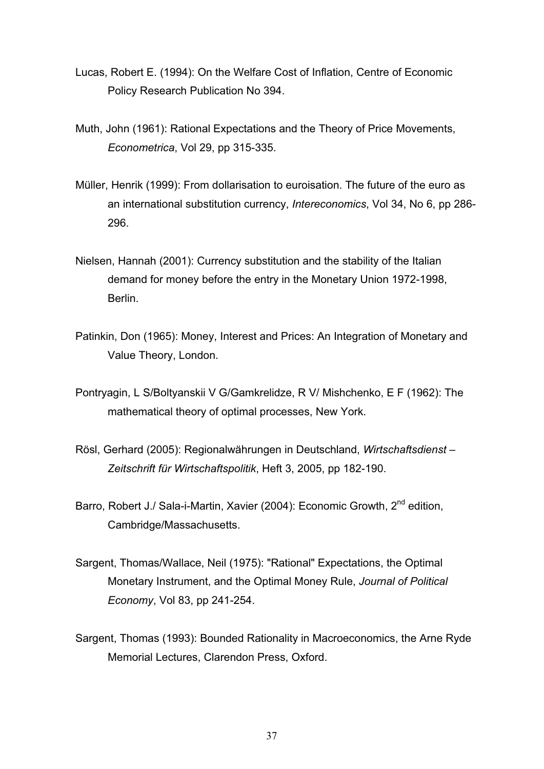- Lucas, Robert E. (1994): On the Welfare Cost of Inflation, Centre of Economic Policy Research Publication No 394.
- Muth, John (1961): Rational Expectations and the Theory of Price Movements, *Econometrica*, Vol 29, pp 315-335.
- Müller, Henrik (1999): From dollarisation to euroisation. The future of the euro as an international substitution currency, *Intereconomics*, Vol 34, No 6, pp 286- 296.
- Nielsen, Hannah (2001): Currency substitution and the stability of the Italian demand for money before the entry in the Monetary Union 1972-1998, Berlin.
- Patinkin, Don (1965): Money, Interest and Prices: An Integration of Monetary and Value Theory, London.
- Pontryagin, L S/Boltyanskii V G/Gamkrelidze, R V/ Mishchenko, E F (1962): The mathematical theory of optimal processes, New York.
- Rösl, Gerhard (2005): Regionalwährungen in Deutschland, *Wirtschaftsdienst Zeitschrift für Wirtschaftspolitik*, Heft 3, 2005, pp 182-190.
- Barro, Robert J./ Sala-i-Martin, Xavier (2004): Economic Growth, 2<sup>nd</sup> edition, Cambridge/Massachusetts.
- Sargent, Thomas/Wallace, Neil (1975): "Rational" Expectations, the Optimal Monetary Instrument, and the Optimal Money Rule, *Journal of Political Economy*, Vol 83, pp 241-254.
- Sargent, Thomas (1993): Bounded Rationality in Macroeconomics, the Arne Ryde Memorial Lectures, Clarendon Press, Oxford.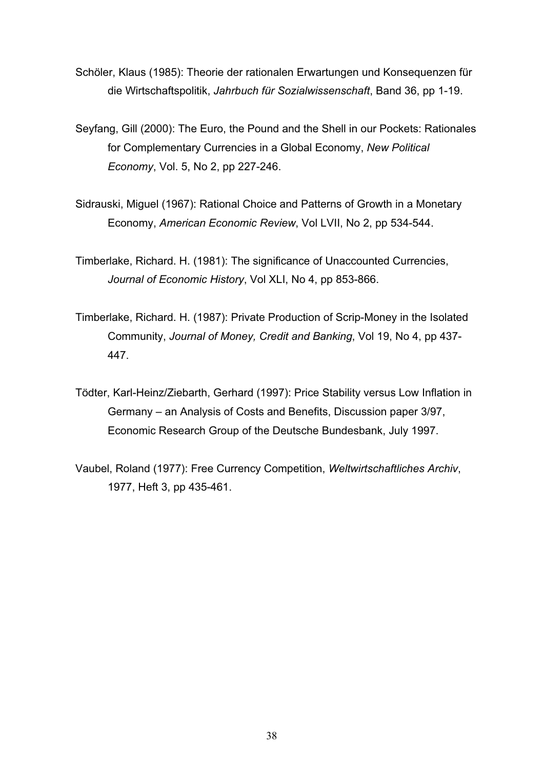- Schöler, Klaus (1985): Theorie der rationalen Erwartungen und Konsequenzen für die Wirtschaftspolitik, *Jahrbuch für Sozialwissenschaft*, Band 36, pp 1-19.
- Seyfang, Gill (2000): The Euro, the Pound and the Shell in our Pockets: Rationales for Complementary Currencies in a Global Economy, *New Political Economy*, Vol. 5, No 2, pp 227-246.
- Sidrauski, Miguel (1967): Rational Choice and Patterns of Growth in a Monetary Economy, *American Economic Review*, Vol LVII, No 2, pp 534-544.
- Timberlake, Richard. H. (1981): The significance of Unaccounted Currencies, *Journal of Economic History*, Vol XLI, No 4, pp 853-866.
- Timberlake, Richard. H. (1987): Private Production of Scrip-Money in the Isolated Community, *Journal of Money, Credit and Banking*, Vol 19, No 4, pp 437- 447.
- Tödter, Karl-Heinz/Ziebarth, Gerhard (1997): Price Stability versus Low Inflation in Germany – an Analysis of Costs and Benefits, Discussion paper 3/97, Economic Research Group of the Deutsche Bundesbank, July 1997.
- Vaubel, Roland (1977): Free Currency Competition, *Weltwirtschaftliches Archiv*, 1977, Heft 3, pp 435-461.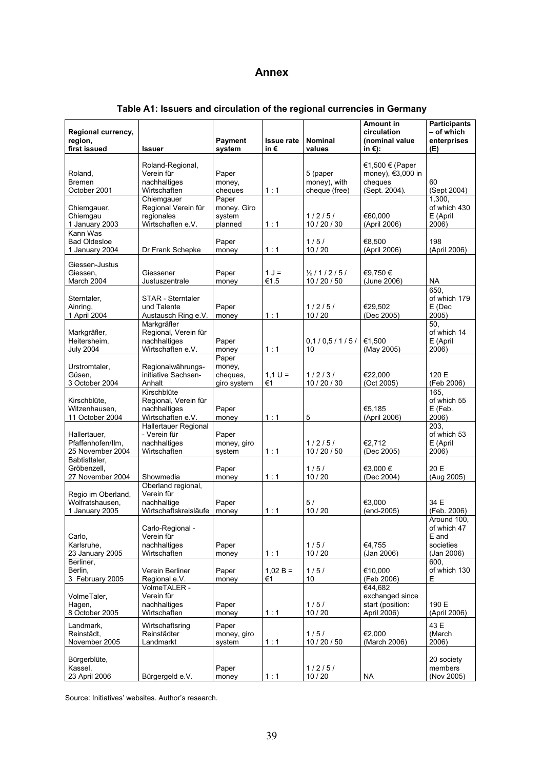### **Annex**

| Regional currency,<br>region,<br>first issued           | <b>Issuer</b>                                                               | Payment<br>system                          | <b>Issue rate</b><br>in€ | <b>Nominal</b><br>values                  | <b>Amount in</b><br>circulation<br>(nominal value<br>in $\varepsilon$ ): | <b>Participants</b><br>- of which<br>enterprises<br>(E)        |
|---------------------------------------------------------|-----------------------------------------------------------------------------|--------------------------------------------|--------------------------|-------------------------------------------|--------------------------------------------------------------------------|----------------------------------------------------------------|
| Roland,<br><b>Bremen</b><br>October 2001                | Roland-Regional,<br>Verein für<br>nachhaltiges<br>Wirtschaften              | Paper<br>money,<br>cheques                 | 1:1                      | 5 (paper<br>money), with<br>cheque (free) | €1,500 € (Paper<br>money), €3,000 in<br>cheques<br>(Sept. 2004).         | 60<br>(Sept 2004)                                              |
| Chiemgauer,<br>Chiemgau<br>1 January 2003               | Chiemgauer<br>Regional Verein für<br>regionales<br>Wirtschaften e.V.        | Paper<br>money. Giro<br>system<br>planned  | 1:1                      | 1/2/5/<br>10 / 20 / 30                    | €60.000<br>(April 2006)                                                  | 1,300,<br>of which 430<br>E (April<br>2006)                    |
| Kann Was<br><b>Bad Oldesloe</b><br>1 January 2004       | Dr Frank Schepke                                                            | Paper<br>money                             | 1:1                      | 1/5/<br>10/20                             | €8.500<br>(April 2006)                                                   | 198<br>(April 2006)                                            |
| Giessen-Justus<br>Giessen,<br>March 2004                | Giessener<br>Justuszentrale                                                 | Paper<br>money                             | $1 J =$<br>€1.5          | $\frac{1}{2}$ /1/2/5/<br>10 / 20 / 50     | €9,750€<br>(June 2006)                                                   | <b>NA</b>                                                      |
| Sterntaler,<br>Ainring,<br>1 April 2004                 | STAR - Sterntaler<br>und Talente<br>Austausch Ring e.V.                     | Paper<br>money                             | 1:1                      | 1/2/5/<br>10/20                           | €29,502<br>(Dec 2005)                                                    | 650.<br>of which 179<br>E (Dec<br>2005)                        |
| Markgräfler,<br>Heitersheim,<br><b>July 2004</b>        | Markgräfler<br>Regional, Verein für<br>nachhaltiges<br>Wirtschaften e.V.    | Paper<br>money                             | 1:1                      | 0,1/0,5/1/5/<br>10                        | €1,500<br>(May 2005)                                                     | 50,<br>of which 14<br>E (April<br>2006)                        |
| Urstromtaler,<br>Güsen.<br>3 October 2004               | Regionalwährungs-<br>initiative Sachsen-<br>Anhalt                          | Paper<br>money,<br>cheques,<br>giro system | $1,1 U =$<br>€1          | 1/2/3/<br>10 / 20 / 30                    | €22,000<br>(Oct 2005)                                                    | 120 E<br>(Feb 2006)                                            |
| Kirschblüte,<br>Witzenhausen,<br>11 October 2004        | Kirschblüte<br>Regional, Verein für<br>nachhaltiges<br>Wirtschaften e.V.    | Paper<br>money                             | 1:1                      | 5                                         | €5,185<br>(April 2006)                                                   | 165.<br>of which 55<br>E (Feb.<br>2006)                        |
| Hallertauer,<br>Pfaffenhofen/Ilm,<br>25 November 2004   | <b>Hallertauer Regional</b><br>- Verein für<br>nachhaltiges<br>Wirtschaften | Paper<br>money, giro<br>system             | 1:1                      | 1/2/5/<br>10 / 20 / 50                    | €2.712<br>(Dec 2005)                                                     | 203,<br>of which 53<br>E (April<br>2006)                       |
| Babtisttaler,<br>Gröbenzell,<br>27 November 2004        | Showmedia<br>Oberland regional,                                             | Paper<br>money                             | 1:1                      | 1/5/<br>10/20                             | €3,000 €<br>(Dec 2004)                                                   | 20 E<br>(Aug 2005)                                             |
| Regio im Oberland,<br>Wolfratshausen.<br>1 January 2005 | Verein für<br>nachhaltige<br>Wirtschaftskreisläufe                          | Paper<br>money                             | 1:1                      | 5/<br>10/20                               | €3,000<br>(end-2005)                                                     | 34 E<br>(Feb. 2006)                                            |
| Carlo,<br>Karlsruhe,<br>23 January 2005                 | Carlo-Regional -<br>Verein für<br>nachhaltiges<br>Wirtschaften              | Paper<br>money                             | 1:1                      | 1/5/<br>10/20                             | €4,755<br>(Jan 2006)                                                     | Around 100,<br>of which 47<br>E and<br>societies<br>(Jan 2006) |
| Berliner,<br>Berlin,<br>3 February 2005                 | Verein Berliner<br>Regional e.V.                                            | Paper<br>money                             | $1,02 B =$<br>€1         | 1/5/<br>$10$                              | €10.000<br>(Feb 2006)                                                    | 600,<br>of which 130<br>Е                                      |
| VolmeTaler,<br>Hagen,<br>8 October 2005                 | VolmeTALER -<br>Verein für<br>nachhaltiges<br>Wirtschaften                  | Paper<br>money                             | 1:1                      | 1/5/<br>10/20                             | €44,682<br>exchanged since<br>start (position:<br>April 2006)            | 190 E<br>(April 2006)                                          |
| Landmark,<br>Reinstädt,<br>November 2005                | Wirtschaftsring<br>Reinstädter<br>Landmarkt                                 | Paper<br>money, giro<br>system             | 1:1                      | 1/5/<br>10 / 20 / 50                      | €2,000<br>(March 2006)                                                   | 43 E<br>(March<br>2006)                                        |
| Bürgerblüte,<br>Kassel,<br>23 April 2006                | Bürgergeld e.V.                                                             | Paper<br>money                             | 1:1                      | 1/2/5/<br>10/20                           | <b>NA</b>                                                                | 20 society<br>members<br>(Nov 2005)                            |

# **Table A1: Issuers and circulation of the regional currencies in Germany**

Source: Initiatives' websites. Author's research.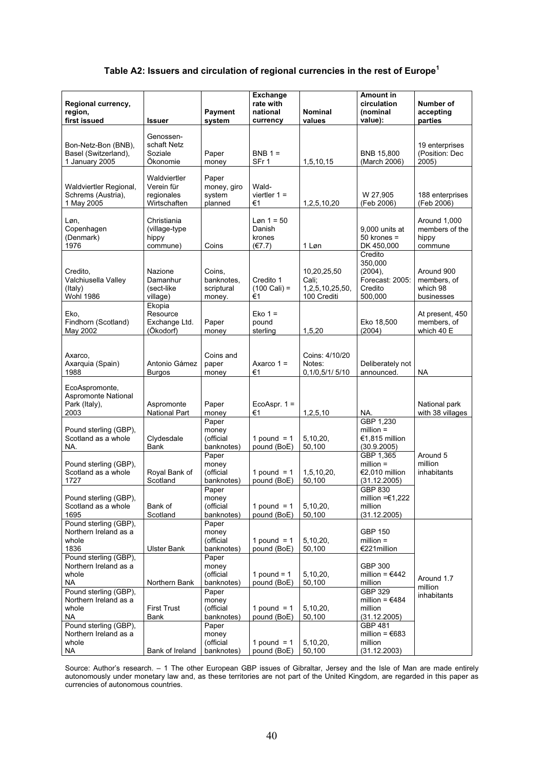### **Table A2: Issuers and circulation of regional currencies in the rest of Europe<sup>1</sup>**

| Regional currency,<br>region,<br>first issued                         | Issuer                                                   | <b>Payment</b><br>system                     | <b>Exchange</b><br>rate with<br>national<br>currency | <b>Nominal</b><br>values                               | <b>Amount in</b><br>circulation<br>(nominal<br>value):                    | Number of<br>accepting<br>parties                   |
|-----------------------------------------------------------------------|----------------------------------------------------------|----------------------------------------------|------------------------------------------------------|--------------------------------------------------------|---------------------------------------------------------------------------|-----------------------------------------------------|
| Bon-Netz-Bon (BNB),<br>Basel (Switzerland),<br>1 January 2005         | Genossen-<br>schaft Netz<br>Soziale<br>Ökonomie          | Paper<br>money                               | $BNB 1 =$<br>SFr 1                                   | 1,5,10,15                                              | <b>BNB 15,800</b><br>(March 2006)                                         | 19 enterprises<br>(Position: Dec<br>2005)           |
| Waldviertler Regional,<br>Schrems (Austria),<br>1 May 2005            | Waldviertler<br>Verein für<br>regionales<br>Wirtschaften | Paper<br>money, giro<br>system<br>planned    | Wald-<br>viertler $1 =$<br>€1                        | 1,2,5,10,20                                            | W 27,905<br>(Feb 2006)                                                    | 188 enterprises<br>(Feb 2006)                       |
| Løn,<br>Copenhagen<br>(Denmark)<br>1976                               | Christiania<br>(village-type<br>hippy<br>commune)        | Coins                                        | $Løn 1 = 50$<br>Danish<br>krones<br>(E7.7)           | 1 Løn                                                  | 9,000 units at<br>$50$ krones =<br>DK 450,000                             | Around 1,000<br>members of the<br>hippy<br>commune  |
| Credito,<br>Valchiusella Valley<br>(Italy)<br><b>Wohl 1986</b>        | Nazione<br>Damanhur<br>(sect-like<br>village)            | Coins,<br>banknotes,<br>scriptural<br>money. | Credito 1<br>$(100 \text{ Cali}) =$<br>€1            | 10,20,25,50<br>Cali;<br>1,2,5,10,25,50,<br>100 Crediti | Credito<br>350,000<br>$(2004)$ ,<br>Forecast: 2005:<br>Credito<br>500,000 | Around 900<br>members, of<br>which 98<br>businesses |
| Eko,<br>Findhorn (Scotland)<br>May 2002                               | Ekopia<br>Resource<br>Exchange Ltd.<br>(Ökodorf)         | Paper<br>money                               | $Eko 1 =$<br>pound<br>sterling                       | 1,5,20                                                 | Eko 18,500<br>(2004)                                                      | At present, 450<br>members, of<br>which 40 E        |
| Axarco,<br>Axarquia (Spain)<br>1988                                   | Antonio Gámez<br><b>Burgos</b>                           | Coins and<br>paper<br>money                  | Axarco $1 =$<br>€1                                   | Coins: 4/10/20<br>Notes:<br>0,1/0,5/1/5/10             | Deliberately not<br>announced.                                            | <b>NA</b>                                           |
| EcoAspromonte,<br><b>Aspromonte National</b><br>Park (Italy),<br>2003 | Aspromonte<br><b>National Part</b>                       | Paper<br>money                               | EcoAspr. $1 =$<br>€1                                 | 1,2,5,10                                               | NA.                                                                       | National park<br>with 38 villages                   |
| Pound sterling (GBP),<br>Scotland as a whole<br>NA.                   | Clydesdale<br>Bank                                       | Paper<br>money<br>(official<br>banknotes)    | 1 pound = $1$<br>pound (BoE)                         | 5,10,20,<br>50,100                                     | GBP 1,230<br>$million =$<br>€1,815 million<br>(30.9.2005)                 |                                                     |
| Pound sterling (GBP),<br>Scotland as a whole<br>1727                  | Royal Bank of<br>Scotland                                | Paper<br>money<br>(official<br>banknotes)    | 1 pound $= 1$<br>pound (BoE)                         | 1, 5, 10, 20,<br>50,100                                | GBP 1,365<br>$million =$<br>€2,010 million<br>(31.12.2005)<br>GBP 830     | Around 5<br>million<br>inhabitants                  |
| Pound sterling (GBP),<br>Scotland as a whole<br>1695                  | Bank of<br>Scotland                                      | Paper<br>money<br>(official<br>banknotes)    | 1 pound = $1$<br>pound (BoE)                         | 5,10,20,<br>50,100                                     | million = $€1,222$<br>million<br>(31.12.2005)                             |                                                     |
| Pound sterling (GBP),<br>Northern Ireland as a<br>whole<br>1836       | <b>Ulster Bank</b>                                       | Paper<br>money<br>(official<br>banknotes)    | 1 pound = $1$<br>pound (BoE)                         | 5,10,20,<br>50,100                                     | <b>GBP 150</b><br>$million =$<br>€221million                              |                                                     |
| Pound sterling (GBP),<br>Northern Ireland as a<br>whole<br>NA.        | Northern Bank                                            | Paper<br>money<br>(official<br>banknotes)    | 1 pound = $1$<br>pound (BoE)                         | 5,10,20,<br>50,100                                     | <b>GBP 300</b><br>million = $€442$<br>million                             | Around 1.7<br>million                               |
| Pound sterling (GBP),<br>Northern Ireland as a<br>whole<br><b>NA</b>  | <b>First Trust</b><br>Bank                               | Paper<br>money<br>(official<br>banknotes)    | 1 pound = $1$<br>pound (BoE)                         | 5,10,20,<br>50,100                                     | GBP 329<br>million = $€484$<br>million<br>(31.12.2005)                    | inhabitants                                         |
| Pound sterling (GBP),<br>Northern Ireland as a<br>whole<br><b>NA</b>  | Bank of Ireland                                          | Paper<br>money<br>(official<br>banknotes)    | 1 pound $= 1$<br>pound (BoE)                         | 5,10,20,<br>50,100                                     | <b>GBP 481</b><br>million = $€683$<br>million<br>(31.12.2003)             |                                                     |

Source: Author's research. – 1 The other European GBP issues of Gibraltar, Jersey and the Isle of Man are made entirely autonomously under monetary law and, as these territories are not part of the United Kingdom, are regarded in this paper as currencies of autonomous countries.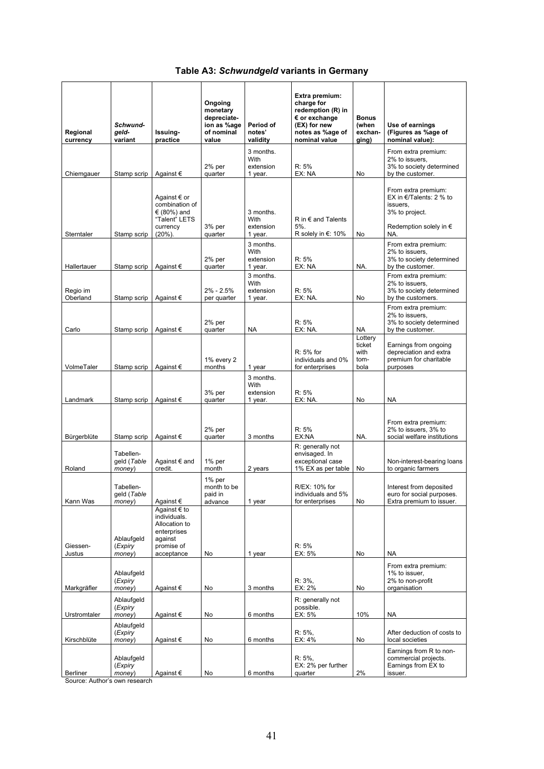### **Table A3:** *Schwundgeld* **variants in Germany**

| Regional<br>currency | Schwund-<br>geld-<br>variant       | Issuing-<br>practice                                                                                | Ongoing<br>monetary<br>depreciate-<br>ion as %age<br>of nominal<br>value | Period of<br>notes'<br>validity           | Extra premium:<br>charge for<br>redemption (R) in<br>$\epsilon$ or exchange<br>(EX) for new<br>notes as %age of<br>nominal value | <b>Bonus</b><br>(when<br>exchan-<br>ging) | Use of earnings<br>(Figures as %age of<br>nominal value):                                                              |
|----------------------|------------------------------------|-----------------------------------------------------------------------------------------------------|--------------------------------------------------------------------------|-------------------------------------------|----------------------------------------------------------------------------------------------------------------------------------|-------------------------------------------|------------------------------------------------------------------------------------------------------------------------|
| Chiemgauer           | Stamp scrip                        | Against €                                                                                           | $2%$ per<br>quarter                                                      | 3 months.<br>With<br>extension<br>1 year. | R: 5%<br>EX: NA                                                                                                                  | No                                        | From extra premium:<br>2% to issuers,<br>3% to society determined<br>by the customer.                                  |
| Sterntaler           | Stamp scrip                        | Against € or<br>combination of<br>€ (80%) and<br>"Talent" LETS<br>currency<br>$(20\%)$ .            | 3% per<br>quarter                                                        | 3 months.<br>With<br>extension<br>1 year. | $R$ in $\epsilon$ and Talents<br>$5%$ .<br>R solely in €: 10%                                                                    | No                                        | From extra premium:<br>EX in €/Talents: 2 % to<br>issuers.<br>3% to project.<br>Redemption solely in $\epsilon$<br>NA. |
| Hallertauer          | Stamp scrip                        | Against €                                                                                           | $2%$ per<br>quarter                                                      | 3 months.<br>With<br>extension<br>1 year. | R: 5%<br>EX: NA                                                                                                                  | NA.                                       | From extra premium:<br>2% to issuers,<br>3% to society determined<br>by the customer.                                  |
| Regio im<br>Oberland | Stamp scrip                        | Against $\epsilon$                                                                                  | $2\% - 2.5\%$<br>per quarter                                             | 3 months.<br>With<br>extension<br>1 year. | R: 5%<br>EX: NA.                                                                                                                 | No                                        | From extra premium:<br>2% to issuers.<br>3% to society determined<br>by the customers.                                 |
| Carlo                | Stamp scrip                        | Against €                                                                                           | $2%$ per<br>quarter                                                      | <b>NA</b>                                 | R: 5%<br>EX: NA.                                                                                                                 | NA                                        | From extra premium:<br>2% to issuers.<br>3% to society determined<br>by the customer.                                  |
| VolmeTaler           | Stamp scrip                        | Against €                                                                                           | 1% every 2<br>months                                                     | 1 year                                    | R: 5% for<br>individuals and 0%<br>for enterprises                                                                               | Lottery<br>ticket<br>with<br>tom-<br>bola | Earnings from ongoing<br>depreciation and extra<br>premium for charitable<br>purposes                                  |
| Landmark             | Stamp scrip                        | Against €                                                                                           | 3% per<br>quarter                                                        | 3 months.<br>With<br>extension<br>1 year. | R: 5%<br>EX: NA.                                                                                                                 | No                                        | <b>NA</b>                                                                                                              |
| Bürgerblüte          | Stamp scrip                        | Against €                                                                                           | $2%$ per<br>quarter                                                      | 3 months                                  | R: 5%<br>EX:NA                                                                                                                   | NA.                                       | From extra premium:<br>2% to issuers, 3% to<br>social welfare institutions                                             |
| Roland               | Tabellen-<br>geld (Table<br>money) | Against € and<br>credit.                                                                            | $1\%$ per<br>month                                                       | 2 years                                   | R: generally not<br>envisaged. In<br>exceptional case<br>1% EX as per table                                                      | No                                        | Non-interest-bearing loans<br>to organic farmers                                                                       |
| Kann Was             | Tabellen-<br>geld (Table<br>money) | Against €                                                                                           | $1\%$ per<br>month to be<br>paid in<br>advance                           | 1 year                                    | R/EX: 10% for<br>individuals and 5%<br>for enterprises                                                                           | No                                        | Interest from deposited<br>euro for social purposes.<br>Extra premium to issuer.                                       |
| Giessen-<br>Justus   | Ablaufgeld<br>(Expiry<br>money)    | Against € to<br>individuals.<br>Allocation to<br>enterprises<br>against<br>promise of<br>acceptance | No                                                                       | 1 year                                    | R: 5%<br>EX: 5%                                                                                                                  | No                                        | <b>NA</b>                                                                                                              |
| Markgräfler          | Ablaufgeld<br>(Expiry<br>money)    | Against €                                                                                           | No                                                                       | 3 months                                  | R: 3%.<br>EX: 2%                                                                                                                 | No                                        | From extra premium:<br>1% to issuer,<br>2% to non-profit<br>organisation                                               |
| Urstromtaler         | Ablaufgeld<br>(Expiry<br>money)    | Against €                                                                                           | No                                                                       | 6 months                                  | R: generally not<br>possible.<br>EX: 5%                                                                                          | 10%                                       | <b>NA</b>                                                                                                              |
| Kirschblüte          | Ablaufgeld<br>(Expiry<br>money)    | Against €                                                                                           | No                                                                       | 6 months                                  | $R: 5\%,$<br>EX: 4%                                                                                                              | No                                        | After deduction of costs to<br>local societies                                                                         |
| Berliner             | Ablaufgeld<br>(Expiry<br>money)    | Against €                                                                                           | No                                                                       | 6 months                                  | $R: 5\%,$<br>EX: 2% per further<br>quarter                                                                                       | 2%                                        | Earnings from R to non-<br>commercial projects.<br>Earnings from EX to<br>issuer.                                      |

Source: Author's own research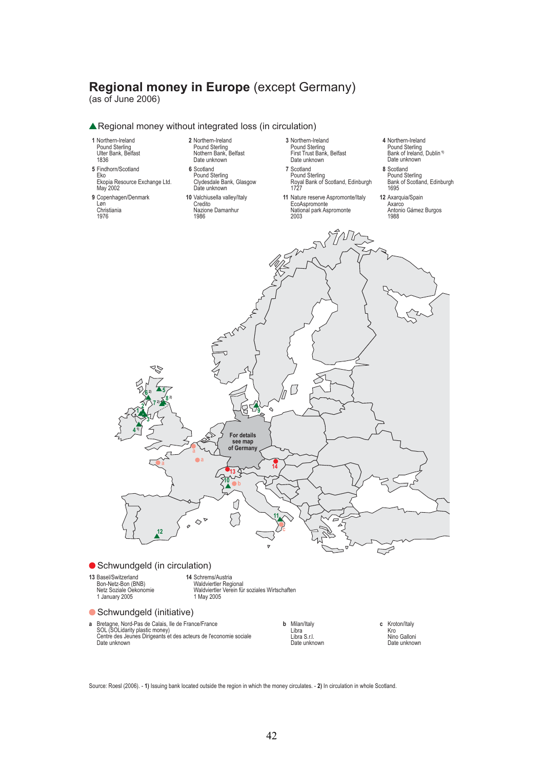# **Regional money in Europe** (except Germany)

(as of June 2006)



Regional money without integrated loss (in circulation)

Source: Roesl (2006). - **1)** Issuing bank located outside the region in which the money circulates. - **2)** In circulation in whole Scotland.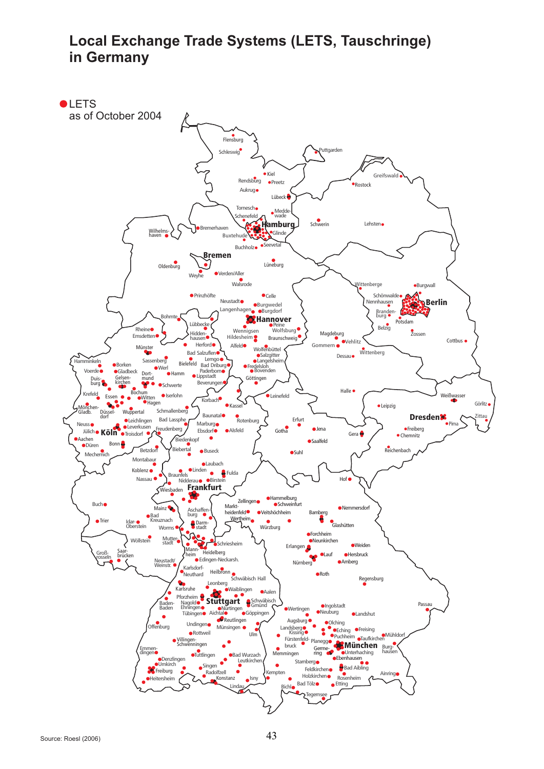# **Local Exchange Trade Systems (LETS, Tauschringe) in Germany**

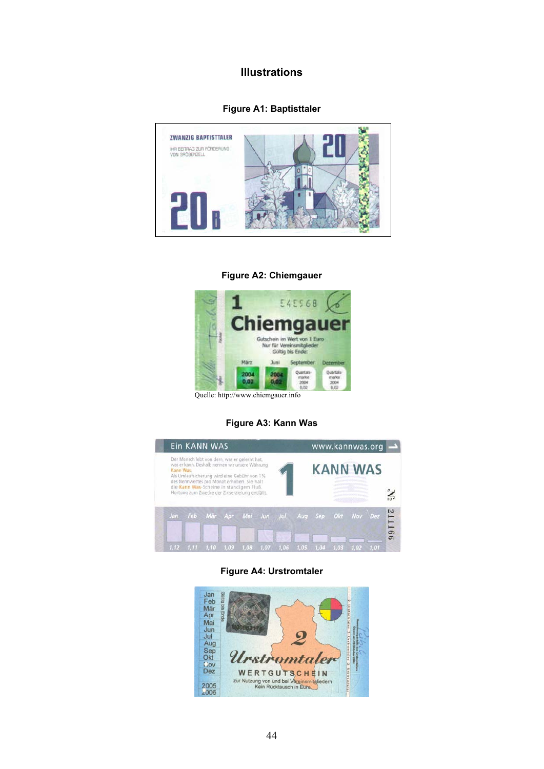### **Illustrations**

### **Figure A1: Baptisttaler**



#### **Figure A2: Chiemgauer**



Quelle: http://www.chiemgauer.info

#### **Figure A3: Kann Was**

|           | <b>Ein KANN WAS</b>                                                                                                                                                                         |       |      |      |                                                 |                 | www.kannwas.org |        |
|-----------|---------------------------------------------------------------------------------------------------------------------------------------------------------------------------------------------|-------|------|------|-------------------------------------------------|-----------------|-----------------|--------|
| Kann Was. | Der Mensch lebt von dem, was er gelernt hat,<br>was er kann. Deshalb nennen wir unsere Währung<br>Als Umlaufsicherung wird eine Gebühr von 1%<br>des Nennwertes pro Monat erhoben. Sie hält |       |      |      |                                                 | <b>KANN WAS</b> |                 |        |
|           | die Kann Was-Scheine in ständigem Fluß.<br>Hortung zum Zwecke der Zinserzielung entfällt.                                                                                                   |       |      |      |                                                 |                 |                 | $\geq$ |
|           |                                                                                                                                                                                             |       |      |      | Jan Feb Mär Apr Mai Jun Jul Aug Sep Okt Nov Dez |                 |                 | 211166 |
|           |                                                                                                                                                                                             | 1.09. | 1.07 | 1.05 |                                                 |                 |                 |        |

#### **Figure A4: Urstromtaler**

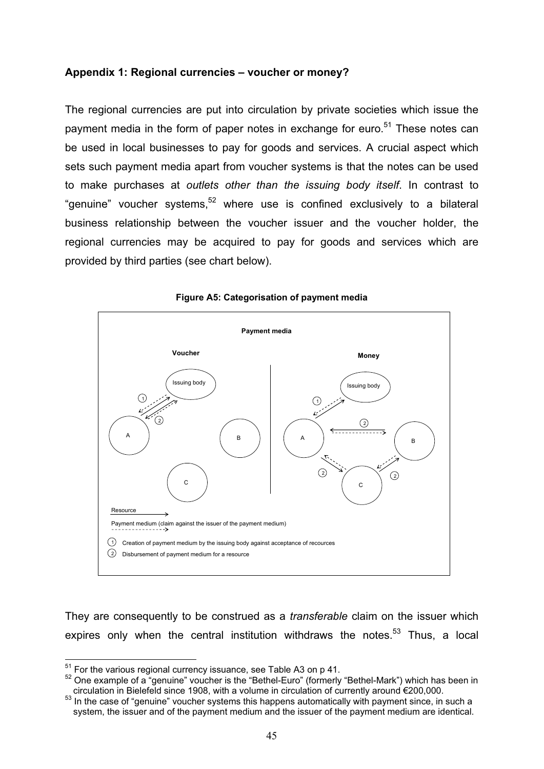### **Appendix 1: Regional currencies – voucher or money?**

The regional currencies are put into circulation by private societies which issue the payment media in the form of paper notes in exchange for euro.<sup>51</sup> These notes can be used in local businesses to pay for goods and services. A crucial aspect which sets such payment media apart from voucher systems is that the notes can be used to make purchases at *outlets other than the issuing body itself*. In contrast to "genuine" voucher systems,  $52$  where use is confined exclusively to a bilateral business relationship between the voucher issuer and the voucher holder, the regional currencies may be acquired to pay for goods and services which are provided by third parties (see chart below).



#### **Figure A5: Categorisation of payment media**

They are consequently to be construed as a *transferable* claim on the issuer which expires only when the central institution withdraws the notes.<sup>53</sup> Thus, a local

<sup>&</sup>lt;sup>51</sup> For the various regional currency issuance, see Table A3 on p 41.<br><sup>52</sup> One example of a "genuine" voucher is the "Bethel-Euro" (formerly "Bethel-Mark") which has been in circulation in Bielefeld since 1908, with a vo

 $53$  In the case of "genuine" voucher systems this happens automatically with payment since, in such a system, the issuer and of the payment medium and the issuer of the payment medium are identical.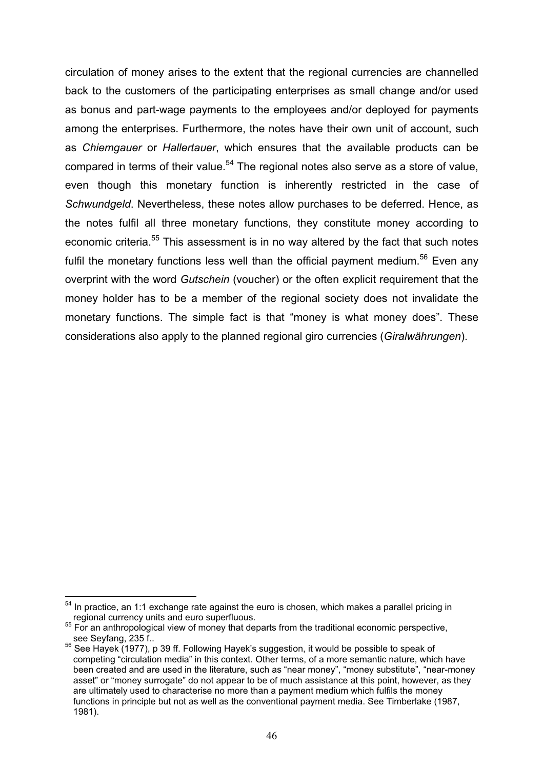circulation of money arises to the extent that the regional currencies are channelled back to the customers of the participating enterprises as small change and/or used as bonus and part-wage payments to the employees and/or deployed for payments among the enterprises. Furthermore, the notes have their own unit of account, such as *Chiemgauer* or *Hallertauer*, which ensures that the available products can be compared in terms of their value.<sup>54</sup> The regional notes also serve as a store of value, even though this monetary function is inherently restricted in the case of *Schwundgeld*. Nevertheless, these notes allow purchases to be deferred. Hence, as the notes fulfil all three monetary functions, they constitute money according to economic criteria.<sup>55</sup> This assessment is in no way altered by the fact that such notes fulfil the monetary functions less well than the official payment medium.<sup>56</sup> Even any overprint with the word *Gutschein* (voucher) or the often explicit requirement that the money holder has to be a member of the regional society does not invalidate the monetary functions. The simple fact is that "money is what money does". These considerations also apply to the planned regional giro currencies (*Giralwährungen*).

 $54$  In practice, an 1:1 exchange rate against the euro is chosen, which makes a parallel pricing in regional currency units and euro superfluous.

<sup>&</sup>lt;sup>55</sup> For an anthropological view of money that departs from the traditional economic perspective, see Seyfang, 235 f..<br><sup>56</sup> See Hayek (1977), p 39 ff. Following Hayek's suggestion, it would be possible to speak of

competing "circulation media" in this context. Other terms, of a more semantic nature, which have been created and are used in the literature, such as "near money", "money substitute", "near-money asset" or "money surrogate" do not appear to be of much assistance at this point, however, as they are ultimately used to characterise no more than a payment medium which fulfils the money functions in principle but not as well as the conventional payment media. See Timberlake (1987, 1981).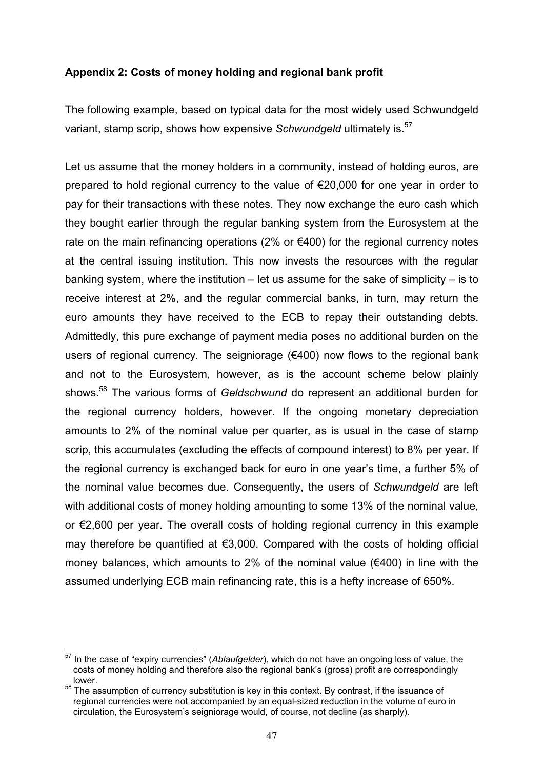### **Appendix 2: Costs of money holding and regional bank profit**

The following example, based on typical data for the most widely used Schwundgeld variant, stamp scrip, shows how expensive *Schwundgeld* ultimately is.<sup>57</sup>

Let us assume that the money holders in a community, instead of holding euros, are prepared to hold regional currency to the value of €20,000 for one year in order to pay for their transactions with these notes. They now exchange the euro cash which they bought earlier through the regular banking system from the Eurosystem at the rate on the main refinancing operations (2% or  $€400$ ) for the regional currency notes at the central issuing institution. This now invests the resources with the regular banking system, where the institution  $-$  let us assume for the sake of simplicity  $-$  is to receive interest at 2%, and the regular commercial banks, in turn, may return the euro amounts they have received to the ECB to repay their outstanding debts. Admittedly, this pure exchange of payment media poses no additional burden on the users of regional currency. The seigniorage (€400) now flows to the regional bank and not to the Eurosystem, however, as is the account scheme below plainly shows.58 The various forms of *Geldschwund* do represent an additional burden for the regional currency holders, however. If the ongoing monetary depreciation amounts to 2% of the nominal value per quarter, as is usual in the case of stamp scrip, this accumulates (excluding the effects of compound interest) to 8% per year. If the regional currency is exchanged back for euro in one year's time, a further 5% of the nominal value becomes due. Consequently, the users of *Schwundgeld* are left with additional costs of money holding amounting to some 13% of the nominal value, or €2,600 per year. The overall costs of holding regional currency in this example may therefore be quantified at €3,000. Compared with the costs of holding official money balances, which amounts to 2% of the nominal value ( $\epsilon$ 400) in line with the assumed underlying ECB main refinancing rate, this is a hefty increase of 650%.

<sup>57</sup> In the case of "expiry currencies" (*Ablaufgelder*), which do not have an ongoing loss of value, the costs of money holding and therefore also the regional bank's (gross) profit are correspondingly lower.

<sup>&</sup>lt;sup>58</sup> The assumption of currency substitution is key in this context. By contrast, if the issuance of regional currencies were not accompanied by an equal-sized reduction in the volume of euro in circulation, the Eurosystem's seigniorage would, of course, not decline (as sharply).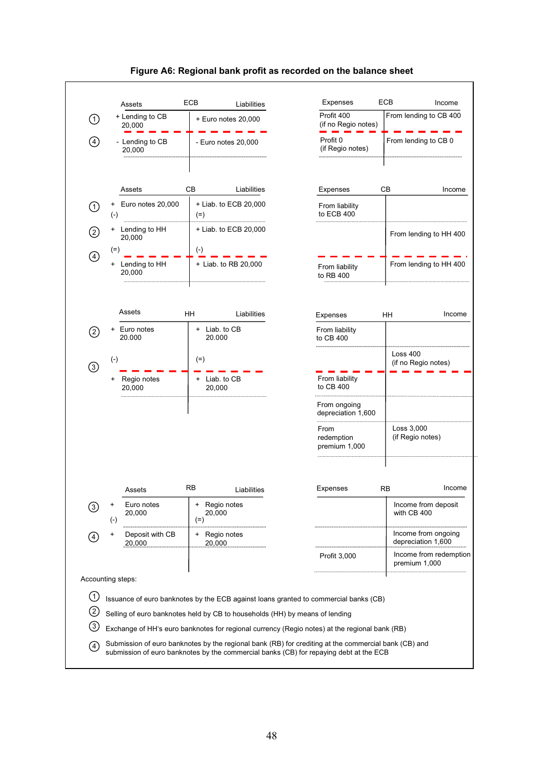

#### **Figure A6: Regional bank profit as recorded on the balance sheet**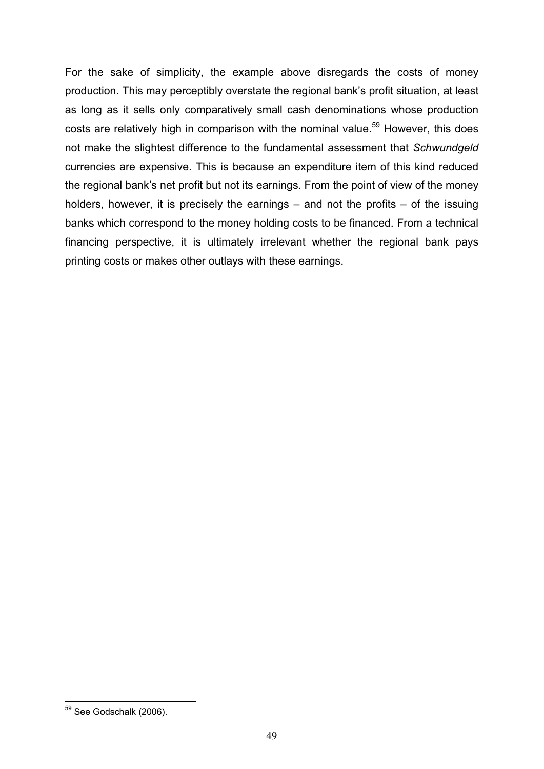For the sake of simplicity, the example above disregards the costs of money production. This may perceptibly overstate the regional bank's profit situation, at least as long as it sells only comparatively small cash denominations whose production costs are relatively high in comparison with the nominal value.<sup>59</sup> However, this does not make the slightest difference to the fundamental assessment that *Schwundgeld* currencies are expensive. This is because an expenditure item of this kind reduced the regional bank's net profit but not its earnings. From the point of view of the money holders, however, it is precisely the earnings – and not the profits – of the issuing banks which correspond to the money holding costs to be financed. From a technical financing perspective, it is ultimately irrelevant whether the regional bank pays printing costs or makes other outlays with these earnings.

<sup>59</sup> See Godschalk (2006).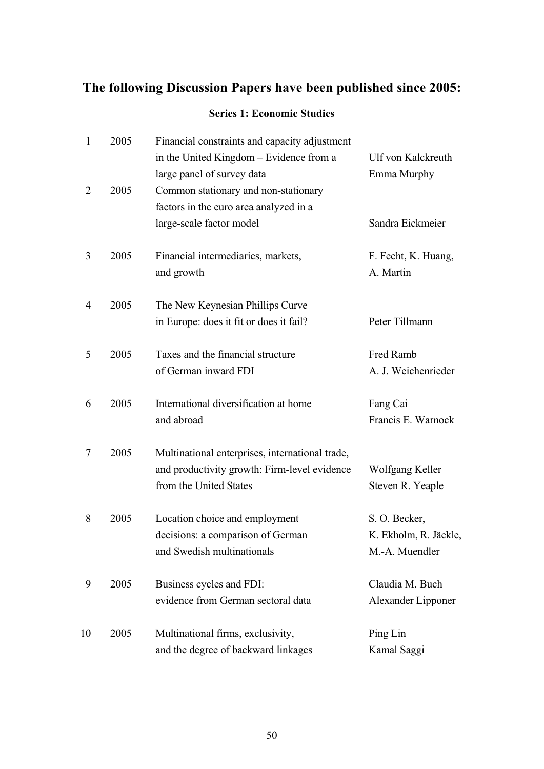# **The following Discussion Papers have been published since 2005:**

### **Series 1: Economic Studies**

| $\mathbf{1}$   | 2005 | Financial constraints and capacity adjustment<br>in the United Kingdom - Evidence from a | Ulf von Kalckreuth    |
|----------------|------|------------------------------------------------------------------------------------------|-----------------------|
|                |      | large panel of survey data                                                               | Emma Murphy           |
| $\overline{2}$ | 2005 | Common stationary and non-stationary                                                     |                       |
|                |      | factors in the euro area analyzed in a                                                   |                       |
|                |      | large-scale factor model                                                                 | Sandra Eickmeier      |
|                |      |                                                                                          |                       |
| 3              | 2005 | Financial intermediaries, markets,                                                       | F. Fecht, K. Huang,   |
|                |      | and growth                                                                               | A. Martin             |
|                |      |                                                                                          |                       |
| $\overline{4}$ | 2005 | The New Keynesian Phillips Curve                                                         |                       |
|                |      | in Europe: does it fit or does it fail?                                                  | Peter Tillmann        |
|                |      |                                                                                          |                       |
| 5              | 2005 | Taxes and the financial structure                                                        | Fred Ramb             |
|                |      | of German inward FDI                                                                     | A. J. Weichenrieder   |
| 6              | 2005 | International diversification at home                                                    | Fang Cai              |
|                |      | and abroad                                                                               | Francis E. Warnock    |
|                |      |                                                                                          |                       |
| 7              | 2005 | Multinational enterprises, international trade,                                          |                       |
|                |      | and productivity growth: Firm-level evidence                                             | Wolfgang Keller       |
|                |      | from the United States                                                                   | Steven R. Yeaple      |
| 8              | 2005 | Location choice and employment                                                           | S. O. Becker,         |
|                |      | decisions: a comparison of German                                                        | K. Ekholm, R. Jäckle, |
|                |      | and Swedish multinationals                                                               | M.-A. Muendler        |
|                |      |                                                                                          |                       |
| 9              | 2005 | Business cycles and FDI:                                                                 | Claudia M. Buch       |
|                |      | evidence from German sectoral data                                                       | Alexander Lipponer    |
| 10             | 2005 | Multinational firms, exclusivity,                                                        | Ping Lin              |
|                |      | and the degree of backward linkages                                                      | Kamal Saggi           |
|                |      |                                                                                          |                       |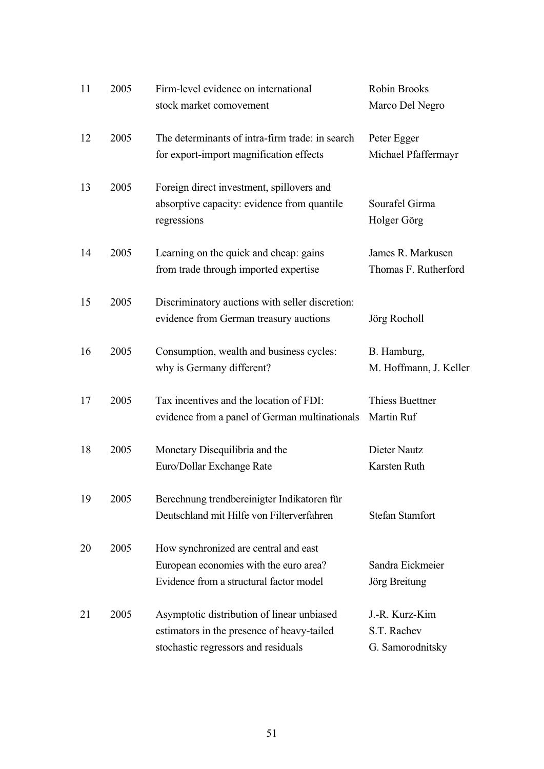| 11 | 2005 | Firm-level evidence on international<br>stock market comovement                                                                 | Robin Brooks<br>Marco Del Negro                   |
|----|------|---------------------------------------------------------------------------------------------------------------------------------|---------------------------------------------------|
| 12 | 2005 | The determinants of intra-firm trade: in search<br>for export-import magnification effects                                      | Peter Egger<br>Michael Pfaffermayr                |
| 13 | 2005 | Foreign direct investment, spillovers and<br>absorptive capacity: evidence from quantile<br>regressions                         | Sourafel Girma<br>Holger Görg                     |
| 14 | 2005 | Learning on the quick and cheap: gains<br>from trade through imported expertise                                                 | James R. Markusen<br>Thomas F. Rutherford         |
| 15 | 2005 | Discriminatory auctions with seller discretion:<br>evidence from German treasury auctions                                       | Jörg Rocholl                                      |
| 16 | 2005 | Consumption, wealth and business cycles:<br>why is Germany different?                                                           | B. Hamburg,<br>M. Hoffmann, J. Keller             |
| 17 | 2005 | Tax incentives and the location of FDI:<br>evidence from a panel of German multinationals                                       | <b>Thiess Buettner</b><br>Martin Ruf              |
| 18 | 2005 | Monetary Disequilibria and the<br>Euro/Dollar Exchange Rate                                                                     | Dieter Nautz<br>Karsten Ruth                      |
| 19 | 2005 | Berechnung trendbereinigter Indikatoren für<br>Deutschland mit Hilfe von Filterverfahren                                        | <b>Stefan Stamfort</b>                            |
| 20 | 2005 | How synchronized are central and east<br>European economies with the euro area?<br>Evidence from a structural factor model      | Sandra Eickmeier<br>Jörg Breitung                 |
| 21 | 2005 | Asymptotic distribution of linear unbiased<br>estimators in the presence of heavy-tailed<br>stochastic regressors and residuals | J.-R. Kurz-Kim<br>S.T. Rachev<br>G. Samorodnitsky |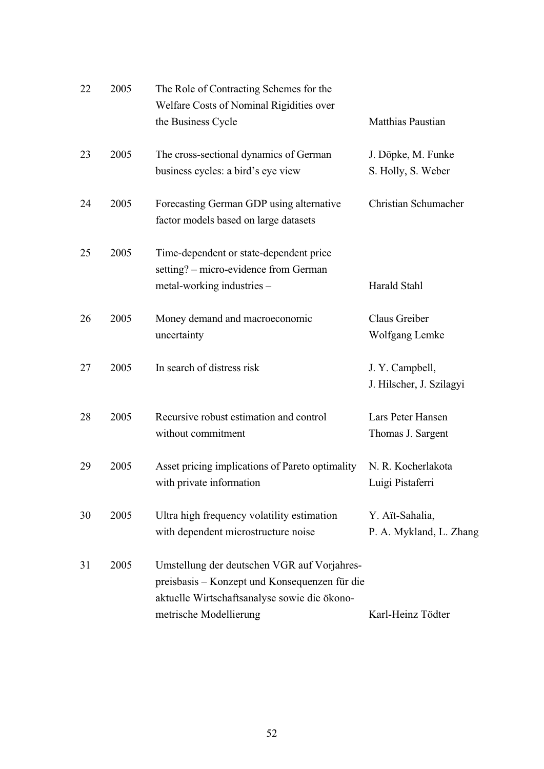| 22 | 2005 | The Role of Contracting Schemes for the<br>Welfare Costs of Nominal Rigidities over                                                                                    |                                             |
|----|------|------------------------------------------------------------------------------------------------------------------------------------------------------------------------|---------------------------------------------|
|    |      | the Business Cycle                                                                                                                                                     | Matthias Paustian                           |
| 23 | 2005 | The cross-sectional dynamics of German<br>business cycles: a bird's eye view                                                                                           | J. Döpke, M. Funke<br>S. Holly, S. Weber    |
| 24 | 2005 | Forecasting German GDP using alternative<br>factor models based on large datasets                                                                                      | Christian Schumacher                        |
| 25 | 2005 | Time-dependent or state-dependent price<br>setting? – micro-evidence from German<br>metal-working industries -                                                         | <b>Harald Stahl</b>                         |
| 26 | 2005 | Money demand and macroeconomic<br>uncertainty                                                                                                                          | Claus Greiber<br>Wolfgang Lemke             |
| 27 | 2005 | In search of distress risk                                                                                                                                             | J. Y. Campbell,<br>J. Hilscher, J. Szilagyi |
| 28 | 2005 | Recursive robust estimation and control<br>without commitment                                                                                                          | Lars Peter Hansen<br>Thomas J. Sargent      |
| 29 | 2005 | Asset pricing implications of Pareto optimality<br>with private information                                                                                            | N. R. Kocherlakota<br>Luigi Pistaferri      |
| 30 | 2005 | Ultra high frequency volatility estimation<br>with dependent microstructure noise                                                                                      | Y. Aït-Sahalia,<br>P. A. Mykland, L. Zhang  |
| 31 | 2005 | Umstellung der deutschen VGR auf Vorjahres-<br>preisbasis – Konzept und Konsequenzen für die<br>aktuelle Wirtschaftsanalyse sowie die ökono-<br>metrische Modellierung | Karl-Heinz Tödter                           |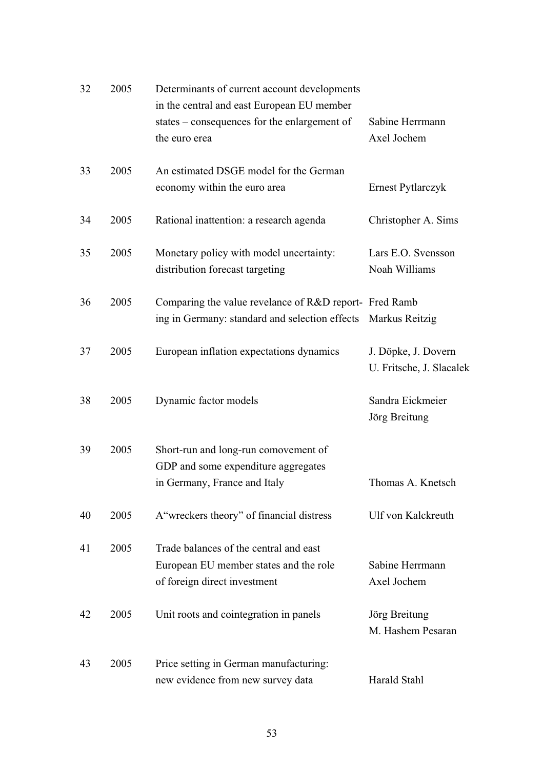| 32 | 2005 | Determinants of current account developments<br>in the central and east European EU member |                          |
|----|------|--------------------------------------------------------------------------------------------|--------------------------|
|    |      | states – consequences for the enlargement of                                               | Sabine Herrmann          |
|    |      | the euro erea                                                                              | Axel Jochem              |
|    |      |                                                                                            |                          |
| 33 | 2005 | An estimated DSGE model for the German                                                     |                          |
|    |      | economy within the euro area                                                               | Ernest Pytlarczyk        |
|    |      |                                                                                            |                          |
| 34 | 2005 | Rational inattention: a research agenda                                                    | Christopher A. Sims      |
|    |      |                                                                                            |                          |
| 35 | 2005 | Monetary policy with model uncertainty:                                                    | Lars E.O. Svensson       |
|    |      | distribution forecast targeting                                                            | Noah Williams            |
|    |      |                                                                                            |                          |
| 36 | 2005 | Comparing the value revelance of R&D report- Fred Ramb                                     |                          |
|    |      | ing in Germany: standard and selection effects Markus Reitzig                              |                          |
| 37 | 2005 | European inflation expectations dynamics                                                   | J. Döpke, J. Dovern      |
|    |      |                                                                                            | U. Fritsche, J. Slacalek |
|    |      |                                                                                            |                          |
| 38 | 2005 | Dynamic factor models                                                                      | Sandra Eickmeier         |
|    |      |                                                                                            | Jörg Breitung            |
|    |      |                                                                                            |                          |
| 39 | 2005 | Short-run and long-run comovement of                                                       |                          |
|    |      |                                                                                            |                          |
|    |      | GDP and some expenditure aggregates                                                        |                          |
|    |      | in Germany, France and Italy                                                               | Thomas A. Knetsch        |
|    |      |                                                                                            |                          |
| 40 | 2005 | A "wreckers theory" of financial distress                                                  | Ulf von Kalckreuth       |
|    |      |                                                                                            |                          |
| 41 | 2005 | Trade balances of the central and east                                                     |                          |
|    |      | European EU member states and the role                                                     | Sabine Herrmann          |
|    |      | of foreign direct investment                                                               | Axel Jochem              |
|    |      |                                                                                            |                          |
| 42 | 2005 | Unit roots and cointegration in panels                                                     | Jörg Breitung            |
|    |      |                                                                                            | M. Hashem Pesaran        |
| 43 | 2005 |                                                                                            |                          |
|    |      | Price setting in German manufacturing:<br>new evidence from new survey data                | Harald Stahl             |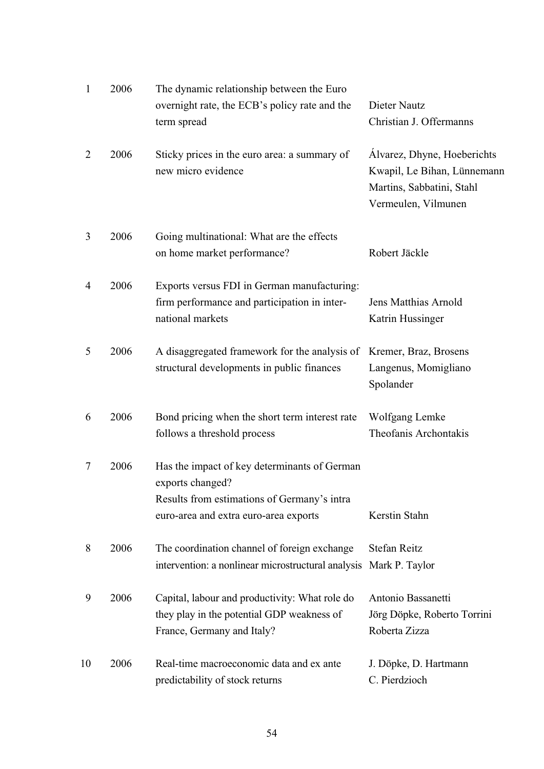| 1              | 2006 | The dynamic relationship between the Euro<br>overnight rate, the ECB's policy rate and the<br>term spread                                                | Dieter Nautz<br>Christian J. Offermanns                                                                        |
|----------------|------|----------------------------------------------------------------------------------------------------------------------------------------------------------|----------------------------------------------------------------------------------------------------------------|
| $\overline{2}$ | 2006 | Sticky prices in the euro area: a summary of<br>new micro evidence                                                                                       | Alvarez, Dhyne, Hoeberichts<br>Kwapil, Le Bihan, Lünnemann<br>Martins, Sabbatini, Stahl<br>Vermeulen, Vilmunen |
| 3              | 2006 | Going multinational: What are the effects<br>on home market performance?                                                                                 | Robert Jäckle                                                                                                  |
| 4              | 2006 | Exports versus FDI in German manufacturing:<br>firm performance and participation in inter-<br>national markets                                          | Jens Matthias Arnold<br>Katrin Hussinger                                                                       |
| 5              | 2006 | A disaggregated framework for the analysis of<br>structural developments in public finances                                                              | Kremer, Braz, Brosens<br>Langenus, Momigliano<br>Spolander                                                     |
| 6              | 2006 | Bond pricing when the short term interest rate<br>follows a threshold process                                                                            | Wolfgang Lemke<br>Theofanis Archontakis                                                                        |
| $\tau$         | 2006 | Has the impact of key determinants of German<br>exports changed?<br>Results from estimations of Germany's intra<br>euro-area and extra euro-area exports | Kerstin Stahn                                                                                                  |
| 8              | 2006 | The coordination channel of foreign exchange<br>intervention: a nonlinear microstructural analysis                                                       | <b>Stefan Reitz</b><br>Mark P. Taylor                                                                          |
| 9              | 2006 | Capital, labour and productivity: What role do<br>they play in the potential GDP weakness of<br>France, Germany and Italy?                               | Antonio Bassanetti<br>Jörg Döpke, Roberto Torrini<br>Roberta Zizza                                             |
| 10             | 2006 | Real-time macroeconomic data and ex ante<br>predictability of stock returns                                                                              | J. Döpke, D. Hartmann<br>C. Pierdzioch                                                                         |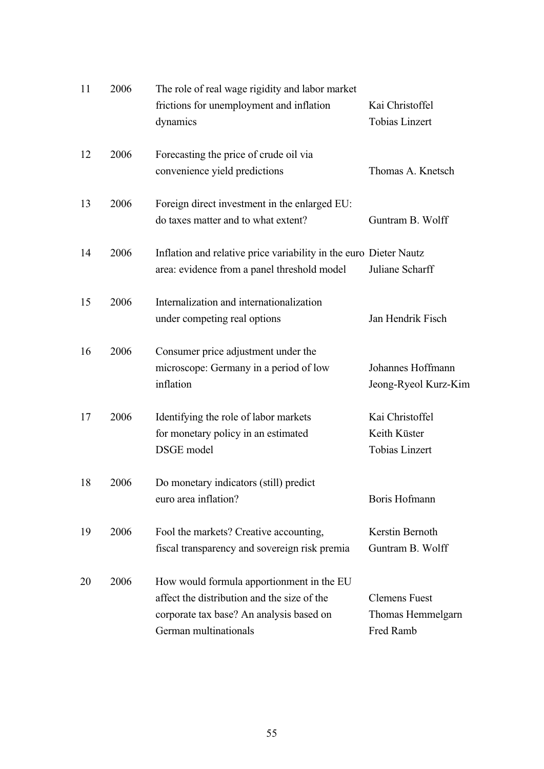| 11 | 2006 | The role of real wage rigidity and labor market<br>frictions for unemployment and inflation<br>dynamics                                                       | Kai Christoffel<br><b>Tobias Linzert</b>                 |
|----|------|---------------------------------------------------------------------------------------------------------------------------------------------------------------|----------------------------------------------------------|
| 12 | 2006 | Forecasting the price of crude oil via<br>convenience yield predictions                                                                                       | Thomas A. Knetsch                                        |
| 13 | 2006 | Foreign direct investment in the enlarged EU:<br>do taxes matter and to what extent?                                                                          | Guntram B. Wolff                                         |
| 14 | 2006 | Inflation and relative price variability in the euro Dieter Nautz<br>area: evidence from a panel threshold model                                              | Juliane Scharff                                          |
| 15 | 2006 | Internalization and internationalization<br>under competing real options                                                                                      | Jan Hendrik Fisch                                        |
| 16 | 2006 | Consumer price adjustment under the<br>microscope: Germany in a period of low<br>inflation                                                                    | Johannes Hoffmann<br>Jeong-Ryeol Kurz-Kim                |
| 17 | 2006 | Identifying the role of labor markets<br>for monetary policy in an estimated<br>DSGE model                                                                    | Kai Christoffel<br>Keith Küster<br><b>Tobias Linzert</b> |
| 18 | 2006 | Do monetary indicators (still) predict<br>euro area inflation?                                                                                                | Boris Hofmann                                            |
| 19 | 2006 | Fool the markets? Creative accounting,<br>fiscal transparency and sovereign risk premia                                                                       | Kerstin Bernoth<br>Guntram B. Wolff                      |
| 20 | 2006 | How would formula apportionment in the EU<br>affect the distribution and the size of the<br>corporate tax base? An analysis based on<br>German multinationals | <b>Clemens Fuest</b><br>Thomas Hemmelgarn<br>Fred Ramb   |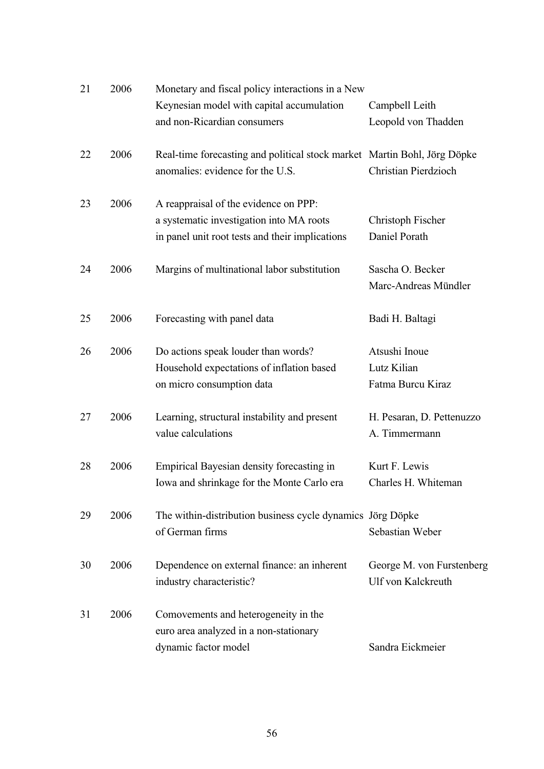| 21 | 2006 | Monetary and fiscal policy interactions in a New                                                                                     |                                                   |
|----|------|--------------------------------------------------------------------------------------------------------------------------------------|---------------------------------------------------|
|    |      | Keynesian model with capital accumulation<br>and non-Ricardian consumers                                                             | Campbell Leith<br>Leopold von Thadden             |
| 22 | 2006 | Real-time forecasting and political stock market Martin Bohl, Jörg Döpke<br>anomalies: evidence for the U.S.                         | <b>Christian Pierdzioch</b>                       |
| 23 | 2006 | A reappraisal of the evidence on PPP:<br>a systematic investigation into MA roots<br>in panel unit root tests and their implications | Christoph Fischer<br>Daniel Porath                |
| 24 | 2006 | Margins of multinational labor substitution                                                                                          | Sascha O. Becker<br>Marc-Andreas Mündler          |
| 25 | 2006 | Forecasting with panel data                                                                                                          | Badi H. Baltagi                                   |
| 26 | 2006 | Do actions speak louder than words?<br>Household expectations of inflation based<br>on micro consumption data                        | Atsushi Inoue<br>Lutz Kilian<br>Fatma Burcu Kiraz |
| 27 | 2006 | Learning, structural instability and present<br>value calculations                                                                   | H. Pesaran, D. Pettenuzzo<br>A. Timmermann        |
| 28 | 2006 | Empirical Bayesian density forecasting in<br>Iowa and shrinkage for the Monte Carlo era                                              | Kurt F. Lewis<br>Charles H. Whiteman              |
| 29 | 2006 | The within-distribution business cycle dynamics Jörg Döpke<br>of German firms                                                        | Sebastian Weber                                   |
| 30 | 2006 | Dependence on external finance: an inherent<br>industry characteristic?                                                              | George M. von Furstenberg<br>Ulf von Kalckreuth   |
| 31 | 2006 | Comovements and heterogeneity in the<br>euro area analyzed in a non-stationary<br>dynamic factor model                               | Sandra Eickmeier                                  |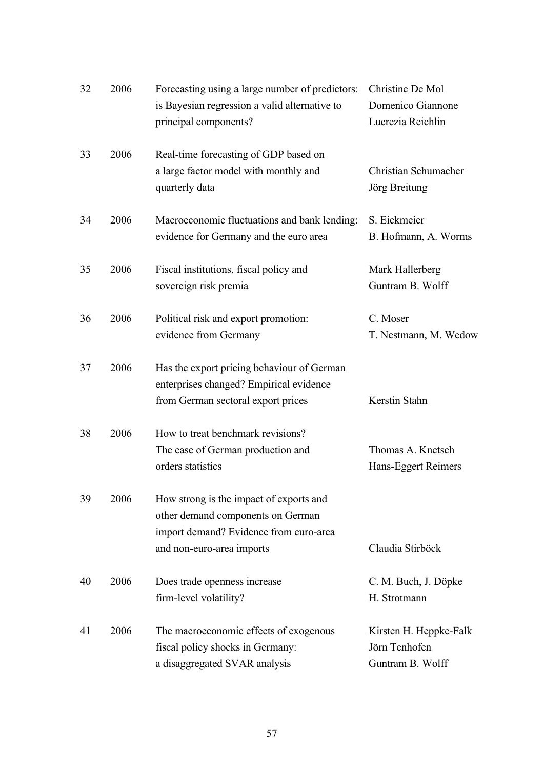| 32 | 2006 | Forecasting using a large number of predictors:<br>is Bayesian regression a valid alternative to<br>principal components?                           | Christine De Mol<br>Domenico Giannone<br>Lucrezia Reichlin  |
|----|------|-----------------------------------------------------------------------------------------------------------------------------------------------------|-------------------------------------------------------------|
| 33 | 2006 | Real-time forecasting of GDP based on<br>a large factor model with monthly and<br>quarterly data                                                    | Christian Schumacher<br>Jörg Breitung                       |
| 34 | 2006 | Macroeconomic fluctuations and bank lending:<br>evidence for Germany and the euro area                                                              | S. Eickmeier<br>B. Hofmann, A. Worms                        |
| 35 | 2006 | Fiscal institutions, fiscal policy and<br>sovereign risk premia                                                                                     | Mark Hallerberg<br>Guntram B. Wolff                         |
| 36 | 2006 | Political risk and export promotion:<br>evidence from Germany                                                                                       | C. Moser<br>T. Nestmann, M. Wedow                           |
| 37 | 2006 | Has the export pricing behaviour of German<br>enterprises changed? Empirical evidence<br>from German sectoral export prices                         | Kerstin Stahn                                               |
| 38 | 2006 | How to treat benchmark revisions?<br>The case of German production and<br>orders statistics                                                         | Thomas A. Knetsch<br>Hans-Eggert Reimers                    |
| 39 | 2006 | How strong is the impact of exports and<br>other demand components on German<br>import demand? Evidence from euro-area<br>and non-euro-area imports | Claudia Stirböck                                            |
| 40 | 2006 | Does trade openness increase<br>firm-level volatility?                                                                                              | C. M. Buch, J. Döpke<br>H. Strotmann                        |
| 41 | 2006 | The macroeconomic effects of exogenous<br>fiscal policy shocks in Germany:<br>a disaggregated SVAR analysis                                         | Kirsten H. Heppke-Falk<br>Jörn Tenhofen<br>Guntram B. Wolff |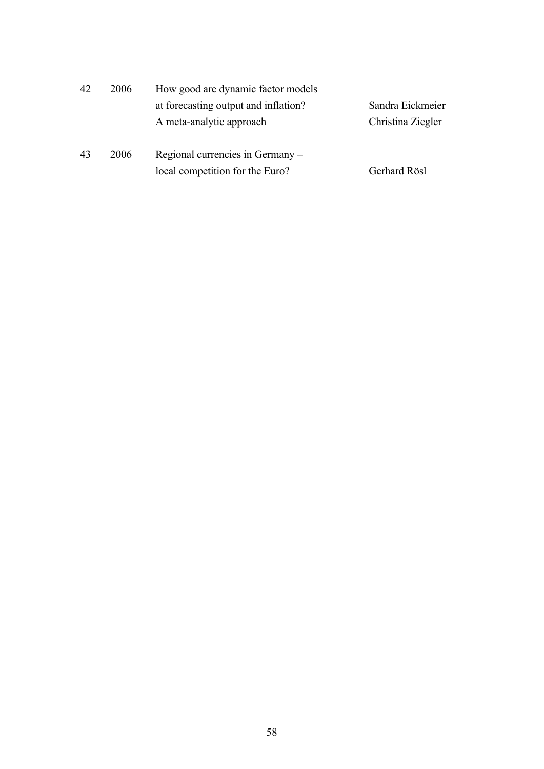| 42 | 2006 | How good are dynamic factor models   |                   |
|----|------|--------------------------------------|-------------------|
|    |      | at forecasting output and inflation? | Sandra Eickmeier  |
|    |      | A meta-analytic approach             | Christina Ziegler |
| 43 | 2006 | Regional currencies in Germany –     |                   |
|    |      | local competition for the Euro?      | Gerhard Rösl      |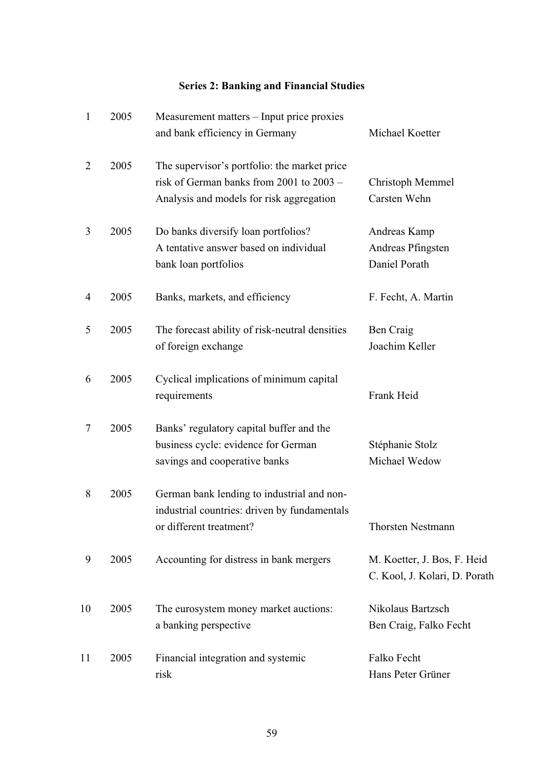# **Series 2: Banking and Financial Studies**

| $\mathbf{1}$   | 2005 | Measurement matters – Input price proxies<br>and bank efficiency in Germany                                                          | Michael Koetter                                              |
|----------------|------|--------------------------------------------------------------------------------------------------------------------------------------|--------------------------------------------------------------|
| $\overline{2}$ | 2005 | The supervisor's portfolio: the market price<br>risk of German banks from 2001 to 2003 -<br>Analysis and models for risk aggregation | Christoph Memmel<br>Carsten Wehn                             |
| 3              | 2005 | Do banks diversify loan portfolios?<br>A tentative answer based on individual<br>bank loan portfolios                                | Andreas Kamp<br>Andreas Pfingsten<br>Daniel Porath           |
| 4              | 2005 | Banks, markets, and efficiency                                                                                                       | F. Fecht, A. Martin                                          |
| 5              | 2005 | The forecast ability of risk-neutral densities<br>of foreign exchange                                                                | Ben Craig<br>Joachim Keller                                  |
| 6              | 2005 | Cyclical implications of minimum capital<br>requirements                                                                             | Frank Heid                                                   |
| 7              | 2005 | Banks' regulatory capital buffer and the<br>business cycle: evidence for German<br>savings and cooperative banks                     | Stéphanie Stolz<br>Michael Wedow                             |
| 8              | 2005 | German bank lending to industrial and non-<br>industrial countries: driven by fundamentals<br>or different treatment?                | <b>Thorsten Nestmann</b>                                     |
| 9              | 2005 | Accounting for distress in bank mergers                                                                                              | M. Koetter, J. Bos, F. Heid<br>C. Kool, J. Kolari, D. Porath |
| 10             | 2005 | The eurosystem money market auctions:<br>a banking perspective                                                                       | Nikolaus Bartzsch<br>Ben Craig, Falko Fecht                  |
| 11             | 2005 | Financial integration and systemic<br>risk                                                                                           | Falko Fecht<br>Hans Peter Grüner                             |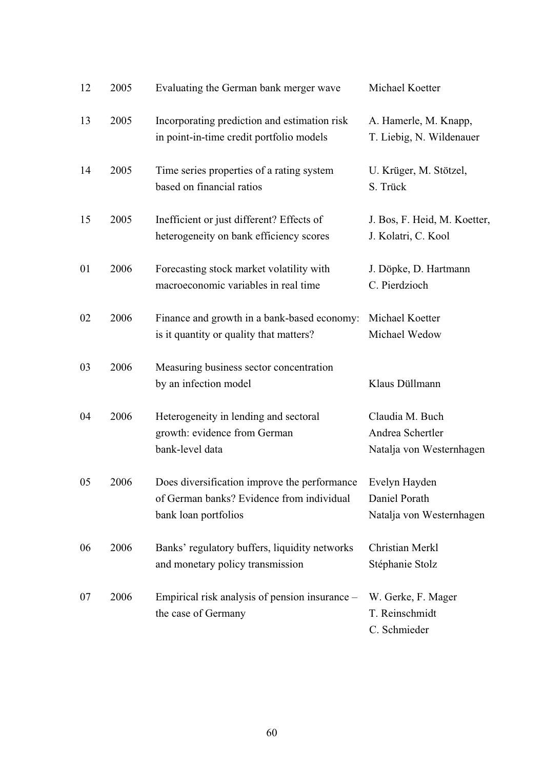| 12 | 2005 | Evaluating the German bank merger wave                                                                            | Michael Koetter                                                 |
|----|------|-------------------------------------------------------------------------------------------------------------------|-----------------------------------------------------------------|
| 13 | 2005 | Incorporating prediction and estimation risk<br>in point-in-time credit portfolio models                          | A. Hamerle, M. Knapp,<br>T. Liebig, N. Wildenauer               |
| 14 | 2005 | Time series properties of a rating system<br>based on financial ratios                                            | U. Krüger, M. Stötzel,<br>S. Trück                              |
| 15 | 2005 | Inefficient or just different? Effects of<br>heterogeneity on bank efficiency scores                              | J. Bos, F. Heid, M. Koetter,<br>J. Kolatri, C. Kool             |
| 01 | 2006 | Forecasting stock market volatility with<br>macroeconomic variables in real time                                  | J. Döpke, D. Hartmann<br>C. Pierdzioch                          |
| 02 | 2006 | Finance and growth in a bank-based economy:<br>is it quantity or quality that matters?                            | Michael Koetter<br>Michael Wedow                                |
| 03 | 2006 | Measuring business sector concentration<br>by an infection model                                                  | Klaus Düllmann                                                  |
| 04 | 2006 | Heterogeneity in lending and sectoral<br>growth: evidence from German<br>bank-level data                          | Claudia M. Buch<br>Andrea Schertler<br>Natalja von Westernhagen |
| 05 | 2006 | Does diversification improve the performance<br>of German banks? Evidence from individual<br>bank loan portfolios | Evelyn Hayden<br>Daniel Porath<br>Natalja von Westernhagen      |
| 06 | 2006 | Banks' regulatory buffers, liquidity networks<br>and monetary policy transmission                                 | Christian Merkl<br>Stéphanie Stolz                              |
| 07 | 2006 | Empirical risk analysis of pension insurance –<br>the case of Germany                                             | W. Gerke, F. Mager<br>T. Reinschmidt<br>C. Schmieder            |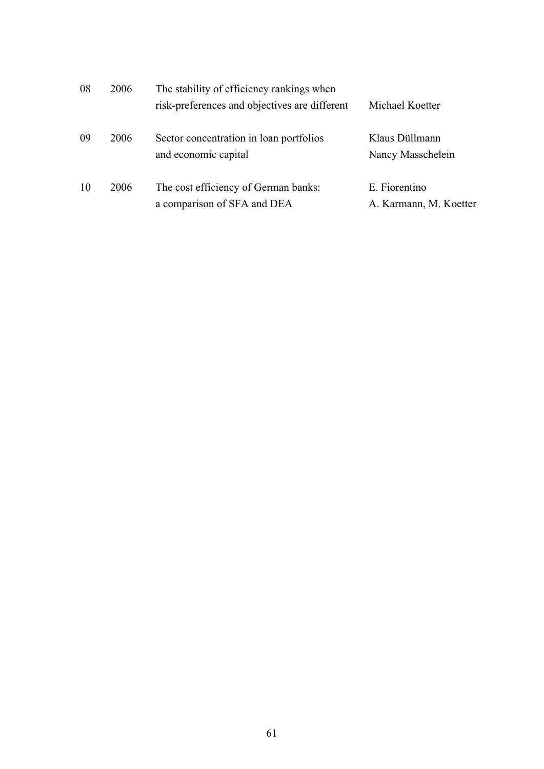| 08 | 2006 | The stability of efficiency rankings when                           |                                         |
|----|------|---------------------------------------------------------------------|-----------------------------------------|
|    |      | risk-preferences and objectives are different                       | Michael Koetter                         |
| 09 | 2006 | Sector concentration in loan portfolios<br>and economic capital     | Klaus Düllmann<br>Nancy Masschelein     |
| 10 | 2006 | The cost efficiency of German banks:<br>a comparison of SFA and DEA | E. Fiorentino<br>A. Karmann, M. Koetter |